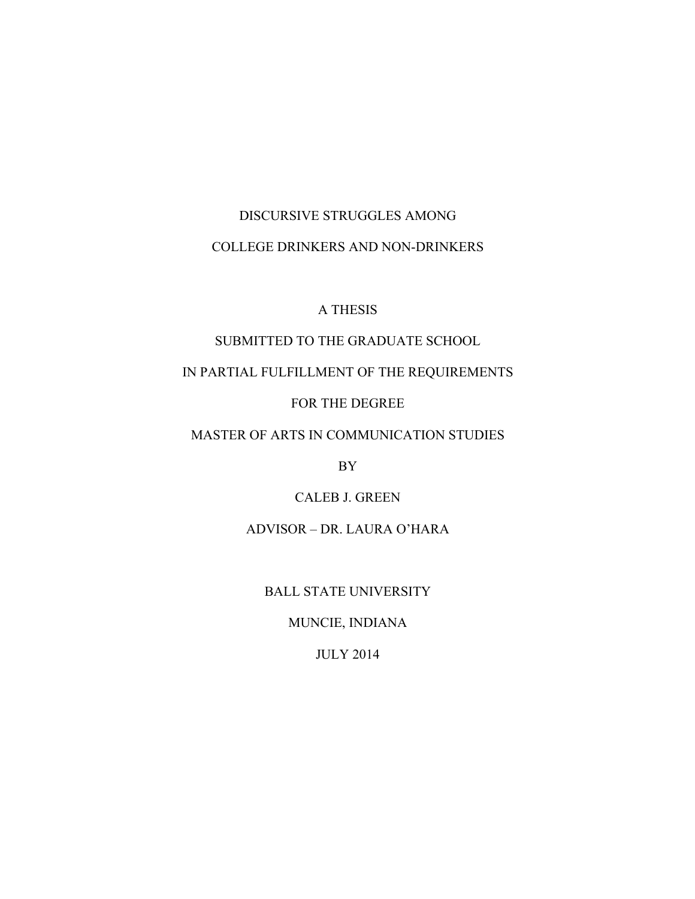# DISCURSIVE STRUGGLES AMONG COLLEGE DRINKERS AND NON-DRINKERS

## A THESIS

## SUBMITTED TO THE GRADUATE SCHOOL

## IN PARTIAL FULFILLMENT OF THE REQUIREMENTS

## FOR THE DEGREE

## MASTER OF ARTS IN COMMUNICATION STUDIES

BY

## CALEB J. GREEN

## ADVISOR – DR. LAURA O'HARA

### BALL STATE UNIVERSITY

## MUNCIE, INDIANA

## JULY 2014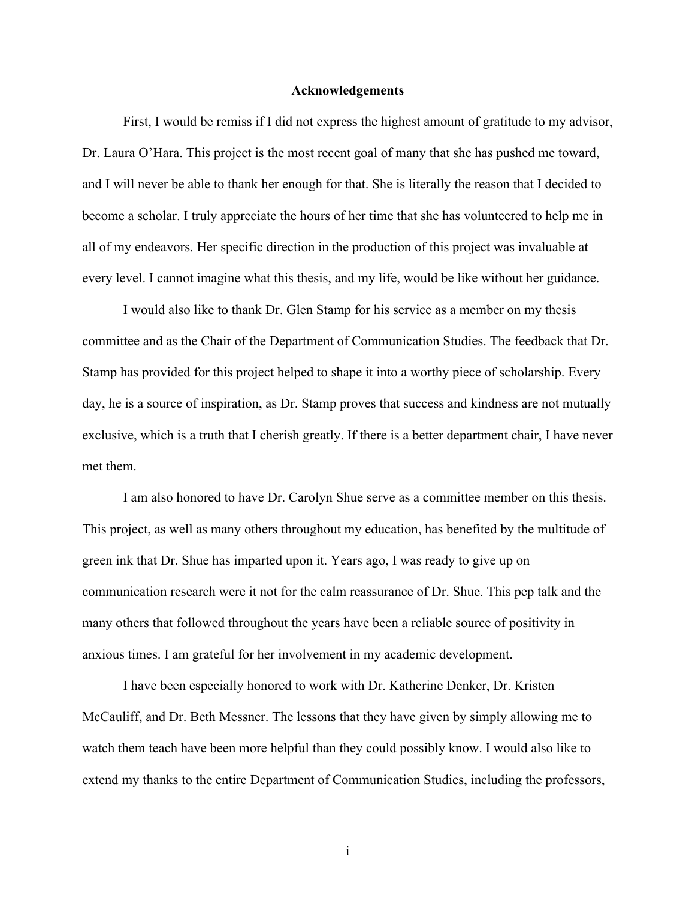#### **Acknowledgements**

First, I would be remiss if I did not express the highest amount of gratitude to my advisor, Dr. Laura O'Hara. This project is the most recent goal of many that she has pushed me toward, and I will never be able to thank her enough for that. She is literally the reason that I decided to become a scholar. I truly appreciate the hours of her time that she has volunteered to help me in all of my endeavors. Her specific direction in the production of this project was invaluable at every level. I cannot imagine what this thesis, and my life, would be like without her guidance.

I would also like to thank Dr. Glen Stamp for his service as a member on my thesis committee and as the Chair of the Department of Communication Studies. The feedback that Dr. Stamp has provided for this project helped to shape it into a worthy piece of scholarship. Every day, he is a source of inspiration, as Dr. Stamp proves that success and kindness are not mutually exclusive, which is a truth that I cherish greatly. If there is a better department chair, I have never met them.

I am also honored to have Dr. Carolyn Shue serve as a committee member on this thesis. This project, as well as many others throughout my education, has benefited by the multitude of green ink that Dr. Shue has imparted upon it. Years ago, I was ready to give up on communication research were it not for the calm reassurance of Dr. Shue. This pep talk and the many others that followed throughout the years have been a reliable source of positivity in anxious times. I am grateful for her involvement in my academic development.

I have been especially honored to work with Dr. Katherine Denker, Dr. Kristen McCauliff, and Dr. Beth Messner. The lessons that they have given by simply allowing me to watch them teach have been more helpful than they could possibly know. I would also like to extend my thanks to the entire Department of Communication Studies, including the professors,

i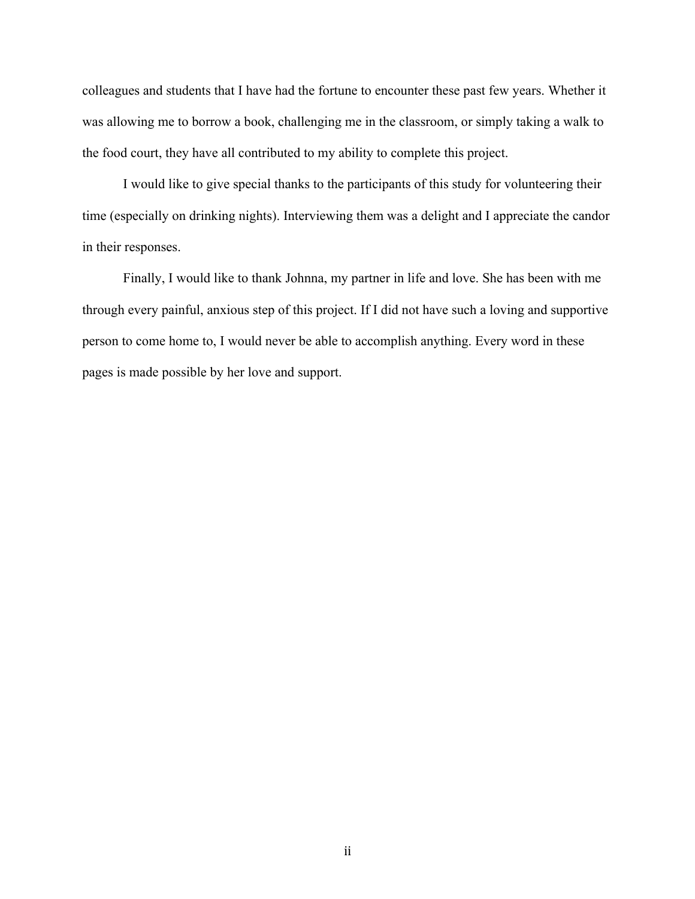colleagues and students that I have had the fortune to encounter these past few years. Whether it was allowing me to borrow a book, challenging me in the classroom, or simply taking a walk to the food court, they have all contributed to my ability to complete this project.

I would like to give special thanks to the participants of this study for volunteering their time (especially on drinking nights). Interviewing them was a delight and I appreciate the candor in their responses.

Finally, I would like to thank Johnna, my partner in life and love. She has been with me through every painful, anxious step of this project. If I did not have such a loving and supportive person to come home to, I would never be able to accomplish anything. Every word in these pages is made possible by her love and support.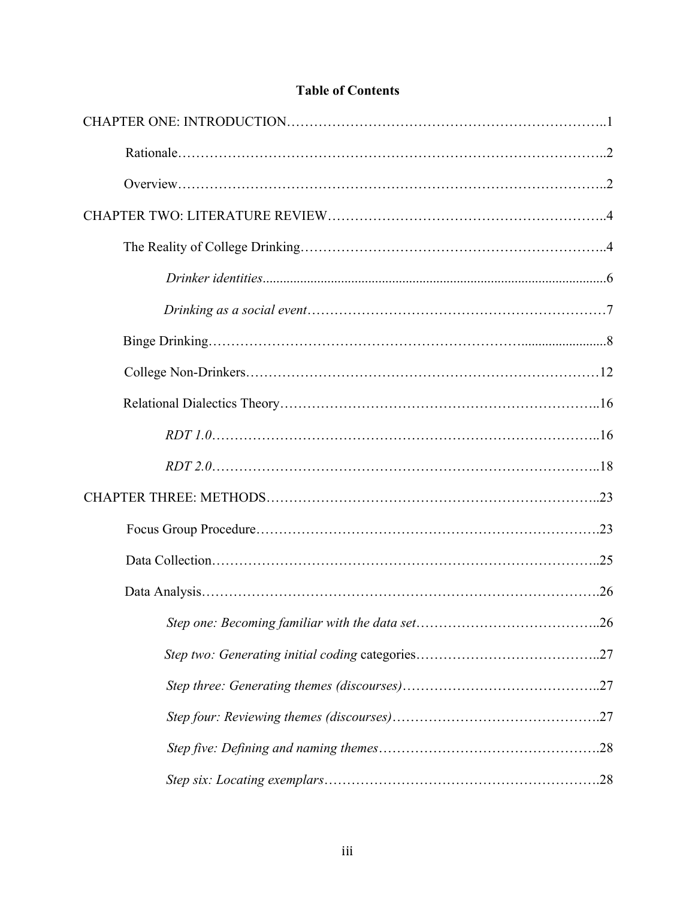## **Table of Contents**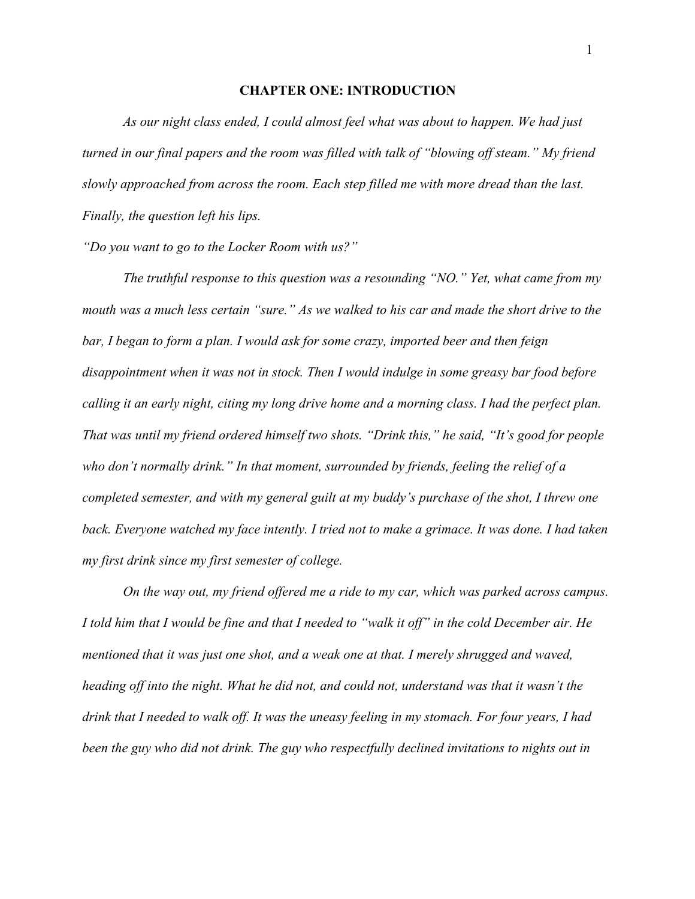#### **CHAPTER ONE: INTRODUCTION**

*As our night class ended, I could almost feel what was about to happen. We had just turned in our final papers and the room was filled with talk of "blowing off steam." My friend slowly approached from across the room. Each step filled me with more dread than the last. Finally, the question left his lips.*

*"Do you want to go to the Locker Room with us?"*

*The truthful response to this question was a resounding "NO." Yet, what came from my mouth was a much less certain "sure." As we walked to his car and made the short drive to the bar, I began to form a plan. I would ask for some crazy, imported beer and then feign disappointment when it was not in stock. Then I would indulge in some greasy bar food before calling it an early night, citing my long drive home and a morning class. I had the perfect plan. That was until my friend ordered himself two shots. "Drink this," he said, "It's good for people who don't normally drink." In that moment, surrounded by friends, feeling the relief of a completed semester, and with my general guilt at my buddy's purchase of the shot, I threw one back. Everyone watched my face intently. I tried not to make a grimace. It was done. I had taken my first drink since my first semester of college.* 

*On the way out, my friend offered me a ride to my car, which was parked across campus. I told him that I would be fine and that I needed to "walk it off" in the cold December air. He mentioned that it was just one shot, and a weak one at that. I merely shrugged and waved, heading off into the night. What he did not, and could not, understand was that it wasn't the drink that I needed to walk off. It was the uneasy feeling in my stomach. For four years, I had been the guy who did not drink. The guy who respectfully declined invitations to nights out in*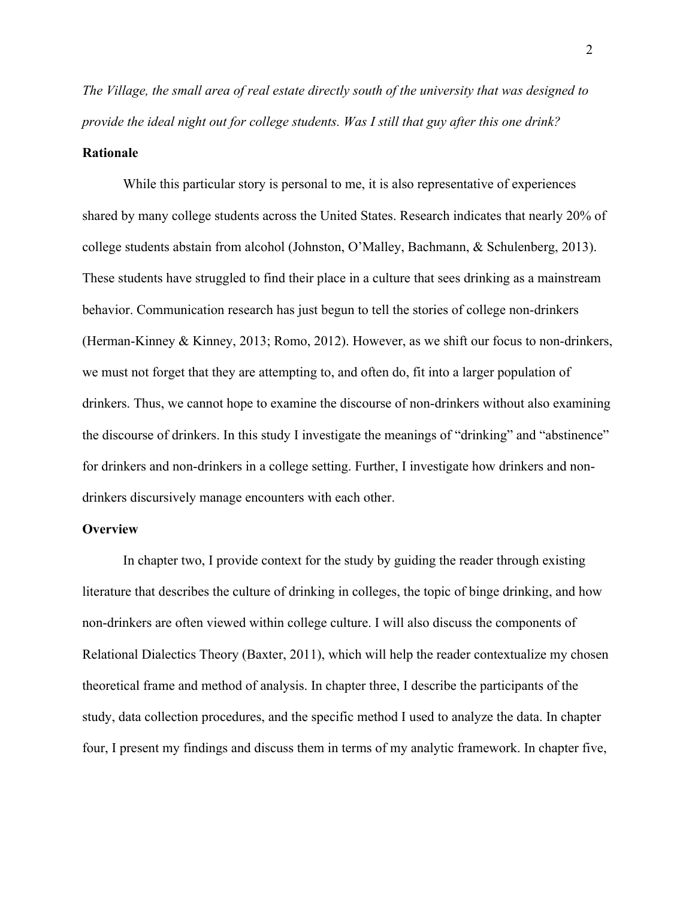*The Village, the small area of real estate directly south of the university that was designed to provide the ideal night out for college students. Was I still that guy after this one drink?*

#### **Rationale**

While this particular story is personal to me, it is also representative of experiences shared by many college students across the United States. Research indicates that nearly 20% of college students abstain from alcohol (Johnston, O'Malley, Bachmann, & Schulenberg, 2013). These students have struggled to find their place in a culture that sees drinking as a mainstream behavior. Communication research has just begun to tell the stories of college non-drinkers (Herman-Kinney & Kinney, 2013; Romo, 2012). However, as we shift our focus to non-drinkers, we must not forget that they are attempting to, and often do, fit into a larger population of drinkers. Thus, we cannot hope to examine the discourse of non-drinkers without also examining the discourse of drinkers. In this study I investigate the meanings of "drinking" and "abstinence" for drinkers and non-drinkers in a college setting. Further, I investigate how drinkers and nondrinkers discursively manage encounters with each other.

#### **Overview**

In chapter two, I provide context for the study by guiding the reader through existing literature that describes the culture of drinking in colleges, the topic of binge drinking, and how non-drinkers are often viewed within college culture. I will also discuss the components of Relational Dialectics Theory (Baxter, 2011), which will help the reader contextualize my chosen theoretical frame and method of analysis. In chapter three, I describe the participants of the study, data collection procedures, and the specific method I used to analyze the data. In chapter four, I present my findings and discuss them in terms of my analytic framework. In chapter five,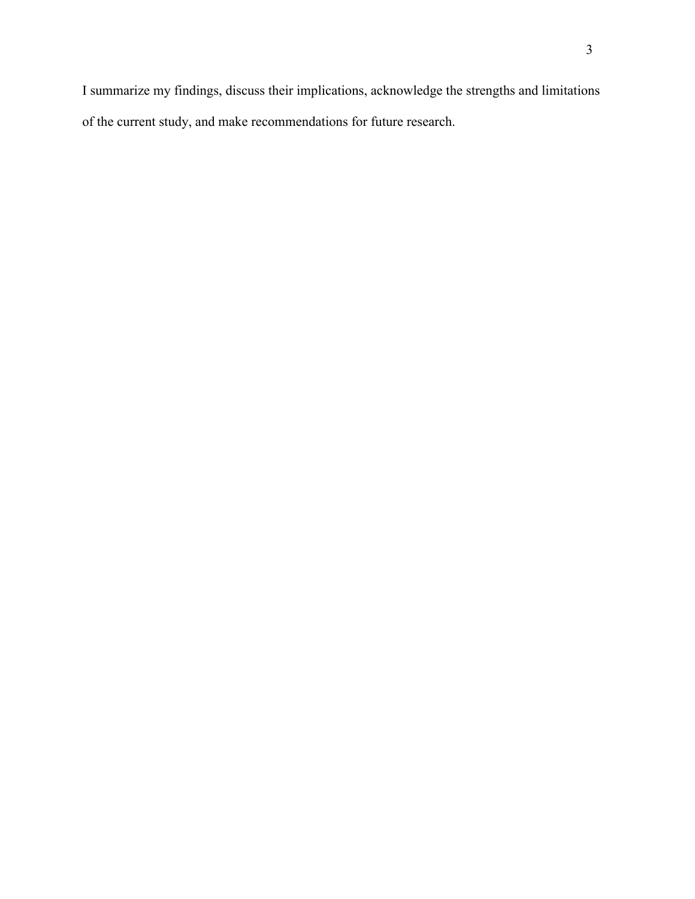I summarize my findings, discuss their implications, acknowledge the strengths and limitations of the current study, and make recommendations for future research.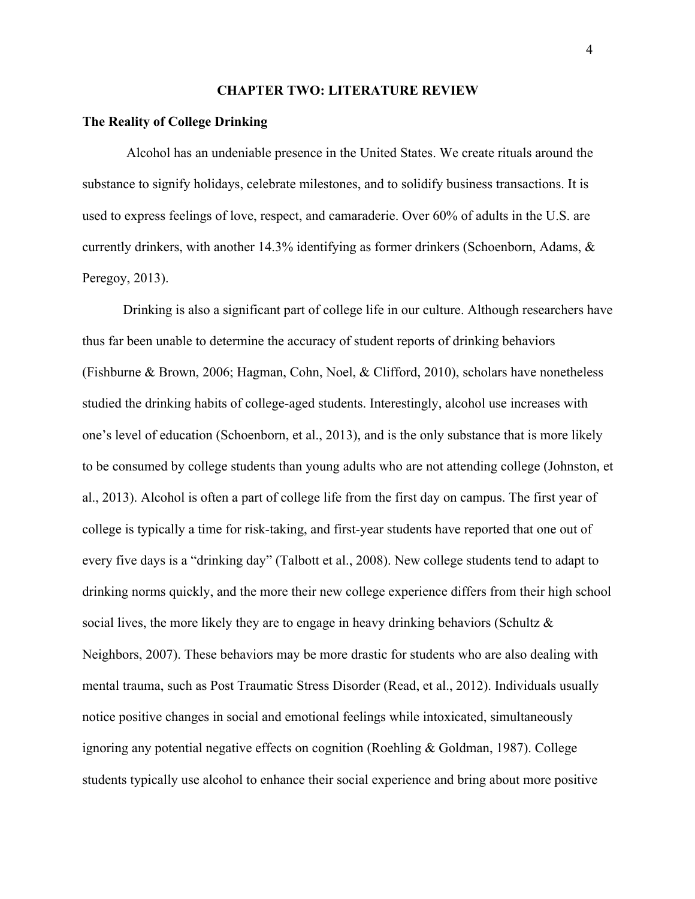#### **CHAPTER TWO: LITERATURE REVIEW**

#### **The Reality of College Drinking**

Alcohol has an undeniable presence in the United States. We create rituals around the substance to signify holidays, celebrate milestones, and to solidify business transactions. It is used to express feelings of love, respect, and camaraderie. Over 60% of adults in the U.S. are currently drinkers, with another 14.3% identifying as former drinkers (Schoenborn, Adams, & Peregoy, 2013).

Drinking is also a significant part of college life in our culture. Although researchers have thus far been unable to determine the accuracy of student reports of drinking behaviors (Fishburne & Brown, 2006; Hagman, Cohn, Noel, & Clifford, 2010), scholars have nonetheless studied the drinking habits of college-aged students. Interestingly, alcohol use increases with one's level of education (Schoenborn, et al., 2013), and is the only substance that is more likely to be consumed by college students than young adults who are not attending college (Johnston, et al., 2013). Alcohol is often a part of college life from the first day on campus. The first year of college is typically a time for risk-taking, and first-year students have reported that one out of every five days is a "drinking day" (Talbott et al., 2008). New college students tend to adapt to drinking norms quickly, and the more their new college experience differs from their high school social lives, the more likely they are to engage in heavy drinking behaviors (Schultz  $\&$ Neighbors, 2007). These behaviors may be more drastic for students who are also dealing with mental trauma, such as Post Traumatic Stress Disorder (Read, et al., 2012). Individuals usually notice positive changes in social and emotional feelings while intoxicated, simultaneously ignoring any potential negative effects on cognition (Roehling & Goldman, 1987). College students typically use alcohol to enhance their social experience and bring about more positive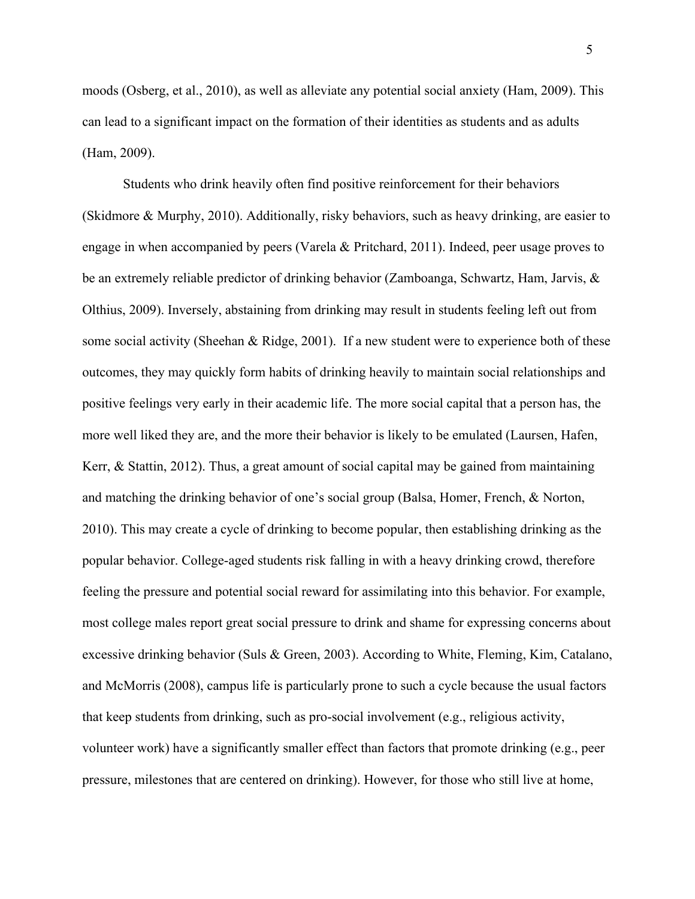moods (Osberg, et al., 2010), as well as alleviate any potential social anxiety (Ham, 2009). This can lead to a significant impact on the formation of their identities as students and as adults (Ham, 2009).

Students who drink heavily often find positive reinforcement for their behaviors (Skidmore & Murphy, 2010). Additionally, risky behaviors, such as heavy drinking, are easier to engage in when accompanied by peers (Varela & Pritchard, 2011). Indeed, peer usage proves to be an extremely reliable predictor of drinking behavior (Zamboanga, Schwartz, Ham, Jarvis, & Olthius, 2009). Inversely, abstaining from drinking may result in students feeling left out from some social activity (Sheehan & Ridge, 2001). If a new student were to experience both of these outcomes, they may quickly form habits of drinking heavily to maintain social relationships and positive feelings very early in their academic life. The more social capital that a person has, the more well liked they are, and the more their behavior is likely to be emulated (Laursen, Hafen, Kerr, & Stattin, 2012). Thus, a great amount of social capital may be gained from maintaining and matching the drinking behavior of one's social group (Balsa, Homer, French, & Norton, 2010). This may create a cycle of drinking to become popular, then establishing drinking as the popular behavior. College-aged students risk falling in with a heavy drinking crowd, therefore feeling the pressure and potential social reward for assimilating into this behavior. For example, most college males report great social pressure to drink and shame for expressing concerns about excessive drinking behavior (Suls & Green, 2003). According to White, Fleming, Kim, Catalano, and McMorris (2008), campus life is particularly prone to such a cycle because the usual factors that keep students from drinking, such as pro-social involvement (e.g., religious activity, volunteer work) have a significantly smaller effect than factors that promote drinking (e.g., peer pressure, milestones that are centered on drinking). However, for those who still live at home,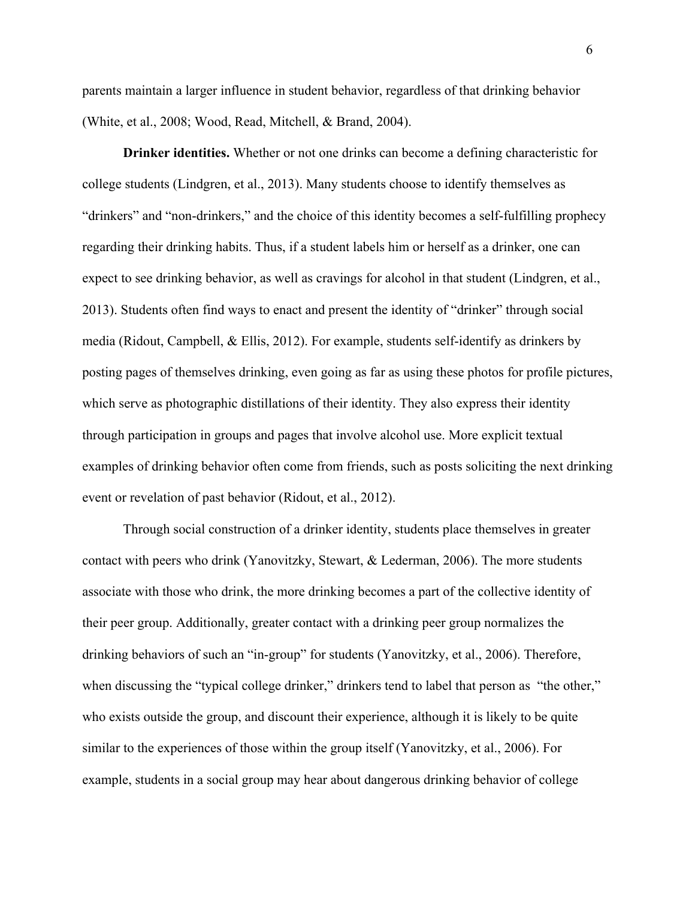parents maintain a larger influence in student behavior, regardless of that drinking behavior (White, et al., 2008; Wood, Read, Mitchell, & Brand, 2004).

**Drinker identities.** Whether or not one drinks can become a defining characteristic for college students (Lindgren, et al., 2013). Many students choose to identify themselves as "drinkers" and "non-drinkers," and the choice of this identity becomes a self-fulfilling prophecy regarding their drinking habits. Thus, if a student labels him or herself as a drinker, one can expect to see drinking behavior, as well as cravings for alcohol in that student (Lindgren, et al., 2013). Students often find ways to enact and present the identity of "drinker" through social media (Ridout, Campbell, & Ellis, 2012). For example, students self-identify as drinkers by posting pages of themselves drinking, even going as far as using these photos for profile pictures, which serve as photographic distillations of their identity. They also express their identity through participation in groups and pages that involve alcohol use. More explicit textual examples of drinking behavior often come from friends, such as posts soliciting the next drinking event or revelation of past behavior (Ridout, et al., 2012).

Through social construction of a drinker identity, students place themselves in greater contact with peers who drink (Yanovitzky, Stewart, & Lederman, 2006). The more students associate with those who drink, the more drinking becomes a part of the collective identity of their peer group. Additionally, greater contact with a drinking peer group normalizes the drinking behaviors of such an "in-group" for students (Yanovitzky, et al., 2006). Therefore, when discussing the "typical college drinker," drinkers tend to label that person as "the other," who exists outside the group, and discount their experience, although it is likely to be quite similar to the experiences of those within the group itself (Yanovitzky, et al., 2006). For example, students in a social group may hear about dangerous drinking behavior of college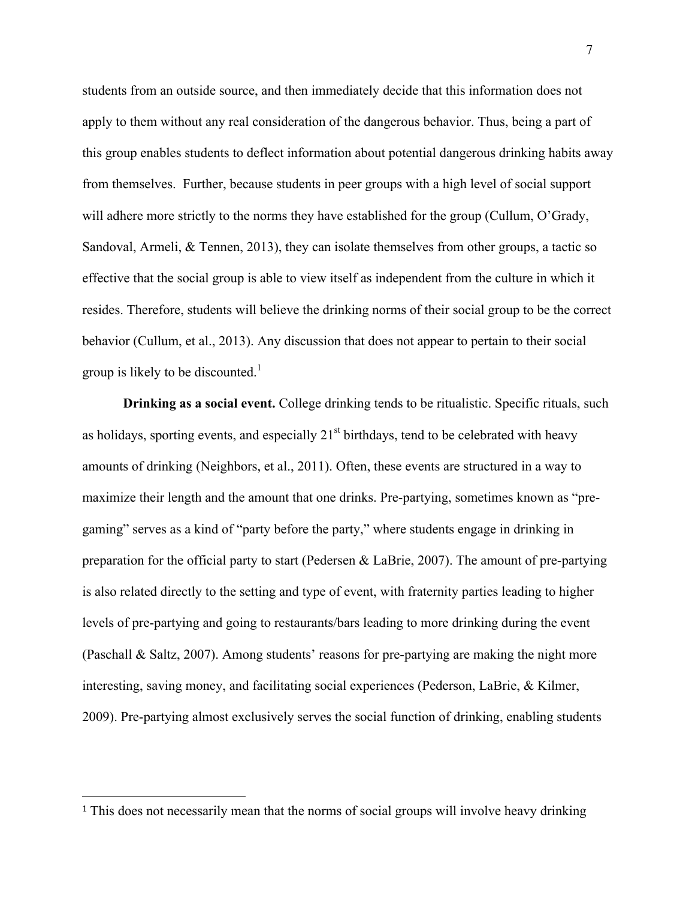students from an outside source, and then immediately decide that this information does not apply to them without any real consideration of the dangerous behavior. Thus, being a part of this group enables students to deflect information about potential dangerous drinking habits away from themselves. Further, because students in peer groups with a high level of social support will adhere more strictly to the norms they have established for the group (Cullum, O'Grady, Sandoval, Armeli, & Tennen, 2013), they can isolate themselves from other groups, a tactic so effective that the social group is able to view itself as independent from the culture in which it resides. Therefore, students will believe the drinking norms of their social group to be the correct behavior (Cullum, et al., 2013). Any discussion that does not appear to pertain to their social group is likely to be discounted.<sup>1</sup>

**Drinking as a social event.** College drinking tends to be ritualistic. Specific rituals, such as holidays, sporting events, and especially  $21<sup>st</sup>$  birthdays, tend to be celebrated with heavy amounts of drinking (Neighbors, et al., 2011). Often, these events are structured in a way to maximize their length and the amount that one drinks. Pre-partying, sometimes known as "pregaming" serves as a kind of "party before the party," where students engage in drinking in preparation for the official party to start (Pedersen & LaBrie, 2007). The amount of pre-partying is also related directly to the setting and type of event, with fraternity parties leading to higher levels of pre-partying and going to restaurants/bars leading to more drinking during the event (Paschall & Saltz, 2007). Among students' reasons for pre-partying are making the night more interesting, saving money, and facilitating social experiences (Pederson, LaBrie, & Kilmer, 2009). Pre-partying almost exclusively serves the social function of drinking, enabling students

 

<sup>1</sup> This does not necessarily mean that the norms of social groups will involve heavy drinking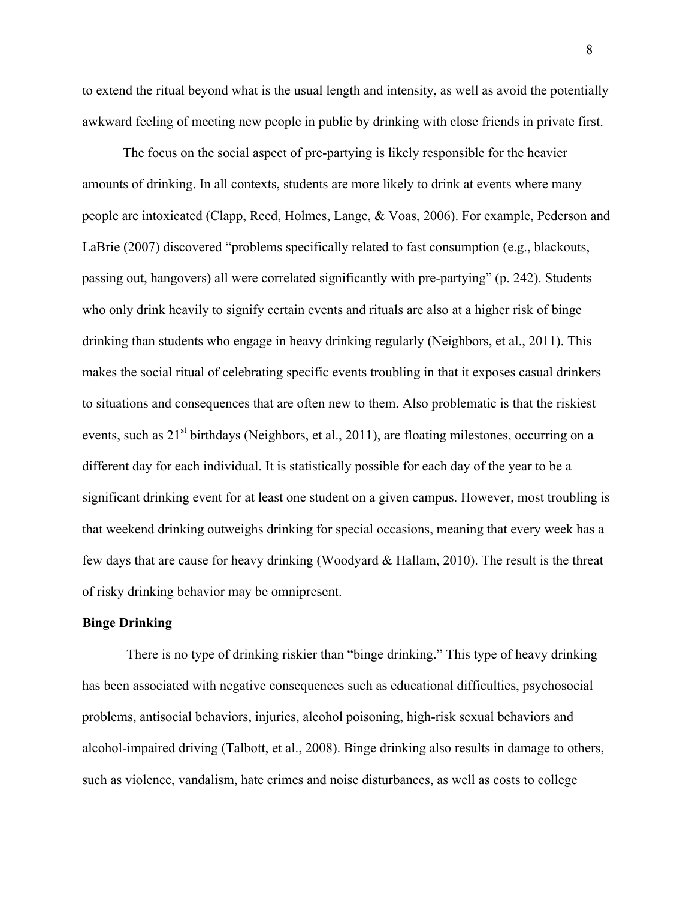to extend the ritual beyond what is the usual length and intensity, as well as avoid the potentially awkward feeling of meeting new people in public by drinking with close friends in private first.

The focus on the social aspect of pre-partying is likely responsible for the heavier amounts of drinking. In all contexts, students are more likely to drink at events where many people are intoxicated (Clapp, Reed, Holmes, Lange, & Voas, 2006). For example, Pederson and LaBrie (2007) discovered "problems specifically related to fast consumption (e.g., blackouts, passing out, hangovers) all were correlated significantly with pre-partying" (p. 242). Students who only drink heavily to signify certain events and rituals are also at a higher risk of binge drinking than students who engage in heavy drinking regularly (Neighbors, et al., 2011). This makes the social ritual of celebrating specific events troubling in that it exposes casual drinkers to situations and consequences that are often new to them. Also problematic is that the riskiest events, such as  $21^{st}$  birthdays (Neighbors, et al., 2011), are floating milestones, occurring on a different day for each individual. It is statistically possible for each day of the year to be a significant drinking event for at least one student on a given campus. However, most troubling is that weekend drinking outweighs drinking for special occasions, meaning that every week has a few days that are cause for heavy drinking (Woodyard & Hallam, 2010). The result is the threat of risky drinking behavior may be omnipresent.

#### **Binge Drinking**

There is no type of drinking riskier than "binge drinking." This type of heavy drinking has been associated with negative consequences such as educational difficulties, psychosocial problems, antisocial behaviors, injuries, alcohol poisoning, high-risk sexual behaviors and alcohol-impaired driving (Talbott, et al., 2008). Binge drinking also results in damage to others, such as violence, vandalism, hate crimes and noise disturbances, as well as costs to college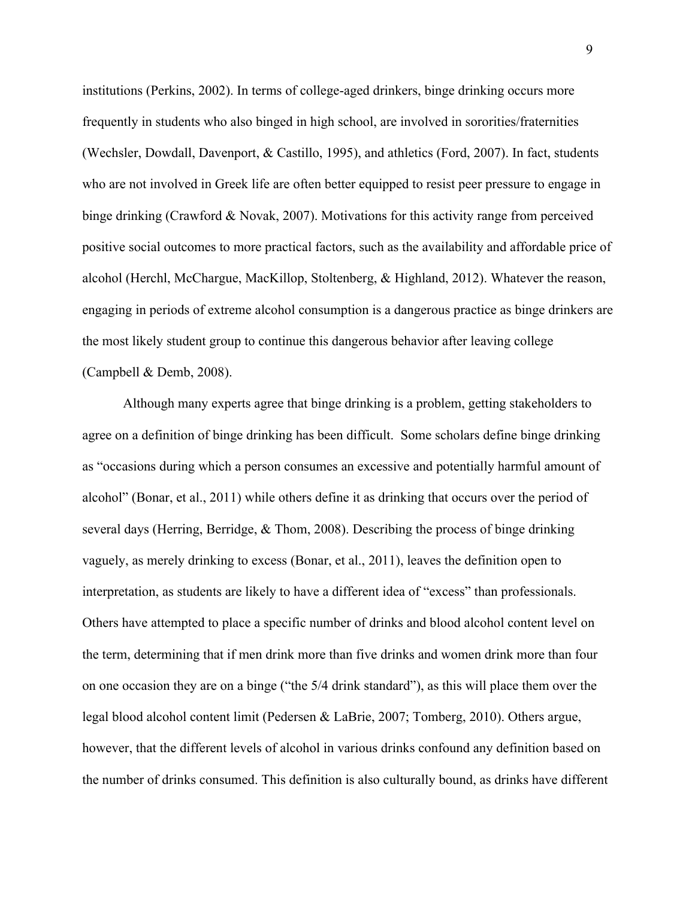institutions (Perkins, 2002). In terms of college-aged drinkers, binge drinking occurs more frequently in students who also binged in high school, are involved in sororities/fraternities (Wechsler, Dowdall, Davenport, & Castillo, 1995), and athletics (Ford, 2007). In fact, students who are not involved in Greek life are often better equipped to resist peer pressure to engage in binge drinking (Crawford & Novak, 2007). Motivations for this activity range from perceived positive social outcomes to more practical factors, such as the availability and affordable price of alcohol (Herchl, McChargue, MacKillop, Stoltenberg, & Highland, 2012). Whatever the reason, engaging in periods of extreme alcohol consumption is a dangerous practice as binge drinkers are the most likely student group to continue this dangerous behavior after leaving college (Campbell & Demb, 2008).

Although many experts agree that binge drinking is a problem, getting stakeholders to agree on a definition of binge drinking has been difficult. Some scholars define binge drinking as "occasions during which a person consumes an excessive and potentially harmful amount of alcohol" (Bonar, et al., 2011) while others define it as drinking that occurs over the period of several days (Herring, Berridge, & Thom, 2008). Describing the process of binge drinking vaguely, as merely drinking to excess (Bonar, et al., 2011), leaves the definition open to interpretation, as students are likely to have a different idea of "excess" than professionals. Others have attempted to place a specific number of drinks and blood alcohol content level on the term, determining that if men drink more than five drinks and women drink more than four on one occasion they are on a binge ("the 5/4 drink standard"), as this will place them over the legal blood alcohol content limit (Pedersen & LaBrie, 2007; Tomberg, 2010). Others argue, however, that the different levels of alcohol in various drinks confound any definition based on the number of drinks consumed. This definition is also culturally bound, as drinks have different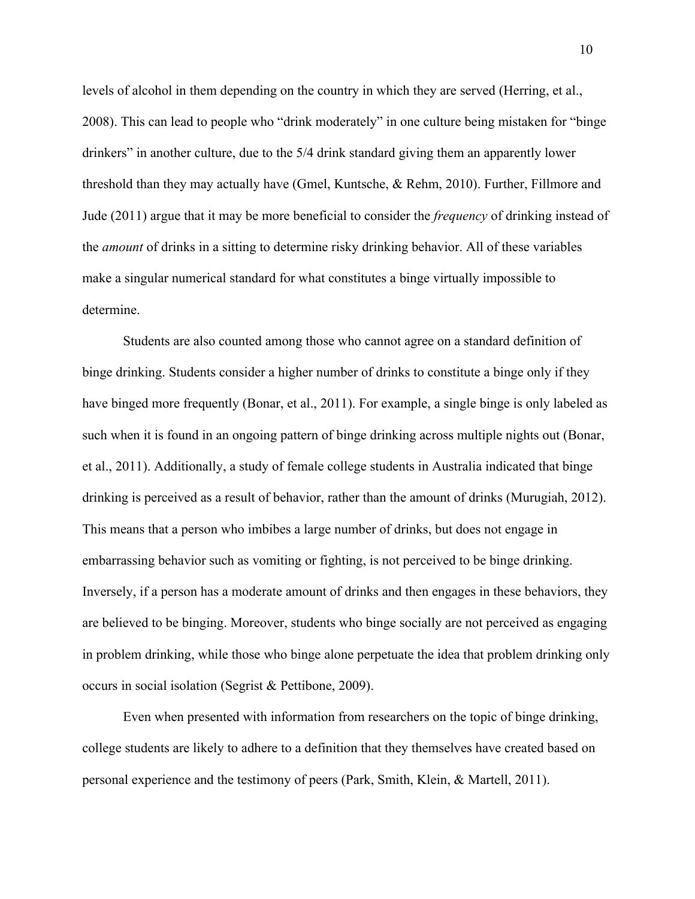levels of alcohol in them depending on the country in which they are served (Herring, et al., 2008). This can lead to people who "drink moderately" in one culture being mistaken for "binge drinkers" in another culture, due to the 5/4 drink standard giving them an apparently lower threshold than they may actually have (Gmel, Kuntsche, & Rehm, 2010). Further, Fillmore and Jude (2011) argue that it may be more beneficial to consider the *frequency* of drinking instead of the *amount* of drinks in a sitting to determine risky drinking behavior. All of these variables make a singular numerical standard for what constitutes a binge virtually impossible to determine.

Students are also counted among those who cannot agree on a standard definition of binge drinking. Students consider a higher number of drinks to constitute a binge only if they have binged more frequently (Bonar, et al., 2011). For example, a single binge is only labeled as such when it is found in an ongoing pattern of binge drinking across multiple nights out (Bonar, et al., 2011). Additionally, a study of female college students in Australia indicated that binge drinking is perceived as a result of behavior, rather than the amount of drinks (Murugiah, 2012). This means that a person who imbibes a large number of drinks, but does not engage in embarrassing behavior such as vomiting or fighting, is not perceived to be binge drinking. Inversely, if a person has a moderate amount of drinks and then engages in these behaviors, they are believed to be binging. Moreover, students who binge socially are not perceived as engaging in problem drinking, while those who binge alone perpetuate the idea that problem drinking only occurs in social isolation (Segrist & Pettibone, 2009).

Even when presented with information from researchers on the topic of binge drinking, college students are likely to adhere to a definition that they themselves have created based on personal experience and the testimony of peers (Park, Smith, Klein, & Martell, 2011).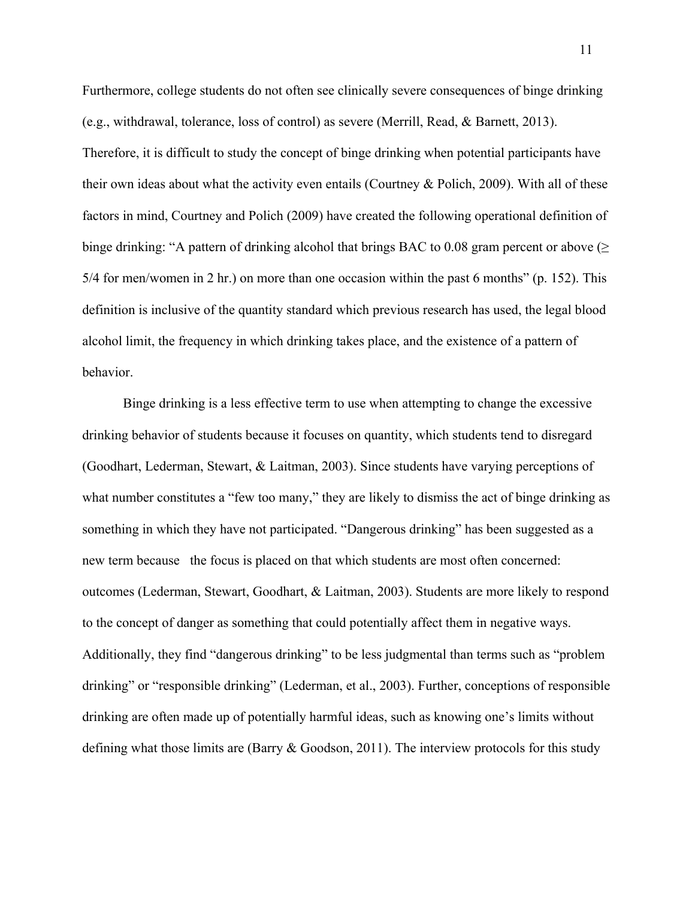Furthermore, college students do not often see clinically severe consequences of binge drinking (e.g., withdrawal, tolerance, loss of control) as severe (Merrill, Read, & Barnett, 2013). Therefore, it is difficult to study the concept of binge drinking when potential participants have their own ideas about what the activity even entails (Courtney & Polich, 2009). With all of these factors in mind, Courtney and Polich (2009) have created the following operational definition of binge drinking: "A pattern of drinking alcohol that brings BAC to 0.08 gram percent or above  $(\geq$ 5/4 for men/women in 2 hr.) on more than one occasion within the past 6 months" (p. 152). This definition is inclusive of the quantity standard which previous research has used, the legal blood alcohol limit, the frequency in which drinking takes place, and the existence of a pattern of behavior.

Binge drinking is a less effective term to use when attempting to change the excessive drinking behavior of students because it focuses on quantity, which students tend to disregard (Goodhart, Lederman, Stewart, & Laitman, 2003). Since students have varying perceptions of what number constitutes a "few too many," they are likely to dismiss the act of binge drinking as something in which they have not participated. "Dangerous drinking" has been suggested as a new term because the focus is placed on that which students are most often concerned: outcomes (Lederman, Stewart, Goodhart, & Laitman, 2003). Students are more likely to respond to the concept of danger as something that could potentially affect them in negative ways. Additionally, they find "dangerous drinking" to be less judgmental than terms such as "problem drinking" or "responsible drinking" (Lederman, et al., 2003). Further, conceptions of responsible drinking are often made up of potentially harmful ideas, such as knowing one's limits without defining what those limits are (Barry & Goodson, 2011). The interview protocols for this study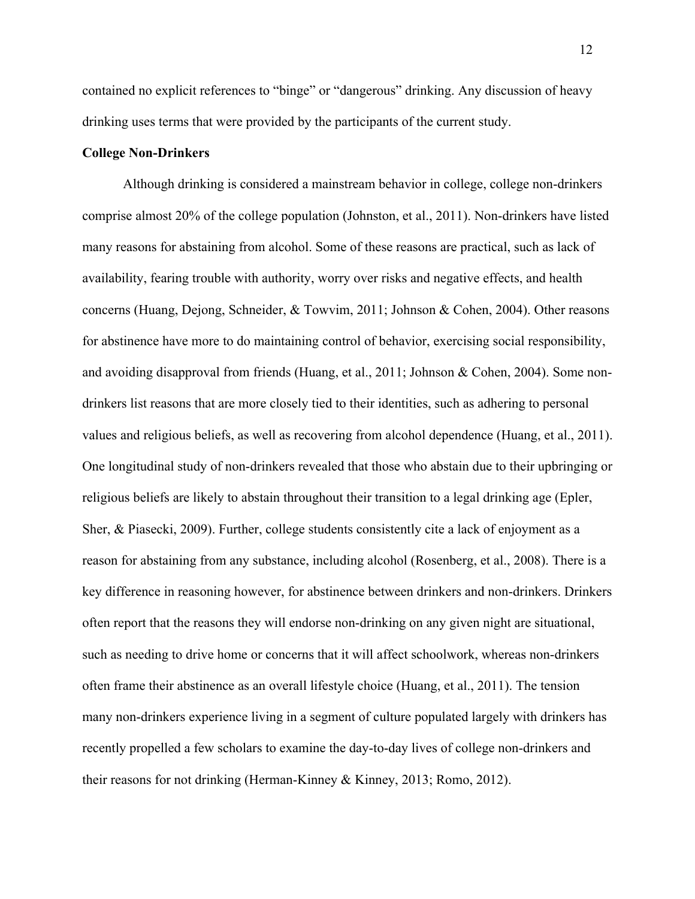contained no explicit references to "binge" or "dangerous" drinking. Any discussion of heavy drinking uses terms that were provided by the participants of the current study.

#### **College Non-Drinkers**

Although drinking is considered a mainstream behavior in college, college non-drinkers comprise almost 20% of the college population (Johnston, et al., 2011). Non-drinkers have listed many reasons for abstaining from alcohol. Some of these reasons are practical, such as lack of availability, fearing trouble with authority, worry over risks and negative effects, and health concerns (Huang, Dejong, Schneider, & Towvim, 2011; Johnson & Cohen, 2004). Other reasons for abstinence have more to do maintaining control of behavior, exercising social responsibility, and avoiding disapproval from friends (Huang, et al., 2011; Johnson & Cohen, 2004). Some nondrinkers list reasons that are more closely tied to their identities, such as adhering to personal values and religious beliefs, as well as recovering from alcohol dependence (Huang, et al., 2011). One longitudinal study of non-drinkers revealed that those who abstain due to their upbringing or religious beliefs are likely to abstain throughout their transition to a legal drinking age (Epler, Sher, & Piasecki, 2009). Further, college students consistently cite a lack of enjoyment as a reason for abstaining from any substance, including alcohol (Rosenberg, et al., 2008). There is a key difference in reasoning however, for abstinence between drinkers and non-drinkers. Drinkers often report that the reasons they will endorse non-drinking on any given night are situational, such as needing to drive home or concerns that it will affect schoolwork, whereas non-drinkers often frame their abstinence as an overall lifestyle choice (Huang, et al., 2011). The tension many non-drinkers experience living in a segment of culture populated largely with drinkers has recently propelled a few scholars to examine the day-to-day lives of college non-drinkers and their reasons for not drinking (Herman-Kinney & Kinney, 2013; Romo, 2012).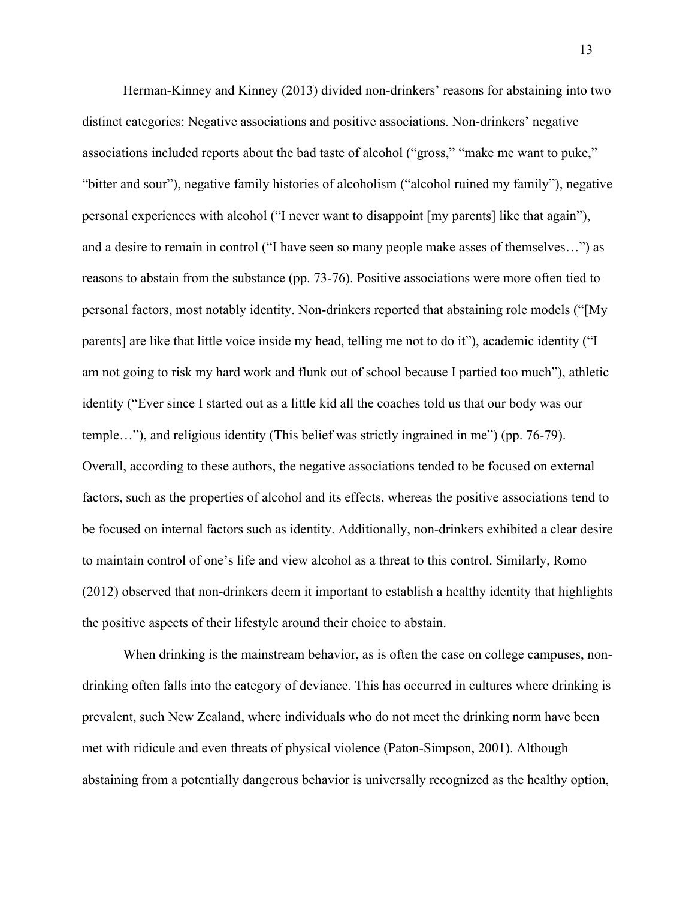Herman-Kinney and Kinney (2013) divided non-drinkers' reasons for abstaining into two distinct categories: Negative associations and positive associations. Non-drinkers' negative associations included reports about the bad taste of alcohol ("gross," "make me want to puke," "bitter and sour"), negative family histories of alcoholism ("alcohol ruined my family"), negative personal experiences with alcohol ("I never want to disappoint [my parents] like that again"), and a desire to remain in control ("I have seen so many people make asses of themselves…") as reasons to abstain from the substance (pp. 73-76). Positive associations were more often tied to personal factors, most notably identity. Non-drinkers reported that abstaining role models ("[My parents] are like that little voice inside my head, telling me not to do it"), academic identity ("I am not going to risk my hard work and flunk out of school because I partied too much"), athletic identity ("Ever since I started out as a little kid all the coaches told us that our body was our temple…"), and religious identity (This belief was strictly ingrained in me") (pp. 76-79). Overall, according to these authors, the negative associations tended to be focused on external factors, such as the properties of alcohol and its effects, whereas the positive associations tend to be focused on internal factors such as identity. Additionally, non-drinkers exhibited a clear desire to maintain control of one's life and view alcohol as a threat to this control. Similarly, Romo (2012) observed that non-drinkers deem it important to establish a healthy identity that highlights the positive aspects of their lifestyle around their choice to abstain.

When drinking is the mainstream behavior, as is often the case on college campuses, nondrinking often falls into the category of deviance. This has occurred in cultures where drinking is prevalent, such New Zealand, where individuals who do not meet the drinking norm have been met with ridicule and even threats of physical violence (Paton-Simpson, 2001). Although abstaining from a potentially dangerous behavior is universally recognized as the healthy option,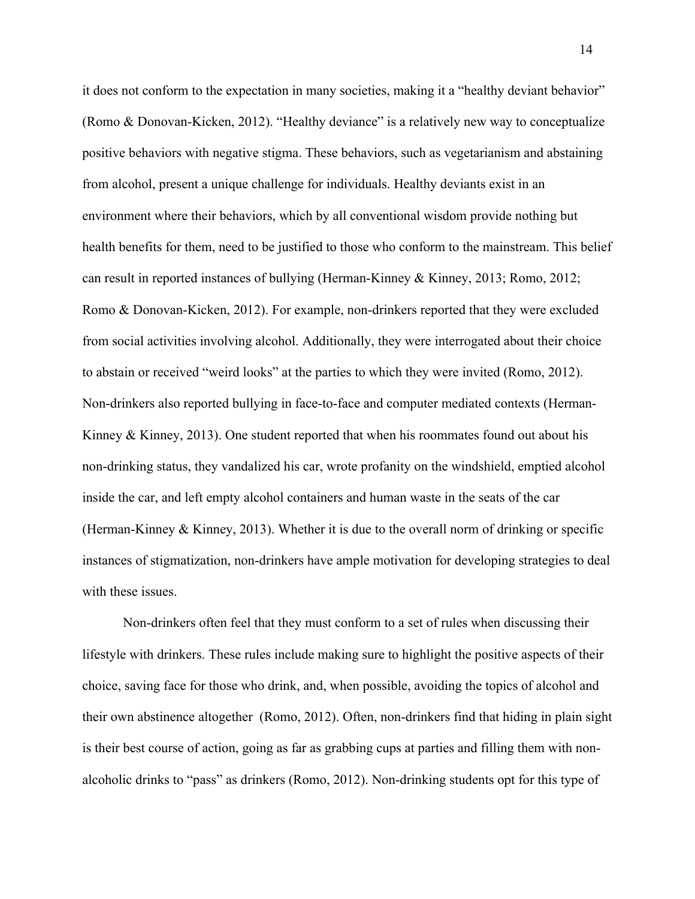it does not conform to the expectation in many societies, making it a "healthy deviant behavior" (Romo & Donovan-Kicken, 2012). "Healthy deviance" is a relatively new way to conceptualize positive behaviors with negative stigma. These behaviors, such as vegetarianism and abstaining from alcohol, present a unique challenge for individuals. Healthy deviants exist in an environment where their behaviors, which by all conventional wisdom provide nothing but health benefits for them, need to be justified to those who conform to the mainstream. This belief can result in reported instances of bullying (Herman-Kinney & Kinney, 2013; Romo, 2012; Romo & Donovan-Kicken, 2012). For example, non-drinkers reported that they were excluded from social activities involving alcohol. Additionally, they were interrogated about their choice to abstain or received "weird looks" at the parties to which they were invited (Romo, 2012). Non-drinkers also reported bullying in face-to-face and computer mediated contexts (Herman-Kinney  $\&$  Kinney, 2013). One student reported that when his roommates found out about his non-drinking status, they vandalized his car, wrote profanity on the windshield, emptied alcohol inside the car, and left empty alcohol containers and human waste in the seats of the car (Herman-Kinney & Kinney, 2013). Whether it is due to the overall norm of drinking or specific instances of stigmatization, non-drinkers have ample motivation for developing strategies to deal with these issues.

Non-drinkers often feel that they must conform to a set of rules when discussing their lifestyle with drinkers. These rules include making sure to highlight the positive aspects of their choice, saving face for those who drink, and, when possible, avoiding the topics of alcohol and their own abstinence altogether (Romo, 2012). Often, non-drinkers find that hiding in plain sight is their best course of action, going as far as grabbing cups at parties and filling them with nonalcoholic drinks to "pass" as drinkers (Romo, 2012). Non-drinking students opt for this type of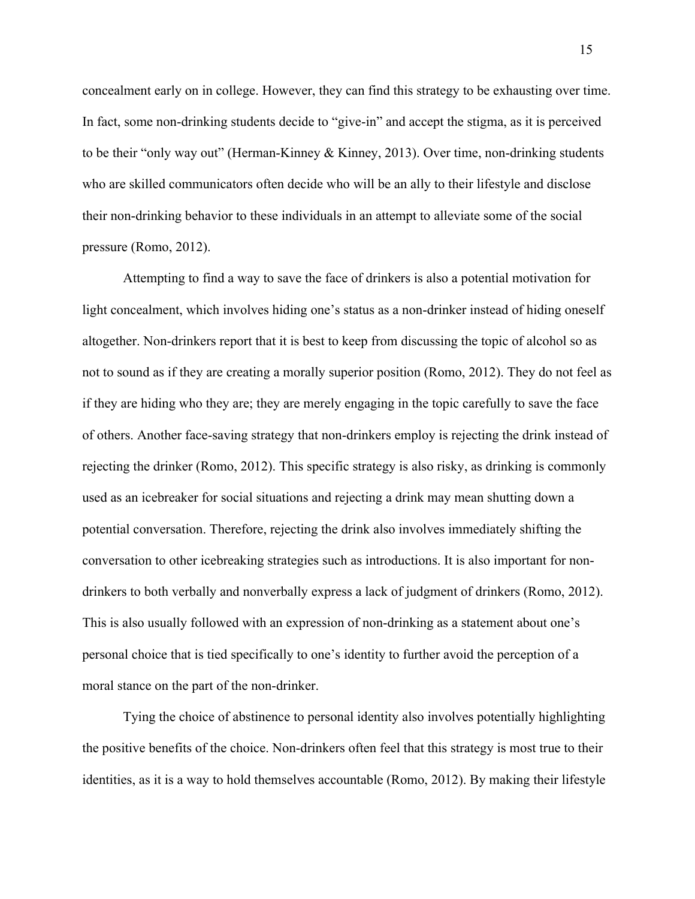concealment early on in college. However, they can find this strategy to be exhausting over time. In fact, some non-drinking students decide to "give-in" and accept the stigma, as it is perceived to be their "only way out" (Herman-Kinney & Kinney, 2013). Over time, non-drinking students who are skilled communicators often decide who will be an ally to their lifestyle and disclose their non-drinking behavior to these individuals in an attempt to alleviate some of the social pressure (Romo, 2012).

Attempting to find a way to save the face of drinkers is also a potential motivation for light concealment, which involves hiding one's status as a non-drinker instead of hiding oneself altogether. Non-drinkers report that it is best to keep from discussing the topic of alcohol so as not to sound as if they are creating a morally superior position (Romo, 2012). They do not feel as if they are hiding who they are; they are merely engaging in the topic carefully to save the face of others. Another face-saving strategy that non-drinkers employ is rejecting the drink instead of rejecting the drinker (Romo, 2012). This specific strategy is also risky, as drinking is commonly used as an icebreaker for social situations and rejecting a drink may mean shutting down a potential conversation. Therefore, rejecting the drink also involves immediately shifting the conversation to other icebreaking strategies such as introductions. It is also important for nondrinkers to both verbally and nonverbally express a lack of judgment of drinkers (Romo, 2012). This is also usually followed with an expression of non-drinking as a statement about one's personal choice that is tied specifically to one's identity to further avoid the perception of a moral stance on the part of the non-drinker.

Tying the choice of abstinence to personal identity also involves potentially highlighting the positive benefits of the choice. Non-drinkers often feel that this strategy is most true to their identities, as it is a way to hold themselves accountable (Romo, 2012). By making their lifestyle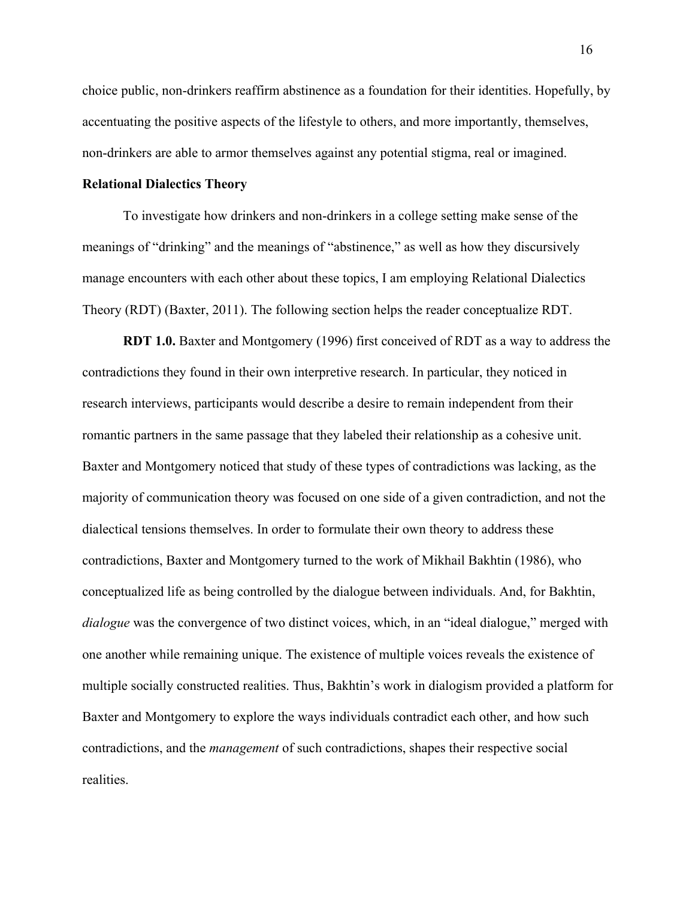choice public, non-drinkers reaffirm abstinence as a foundation for their identities. Hopefully, by accentuating the positive aspects of the lifestyle to others, and more importantly, themselves, non-drinkers are able to armor themselves against any potential stigma, real or imagined.

#### **Relational Dialectics Theory**

To investigate how drinkers and non-drinkers in a college setting make sense of the meanings of "drinking" and the meanings of "abstinence," as well as how they discursively manage encounters with each other about these topics, I am employing Relational Dialectics Theory (RDT) (Baxter, 2011). The following section helps the reader conceptualize RDT.

**RDT 1.0.** Baxter and Montgomery (1996) first conceived of RDT as a way to address the contradictions they found in their own interpretive research. In particular, they noticed in research interviews, participants would describe a desire to remain independent from their romantic partners in the same passage that they labeled their relationship as a cohesive unit. Baxter and Montgomery noticed that study of these types of contradictions was lacking, as the majority of communication theory was focused on one side of a given contradiction, and not the dialectical tensions themselves. In order to formulate their own theory to address these contradictions, Baxter and Montgomery turned to the work of Mikhail Bakhtin (1986), who conceptualized life as being controlled by the dialogue between individuals. And, for Bakhtin, *dialogue* was the convergence of two distinct voices, which, in an "ideal dialogue," merged with one another while remaining unique. The existence of multiple voices reveals the existence of multiple socially constructed realities. Thus, Bakhtin's work in dialogism provided a platform for Baxter and Montgomery to explore the ways individuals contradict each other, and how such contradictions, and the *management* of such contradictions, shapes their respective social realities.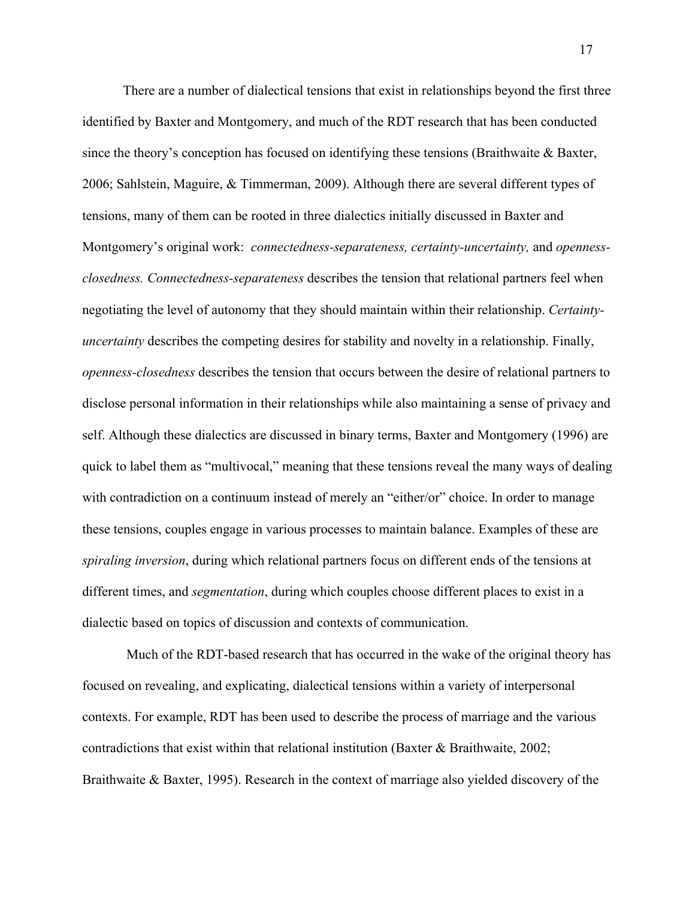There are a number of dialectical tensions that exist in relationships beyond the first three identified by Baxter and Montgomery, and much of the RDT research that has been conducted since the theory's conception has focused on identifying these tensions (Braithwaite & Baxter, 2006; Sahlstein, Maguire, & Timmerman, 2009). Although there are several different types of tensions, many of them can be rooted in three dialectics initially discussed in Baxter and Montgomery's original work: *connectedness-separateness, certainty-uncertainty,* and *opennessclosedness. Connectedness-separateness* describes the tension that relational partners feel when negotiating the level of autonomy that they should maintain within their relationship. *Certaintyuncertainty* describes the competing desires for stability and novelty in a relationship. Finally, *openness-closedness* describes the tension that occurs between the desire of relational partners to disclose personal information in their relationships while also maintaining a sense of privacy and self. Although these dialectics are discussed in binary terms, Baxter and Montgomery (1996) are quick to label them as "multivocal," meaning that these tensions reveal the many ways of dealing with contradiction on a continuum instead of merely an "either/or" choice. In order to manage these tensions, couples engage in various processes to maintain balance. Examples of these are *spiraling inversion*, during which relational partners focus on different ends of the tensions at different times, and *segmentation*, during which couples choose different places to exist in a dialectic based on topics of discussion and contexts of communication.

Much of the RDT-based research that has occurred in the wake of the original theory has focused on revealing, and explicating, dialectical tensions within a variety of interpersonal contexts. For example, RDT has been used to describe the process of marriage and the various contradictions that exist within that relational institution (Baxter & Braithwaite, 2002; Braithwaite & Baxter, 1995). Research in the context of marriage also yielded discovery of the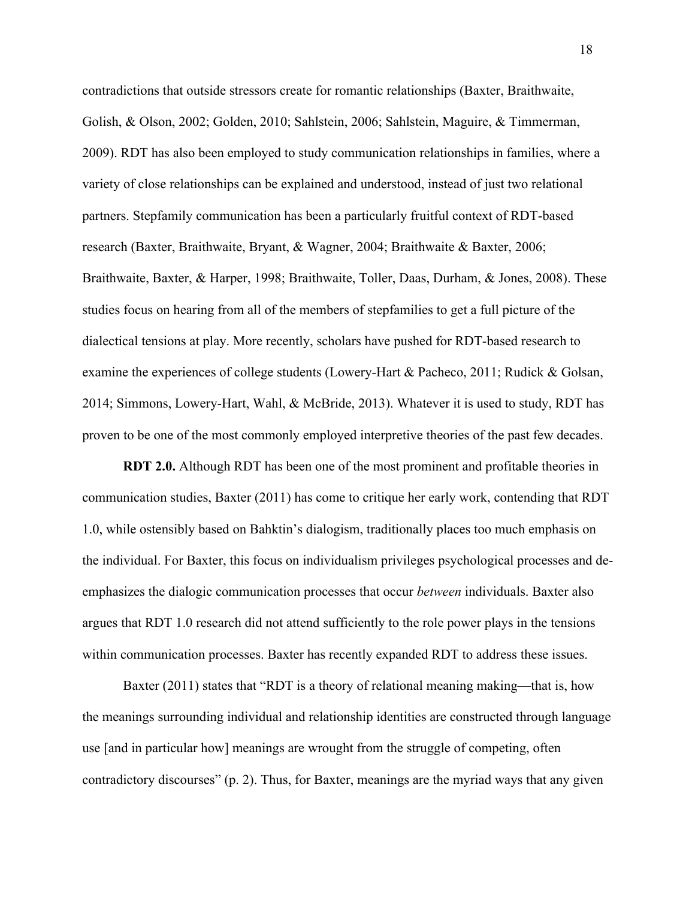contradictions that outside stressors create for romantic relationships (Baxter, Braithwaite, Golish, & Olson, 2002; Golden, 2010; Sahlstein, 2006; Sahlstein, Maguire, & Timmerman, 2009). RDT has also been employed to study communication relationships in families, where a variety of close relationships can be explained and understood, instead of just two relational partners. Stepfamily communication has been a particularly fruitful context of RDT-based research (Baxter, Braithwaite, Bryant, & Wagner, 2004; Braithwaite & Baxter, 2006; Braithwaite, Baxter, & Harper, 1998; Braithwaite, Toller, Daas, Durham, & Jones, 2008). These studies focus on hearing from all of the members of stepfamilies to get a full picture of the dialectical tensions at play. More recently, scholars have pushed for RDT-based research to examine the experiences of college students (Lowery-Hart & Pacheco, 2011; Rudick & Golsan, 2014; Simmons, Lowery-Hart, Wahl, & McBride, 2013). Whatever it is used to study, RDT has proven to be one of the most commonly employed interpretive theories of the past few decades.

**RDT 2.0.** Although RDT has been one of the most prominent and profitable theories in communication studies, Baxter (2011) has come to critique her early work, contending that RDT 1.0, while ostensibly based on Bahktin's dialogism, traditionally places too much emphasis on the individual. For Baxter, this focus on individualism privileges psychological processes and deemphasizes the dialogic communication processes that occur *between* individuals. Baxter also argues that RDT 1.0 research did not attend sufficiently to the role power plays in the tensions within communication processes. Baxter has recently expanded RDT to address these issues.

Baxter (2011) states that "RDT is a theory of relational meaning making—that is, how the meanings surrounding individual and relationship identities are constructed through language use [and in particular how] meanings are wrought from the struggle of competing, often contradictory discourses" (p. 2). Thus, for Baxter, meanings are the myriad ways that any given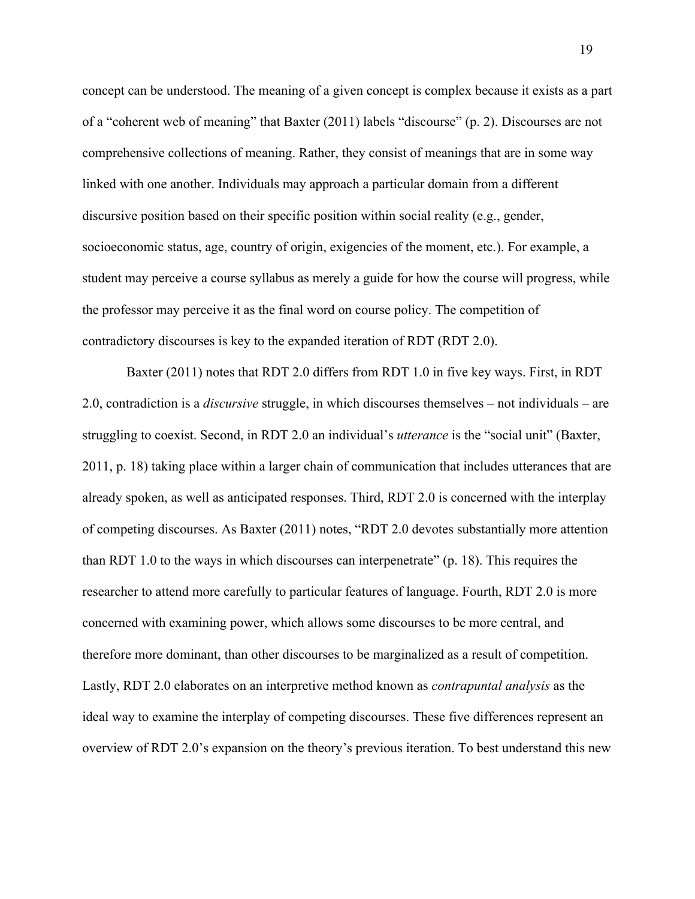concept can be understood. The meaning of a given concept is complex because it exists as a part of a "coherent web of meaning" that Baxter (2011) labels "discourse" (p. 2). Discourses are not comprehensive collections of meaning. Rather, they consist of meanings that are in some way linked with one another. Individuals may approach a particular domain from a different discursive position based on their specific position within social reality (e.g., gender, socioeconomic status, age, country of origin, exigencies of the moment, etc.). For example, a student may perceive a course syllabus as merely a guide for how the course will progress, while the professor may perceive it as the final word on course policy. The competition of contradictory discourses is key to the expanded iteration of RDT (RDT 2.0).

Baxter (2011) notes that RDT 2.0 differs from RDT 1.0 in five key ways. First, in RDT 2.0, contradiction is a *discursive* struggle, in which discourses themselves – not individuals – are struggling to coexist. Second, in RDT 2.0 an individual's *utterance* is the "social unit" (Baxter, 2011, p. 18) taking place within a larger chain of communication that includes utterances that are already spoken, as well as anticipated responses. Third, RDT 2.0 is concerned with the interplay of competing discourses. As Baxter (2011) notes, "RDT 2.0 devotes substantially more attention than RDT 1.0 to the ways in which discourses can interpenetrate" (p. 18). This requires the researcher to attend more carefully to particular features of language. Fourth, RDT 2.0 is more concerned with examining power, which allows some discourses to be more central, and therefore more dominant, than other discourses to be marginalized as a result of competition. Lastly, RDT 2.0 elaborates on an interpretive method known as *contrapuntal analysis* as the ideal way to examine the interplay of competing discourses. These five differences represent an overview of RDT 2.0's expansion on the theory's previous iteration. To best understand this new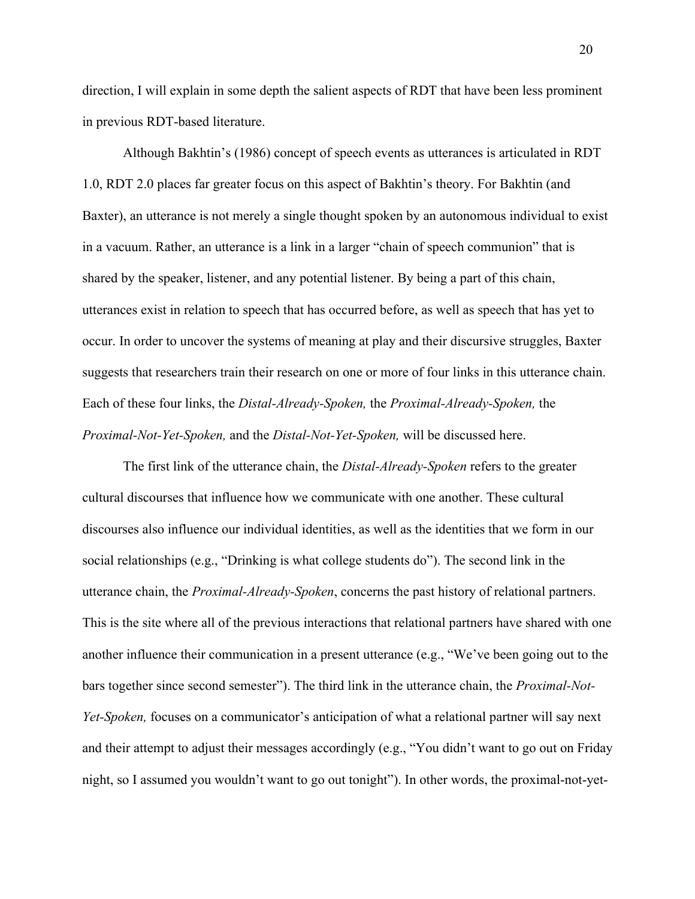direction, I will explain in some depth the salient aspects of RDT that have been less prominent in previous RDT-based literature.

Although Bakhtin's (1986) concept of speech events as utterances is articulated in RDT 1.0, RDT 2.0 places far greater focus on this aspect of Bakhtin's theory. For Bakhtin (and Baxter), an utterance is not merely a single thought spoken by an autonomous individual to exist in a vacuum. Rather, an utterance is a link in a larger "chain of speech communion" that is shared by the speaker, listener, and any potential listener. By being a part of this chain, utterances exist in relation to speech that has occurred before, as well as speech that has yet to occur. In order to uncover the systems of meaning at play and their discursive struggles, Baxter suggests that researchers train their research on one or more of four links in this utterance chain. Each of these four links, the *Distal-Already-Spoken,* the *Proximal-Already-Spoken,* the *Proximal-Not-Yet-Spoken,* and the *Distal-Not-Yet-Spoken,* will be discussed here.

The first link of the utterance chain, the *Distal-Already-Spoken* refers to the greater cultural discourses that influence how we communicate with one another. These cultural discourses also influence our individual identities, as well as the identities that we form in our social relationships (e.g., "Drinking is what college students do"). The second link in the utterance chain, the *Proximal-Already-Spoken*, concerns the past history of relational partners. This is the site where all of the previous interactions that relational partners have shared with one another influence their communication in a present utterance (e.g., "We've been going out to the bars together since second semester"). The third link in the utterance chain, the *Proximal-Not-Yet-Spoken,* focuses on a communicator's anticipation of what a relational partner will say next and their attempt to adjust their messages accordingly (e.g., "You didn't want to go out on Friday night, so I assumed you wouldn't want to go out tonight"). In other words, the proximal-not-yet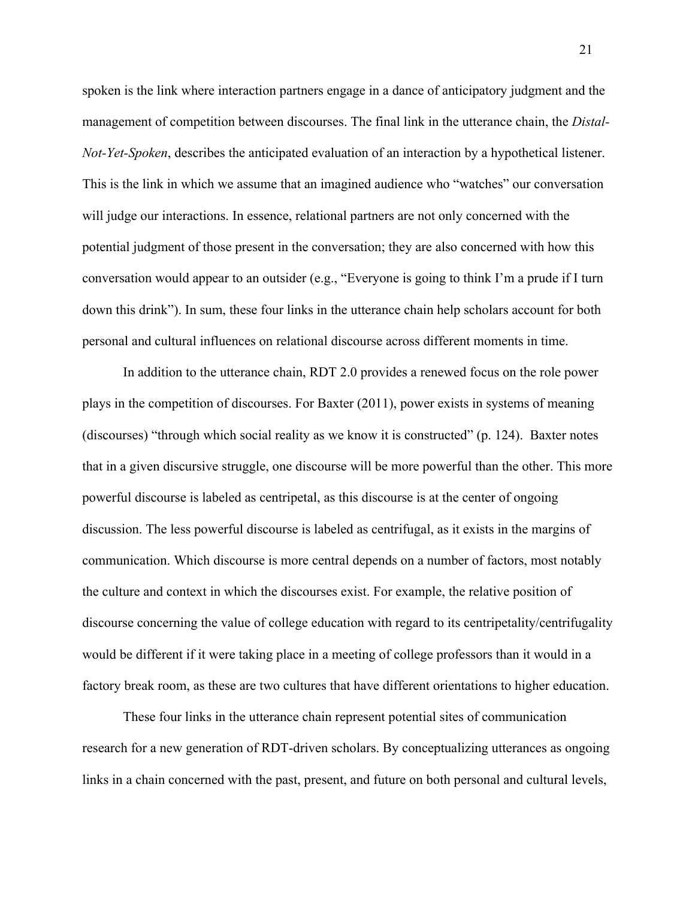spoken is the link where interaction partners engage in a dance of anticipatory judgment and the management of competition between discourses. The final link in the utterance chain, the *Distal-Not-Yet-Spoken*, describes the anticipated evaluation of an interaction by a hypothetical listener. This is the link in which we assume that an imagined audience who "watches" our conversation will judge our interactions. In essence, relational partners are not only concerned with the potential judgment of those present in the conversation; they are also concerned with how this conversation would appear to an outsider (e.g., "Everyone is going to think I'm a prude if I turn down this drink"). In sum, these four links in the utterance chain help scholars account for both personal and cultural influences on relational discourse across different moments in time.

In addition to the utterance chain, RDT 2.0 provides a renewed focus on the role power plays in the competition of discourses. For Baxter (2011), power exists in systems of meaning (discourses) "through which social reality as we know it is constructed" (p. 124). Baxter notes that in a given discursive struggle, one discourse will be more powerful than the other. This more powerful discourse is labeled as centripetal, as this discourse is at the center of ongoing discussion. The less powerful discourse is labeled as centrifugal, as it exists in the margins of communication. Which discourse is more central depends on a number of factors, most notably the culture and context in which the discourses exist. For example, the relative position of discourse concerning the value of college education with regard to its centripetality/centrifugality would be different if it were taking place in a meeting of college professors than it would in a factory break room, as these are two cultures that have different orientations to higher education.

These four links in the utterance chain represent potential sites of communication research for a new generation of RDT-driven scholars. By conceptualizing utterances as ongoing links in a chain concerned with the past, present, and future on both personal and cultural levels,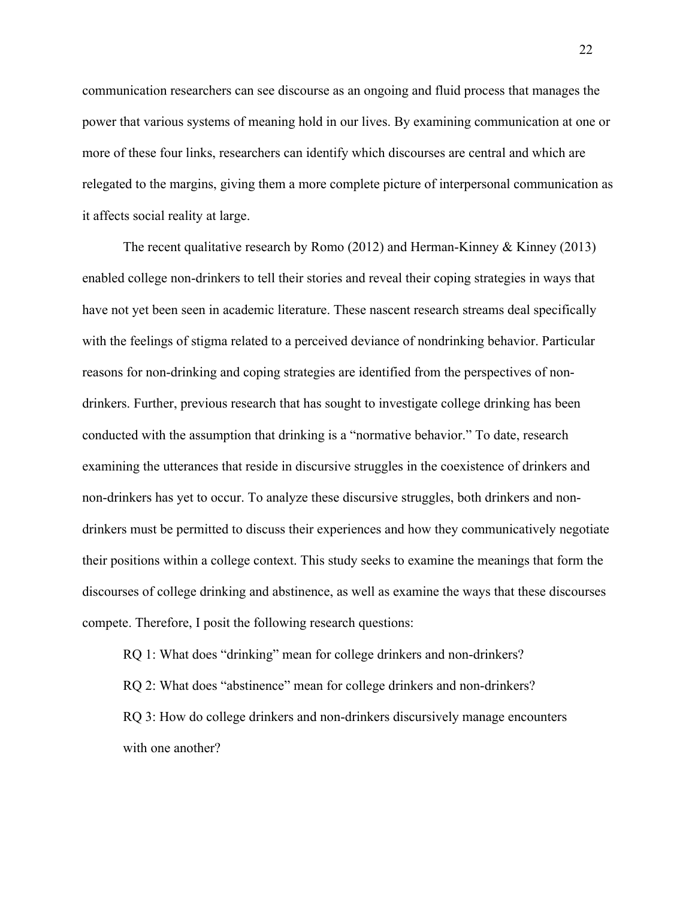communication researchers can see discourse as an ongoing and fluid process that manages the power that various systems of meaning hold in our lives. By examining communication at one or more of these four links, researchers can identify which discourses are central and which are relegated to the margins, giving them a more complete picture of interpersonal communication as it affects social reality at large.

The recent qualitative research by Romo (2012) and Herman-Kinney & Kinney (2013) enabled college non-drinkers to tell their stories and reveal their coping strategies in ways that have not yet been seen in academic literature. These nascent research streams deal specifically with the feelings of stigma related to a perceived deviance of nondrinking behavior. Particular reasons for non-drinking and coping strategies are identified from the perspectives of nondrinkers. Further, previous research that has sought to investigate college drinking has been conducted with the assumption that drinking is a "normative behavior." To date, research examining the utterances that reside in discursive struggles in the coexistence of drinkers and non-drinkers has yet to occur. To analyze these discursive struggles, both drinkers and nondrinkers must be permitted to discuss their experiences and how they communicatively negotiate their positions within a college context. This study seeks to examine the meanings that form the discourses of college drinking and abstinence, as well as examine the ways that these discourses compete. Therefore, I posit the following research questions:

RQ 1: What does "drinking" mean for college drinkers and non-drinkers? RQ 2: What does "abstinence" mean for college drinkers and non-drinkers? RQ 3: How do college drinkers and non-drinkers discursively manage encounters with one another?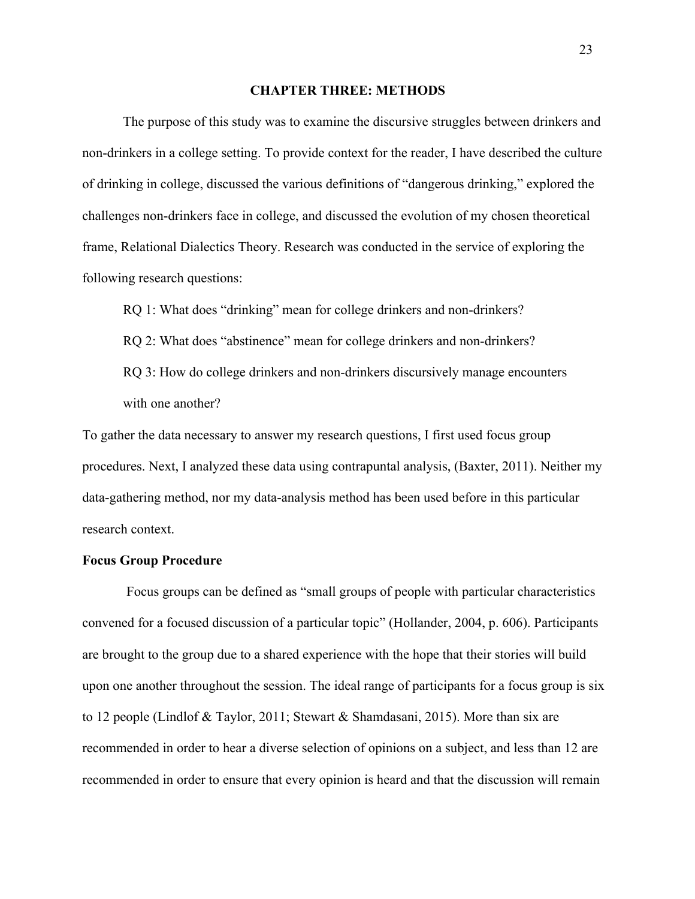#### **CHAPTER THREE: METHODS**

The purpose of this study was to examine the discursive struggles between drinkers and non-drinkers in a college setting. To provide context for the reader, I have described the culture of drinking in college, discussed the various definitions of "dangerous drinking," explored the challenges non-drinkers face in college, and discussed the evolution of my chosen theoretical frame, Relational Dialectics Theory. Research was conducted in the service of exploring the following research questions:

RQ 1: What does "drinking" mean for college drinkers and non-drinkers?

RQ 2: What does "abstinence" mean for college drinkers and non-drinkers?

RQ 3: How do college drinkers and non-drinkers discursively manage encounters with one another?

To gather the data necessary to answer my research questions, I first used focus group procedures. Next, I analyzed these data using contrapuntal analysis, (Baxter, 2011). Neither my data-gathering method, nor my data-analysis method has been used before in this particular research context.

#### **Focus Group Procedure**

Focus groups can be defined as "small groups of people with particular characteristics convened for a focused discussion of a particular topic" (Hollander, 2004, p. 606). Participants are brought to the group due to a shared experience with the hope that their stories will build upon one another throughout the session. The ideal range of participants for a focus group is six to 12 people (Lindlof & Taylor, 2011; Stewart & Shamdasani, 2015). More than six are recommended in order to hear a diverse selection of opinions on a subject, and less than 12 are recommended in order to ensure that every opinion is heard and that the discussion will remain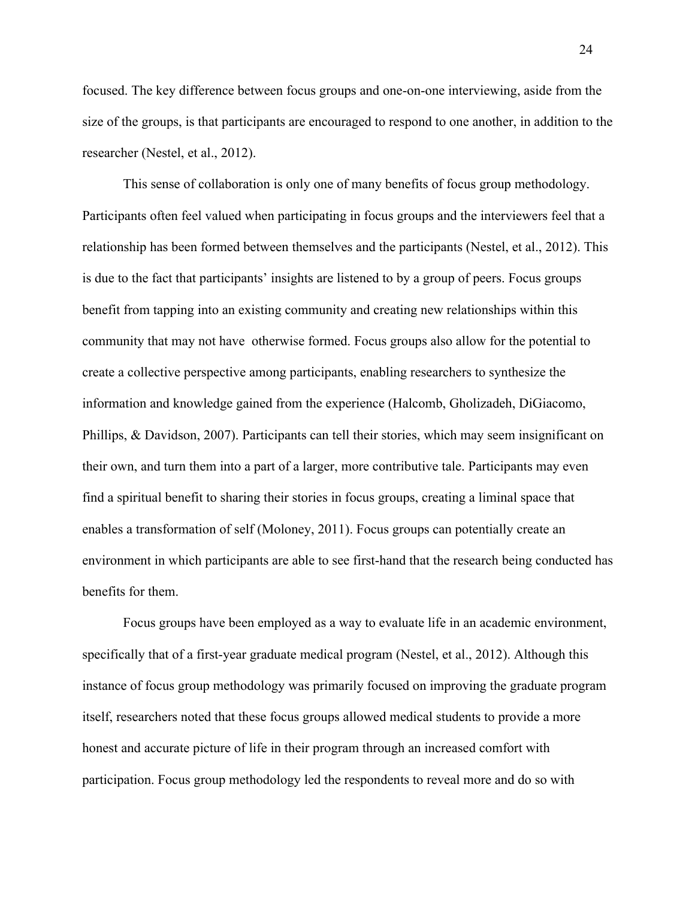focused. The key difference between focus groups and one-on-one interviewing, aside from the size of the groups, is that participants are encouraged to respond to one another, in addition to the researcher (Nestel, et al., 2012).

This sense of collaboration is only one of many benefits of focus group methodology. Participants often feel valued when participating in focus groups and the interviewers feel that a relationship has been formed between themselves and the participants (Nestel, et al., 2012). This is due to the fact that participants' insights are listened to by a group of peers. Focus groups benefit from tapping into an existing community and creating new relationships within this community that may not have otherwise formed. Focus groups also allow for the potential to create a collective perspective among participants, enabling researchers to synthesize the information and knowledge gained from the experience (Halcomb, Gholizadeh, DiGiacomo, Phillips, & Davidson, 2007). Participants can tell their stories, which may seem insignificant on their own, and turn them into a part of a larger, more contributive tale. Participants may even find a spiritual benefit to sharing their stories in focus groups, creating a liminal space that enables a transformation of self (Moloney, 2011). Focus groups can potentially create an environment in which participants are able to see first-hand that the research being conducted has benefits for them.

Focus groups have been employed as a way to evaluate life in an academic environment, specifically that of a first-year graduate medical program (Nestel, et al., 2012). Although this instance of focus group methodology was primarily focused on improving the graduate program itself, researchers noted that these focus groups allowed medical students to provide a more honest and accurate picture of life in their program through an increased comfort with participation. Focus group methodology led the respondents to reveal more and do so with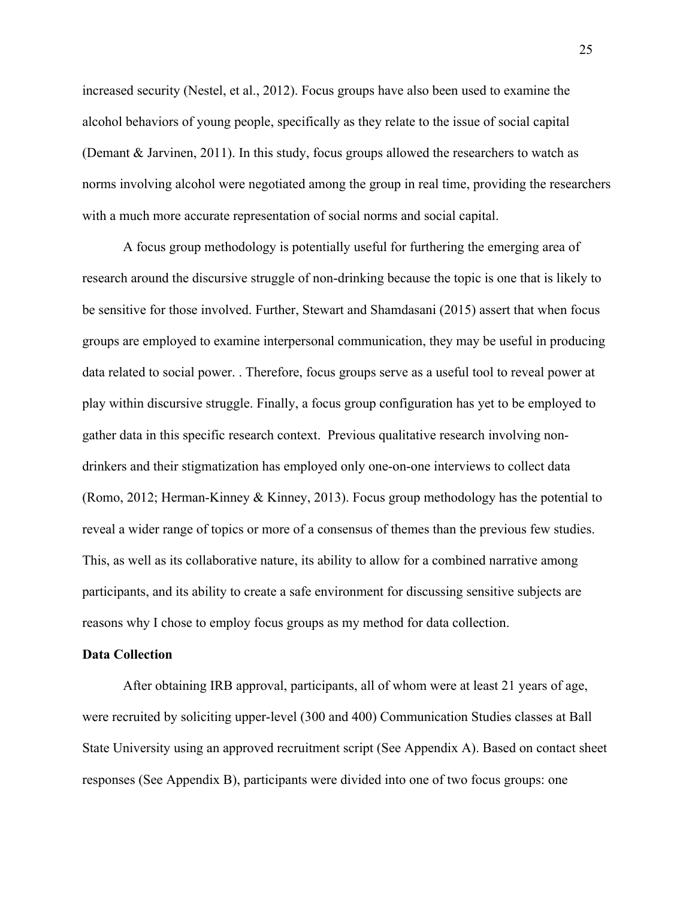increased security (Nestel, et al., 2012). Focus groups have also been used to examine the alcohol behaviors of young people, specifically as they relate to the issue of social capital (Demant & Jarvinen, 2011). In this study, focus groups allowed the researchers to watch as norms involving alcohol were negotiated among the group in real time, providing the researchers with a much more accurate representation of social norms and social capital.

A focus group methodology is potentially useful for furthering the emerging area of research around the discursive struggle of non-drinking because the topic is one that is likely to be sensitive for those involved. Further, Stewart and Shamdasani (2015) assert that when focus groups are employed to examine interpersonal communication, they may be useful in producing data related to social power. . Therefore, focus groups serve as a useful tool to reveal power at play within discursive struggle. Finally, a focus group configuration has yet to be employed to gather data in this specific research context. Previous qualitative research involving nondrinkers and their stigmatization has employed only one-on-one interviews to collect data (Romo, 2012; Herman-Kinney & Kinney, 2013). Focus group methodology has the potential to reveal a wider range of topics or more of a consensus of themes than the previous few studies. This, as well as its collaborative nature, its ability to allow for a combined narrative among participants, and its ability to create a safe environment for discussing sensitive subjects are reasons why I chose to employ focus groups as my method for data collection.

#### **Data Collection**

After obtaining IRB approval, participants, all of whom were at least 21 years of age, were recruited by soliciting upper-level (300 and 400) Communication Studies classes at Ball State University using an approved recruitment script (See Appendix A). Based on contact sheet responses (See Appendix B), participants were divided into one of two focus groups: one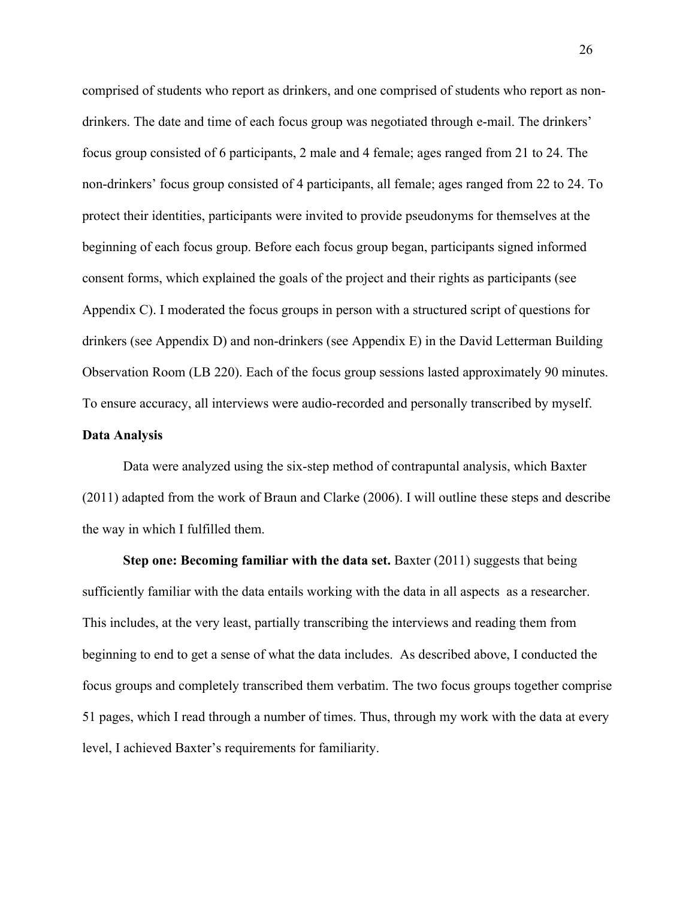comprised of students who report as drinkers, and one comprised of students who report as nondrinkers. The date and time of each focus group was negotiated through e-mail. The drinkers' focus group consisted of 6 participants, 2 male and 4 female; ages ranged from 21 to 24. The non-drinkers' focus group consisted of 4 participants, all female; ages ranged from 22 to 24. To protect their identities, participants were invited to provide pseudonyms for themselves at the beginning of each focus group. Before each focus group began, participants signed informed consent forms, which explained the goals of the project and their rights as participants (see Appendix C). I moderated the focus groups in person with a structured script of questions for drinkers (see Appendix D) and non-drinkers (see Appendix E) in the David Letterman Building Observation Room (LB 220). Each of the focus group sessions lasted approximately 90 minutes. To ensure accuracy, all interviews were audio-recorded and personally transcribed by myself.

#### **Data Analysis**

Data were analyzed using the six-step method of contrapuntal analysis, which Baxter (2011) adapted from the work of Braun and Clarke (2006). I will outline these steps and describe the way in which I fulfilled them.

**Step one: Becoming familiar with the data set.** Baxter (2011) suggests that being sufficiently familiar with the data entails working with the data in all aspects as a researcher. This includes, at the very least, partially transcribing the interviews and reading them from beginning to end to get a sense of what the data includes. As described above, I conducted the focus groups and completely transcribed them verbatim. The two focus groups together comprise 51 pages, which I read through a number of times. Thus, through my work with the data at every level, I achieved Baxter's requirements for familiarity.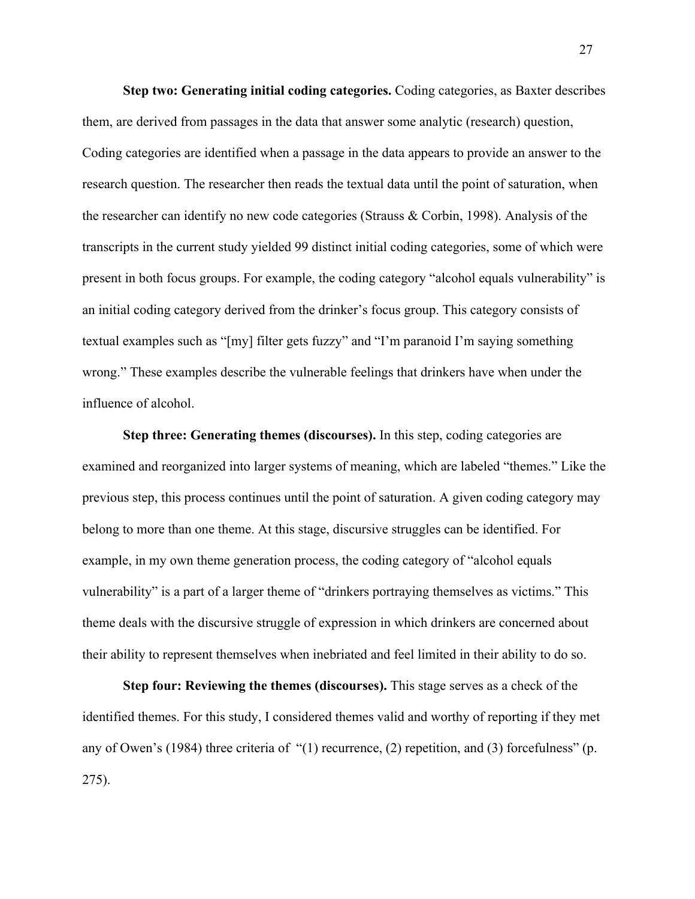**Step two: Generating initial coding categories.** Coding categories, as Baxter describes them, are derived from passages in the data that answer some analytic (research) question, Coding categories are identified when a passage in the data appears to provide an answer to the research question. The researcher then reads the textual data until the point of saturation, when the researcher can identify no new code categories (Strauss & Corbin, 1998). Analysis of the transcripts in the current study yielded 99 distinct initial coding categories, some of which were present in both focus groups. For example, the coding category "alcohol equals vulnerability" is an initial coding category derived from the drinker's focus group. This category consists of textual examples such as "[my] filter gets fuzzy" and "I'm paranoid I'm saying something wrong." These examples describe the vulnerable feelings that drinkers have when under the influence of alcohol.

**Step three: Generating themes (discourses).** In this step, coding categories are examined and reorganized into larger systems of meaning, which are labeled "themes." Like the previous step, this process continues until the point of saturation. A given coding category may belong to more than one theme. At this stage, discursive struggles can be identified. For example, in my own theme generation process, the coding category of "alcohol equals vulnerability" is a part of a larger theme of "drinkers portraying themselves as victims." This theme deals with the discursive struggle of expression in which drinkers are concerned about their ability to represent themselves when inebriated and feel limited in their ability to do so.

**Step four: Reviewing the themes (discourses).** This stage serves as a check of the identified themes. For this study, I considered themes valid and worthy of reporting if they met any of Owen's (1984) three criteria of "(1) recurrence, (2) repetition, and (3) forcefulness" (p. 275).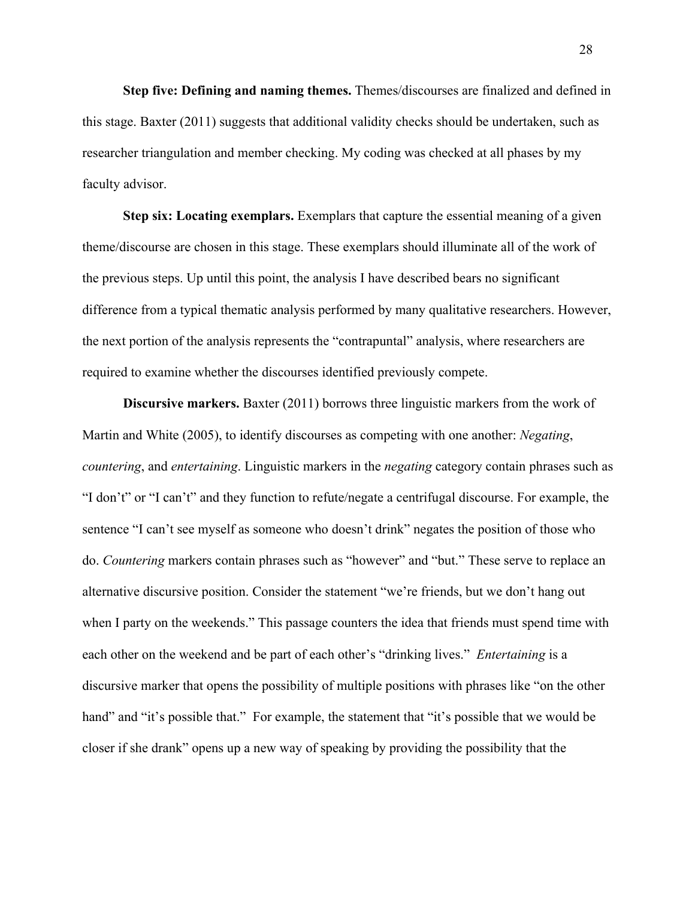**Step five: Defining and naming themes.** Themes/discourses are finalized and defined in this stage. Baxter (2011) suggests that additional validity checks should be undertaken, such as researcher triangulation and member checking. My coding was checked at all phases by my faculty advisor.

**Step six: Locating exemplars.** Exemplars that capture the essential meaning of a given theme/discourse are chosen in this stage. These exemplars should illuminate all of the work of the previous steps. Up until this point, the analysis I have described bears no significant difference from a typical thematic analysis performed by many qualitative researchers. However, the next portion of the analysis represents the "contrapuntal" analysis, where researchers are required to examine whether the discourses identified previously compete.

**Discursive markers.** Baxter (2011) borrows three linguistic markers from the work of Martin and White (2005), to identify discourses as competing with one another: *Negating*, *countering*, and *entertaining*. Linguistic markers in the *negating* category contain phrases such as "I don't" or "I can't" and they function to refute/negate a centrifugal discourse. For example, the sentence "I can't see myself as someone who doesn't drink" negates the position of those who do. *Countering* markers contain phrases such as "however" and "but." These serve to replace an alternative discursive position. Consider the statement "we're friends, but we don't hang out when I party on the weekends." This passage counters the idea that friends must spend time with each other on the weekend and be part of each other's "drinking lives." *Entertaining* is a discursive marker that opens the possibility of multiple positions with phrases like "on the other hand" and "it's possible that." For example, the statement that "it's possible that we would be closer if she drank" opens up a new way of speaking by providing the possibility that the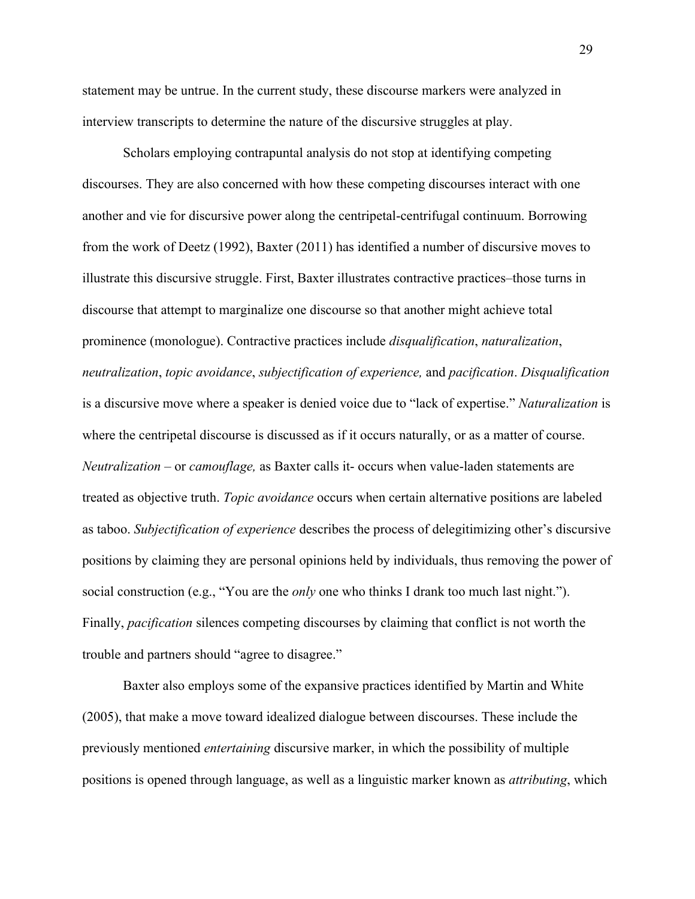statement may be untrue. In the current study, these discourse markers were analyzed in interview transcripts to determine the nature of the discursive struggles at play.

Scholars employing contrapuntal analysis do not stop at identifying competing discourses. They are also concerned with how these competing discourses interact with one another and vie for discursive power along the centripetal-centrifugal continuum. Borrowing from the work of Deetz (1992), Baxter (2011) has identified a number of discursive moves to illustrate this discursive struggle. First, Baxter illustrates contractive practices–those turns in discourse that attempt to marginalize one discourse so that another might achieve total prominence (monologue). Contractive practices include *disqualification*, *naturalization*, *neutralization*, *topic avoidance*, *subjectification of experience,* and *pacification*. *Disqualification* is a discursive move where a speaker is denied voice due to "lack of expertise." *Naturalization* is where the centripetal discourse is discussed as if it occurs naturally, or as a matter of course. *Neutralization* – or *camouflage,* as Baxter calls it- occurs when value-laden statements are treated as objective truth. *Topic avoidance* occurs when certain alternative positions are labeled as taboo. *Subjectification of experience* describes the process of delegitimizing other's discursive positions by claiming they are personal opinions held by individuals, thus removing the power of social construction (e.g., "You are the *only* one who thinks I drank too much last night."). Finally, *pacification* silences competing discourses by claiming that conflict is not worth the trouble and partners should "agree to disagree."

Baxter also employs some of the expansive practices identified by Martin and White (2005), that make a move toward idealized dialogue between discourses. These include the previously mentioned *entertaining* discursive marker, in which the possibility of multiple positions is opened through language, as well as a linguistic marker known as *attributing*, which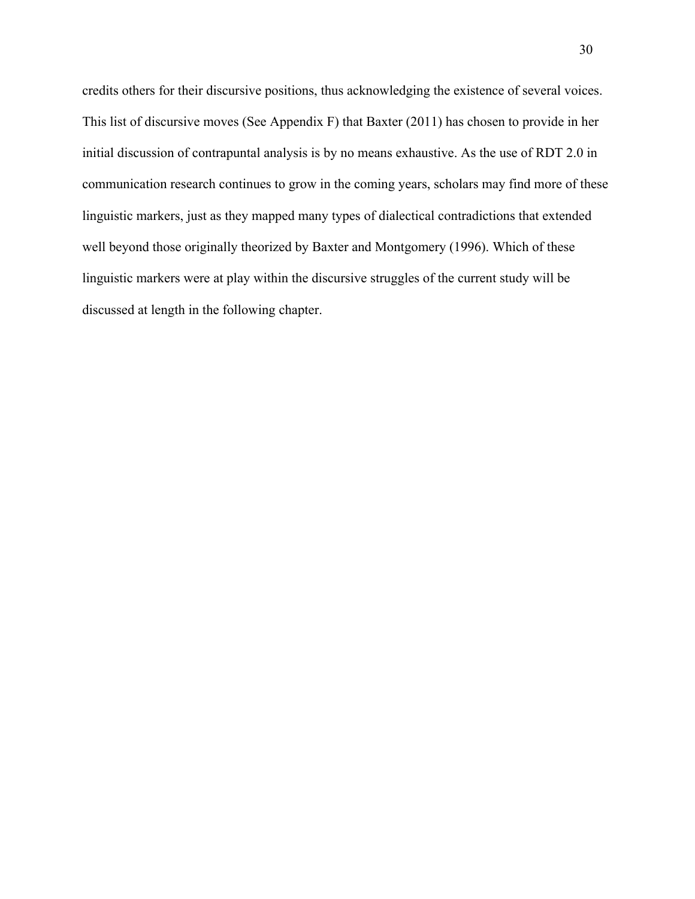credits others for their discursive positions, thus acknowledging the existence of several voices. This list of discursive moves (See Appendix F) that Baxter (2011) has chosen to provide in her initial discussion of contrapuntal analysis is by no means exhaustive. As the use of RDT 2.0 in communication research continues to grow in the coming years, scholars may find more of these linguistic markers, just as they mapped many types of dialectical contradictions that extended well beyond those originally theorized by Baxter and Montgomery (1996). Which of these linguistic markers were at play within the discursive struggles of the current study will be discussed at length in the following chapter.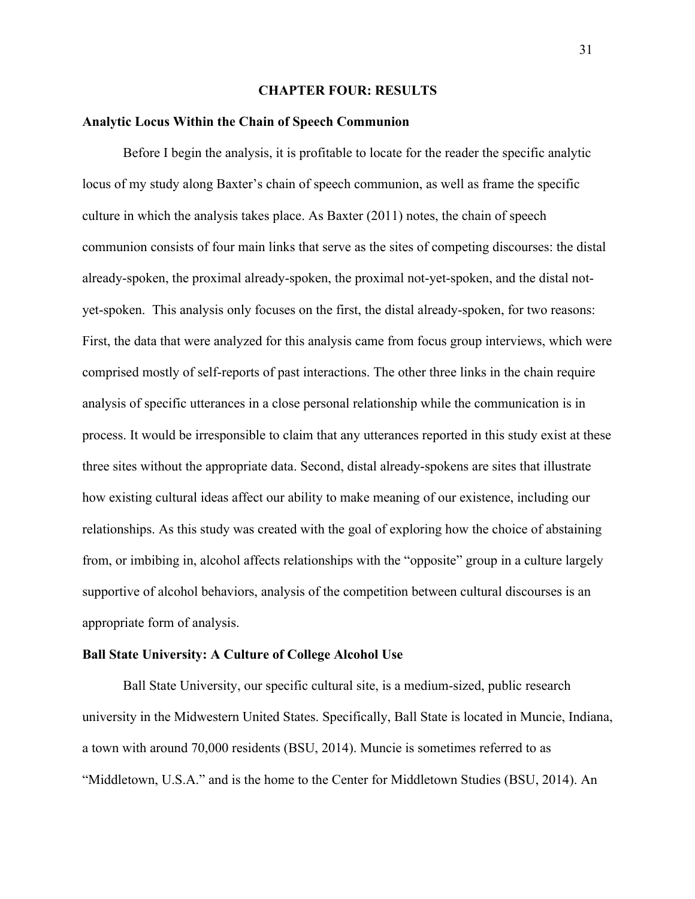## **CHAPTER FOUR: RESULTS**

## **Analytic Locus Within the Chain of Speech Communion**

Before I begin the analysis, it is profitable to locate for the reader the specific analytic locus of my study along Baxter's chain of speech communion, as well as frame the specific culture in which the analysis takes place. As Baxter (2011) notes, the chain of speech communion consists of four main links that serve as the sites of competing discourses: the distal already-spoken, the proximal already-spoken, the proximal not-yet-spoken, and the distal notyet-spoken. This analysis only focuses on the first, the distal already-spoken, for two reasons: First, the data that were analyzed for this analysis came from focus group interviews, which were comprised mostly of self-reports of past interactions. The other three links in the chain require analysis of specific utterances in a close personal relationship while the communication is in process. It would be irresponsible to claim that any utterances reported in this study exist at these three sites without the appropriate data. Second, distal already-spokens are sites that illustrate how existing cultural ideas affect our ability to make meaning of our existence, including our relationships. As this study was created with the goal of exploring how the choice of abstaining from, or imbibing in, alcohol affects relationships with the "opposite" group in a culture largely supportive of alcohol behaviors, analysis of the competition between cultural discourses is an appropriate form of analysis.

# **Ball State University: A Culture of College Alcohol Use**

Ball State University, our specific cultural site, is a medium-sized, public research university in the Midwestern United States. Specifically, Ball State is located in Muncie, Indiana, a town with around 70,000 residents (BSU, 2014). Muncie is sometimes referred to as "Middletown, U.S.A." and is the home to the Center for Middletown Studies (BSU, 2014). An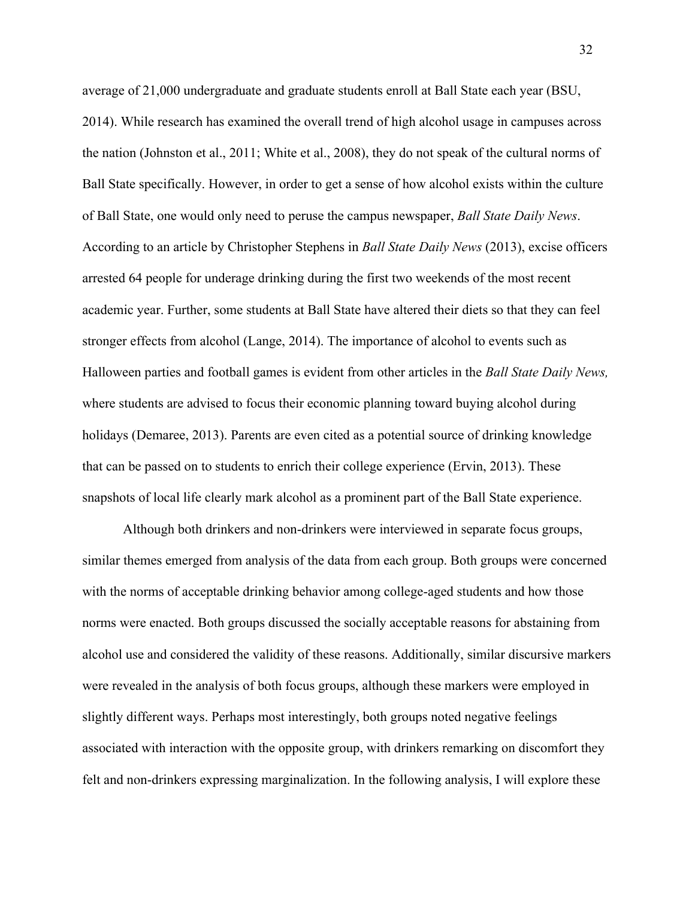average of 21,000 undergraduate and graduate students enroll at Ball State each year (BSU, 2014). While research has examined the overall trend of high alcohol usage in campuses across the nation (Johnston et al., 2011; White et al., 2008), they do not speak of the cultural norms of Ball State specifically. However, in order to get a sense of how alcohol exists within the culture of Ball State, one would only need to peruse the campus newspaper, *Ball State Daily News*. According to an article by Christopher Stephens in *Ball State Daily News* (2013), excise officers arrested 64 people for underage drinking during the first two weekends of the most recent academic year. Further, some students at Ball State have altered their diets so that they can feel stronger effects from alcohol (Lange, 2014). The importance of alcohol to events such as Halloween parties and football games is evident from other articles in the *Ball State Daily News,*  where students are advised to focus their economic planning toward buying alcohol during holidays (Demaree, 2013). Parents are even cited as a potential source of drinking knowledge that can be passed on to students to enrich their college experience (Ervin, 2013). These snapshots of local life clearly mark alcohol as a prominent part of the Ball State experience.

Although both drinkers and non-drinkers were interviewed in separate focus groups, similar themes emerged from analysis of the data from each group. Both groups were concerned with the norms of acceptable drinking behavior among college-aged students and how those norms were enacted. Both groups discussed the socially acceptable reasons for abstaining from alcohol use and considered the validity of these reasons. Additionally, similar discursive markers were revealed in the analysis of both focus groups, although these markers were employed in slightly different ways. Perhaps most interestingly, both groups noted negative feelings associated with interaction with the opposite group, with drinkers remarking on discomfort they felt and non-drinkers expressing marginalization. In the following analysis, I will explore these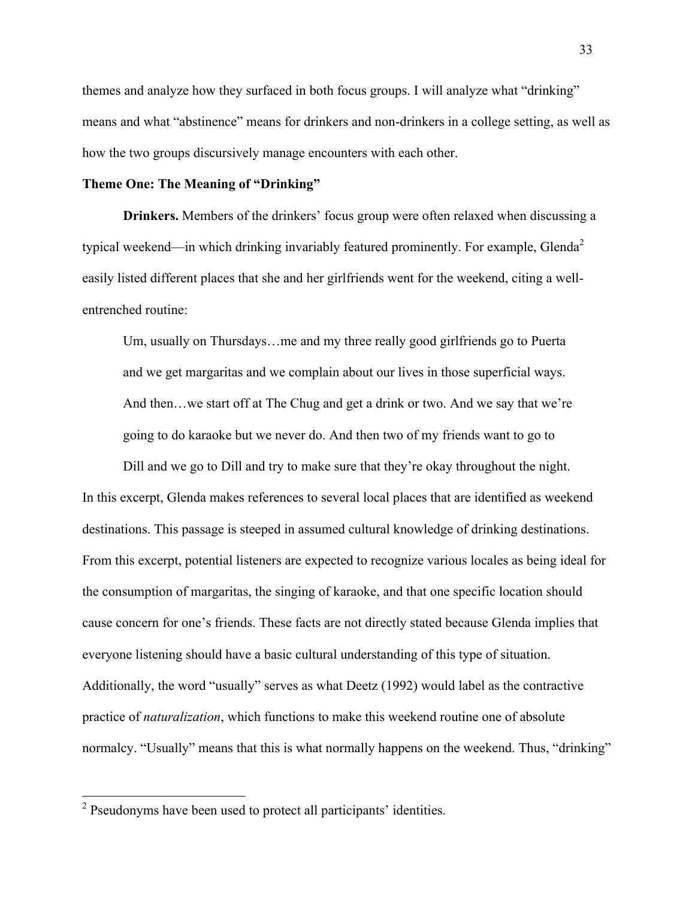themes and analyze how they surfaced in both focus groups. I will analyze what "drinking" means and what "abstinence" means for drinkers and non-drinkers in a college setting, as well as how the two groups discursively manage encounters with each other.

# **Theme One: The Meaning of "Drinking"**

**Drinkers.** Members of the drinkers' focus group were often relaxed when discussing a typical weekend—in which drinking invariably featured prominently. For example, Glenda<sup>2</sup> easily listed different places that she and her girlfriends went for the weekend, citing a wellentrenched routine:

Um, usually on Thursdays…me and my three really good girlfriends go to Puerta and we get margaritas and we complain about our lives in those superficial ways. And then…we start off at The Chug and get a drink or two. And we say that we're going to do karaoke but we never do. And then two of my friends want to go to

Dill and we go to Dill and try to make sure that they're okay throughout the night. In this excerpt, Glenda makes references to several local places that are identified as weekend destinations. This passage is steeped in assumed cultural knowledge of drinking destinations. From this excerpt, potential listeners are expected to recognize various locales as being ideal for the consumption of margaritas, the singing of karaoke, and that one specific location should cause concern for one's friends. These facts are not directly stated because Glenda implies that everyone listening should have a basic cultural understanding of this type of situation. Additionally, the word "usually" serves as what Deetz (1992) would label as the contractive practice of *naturalization*, which functions to make this weekend routine one of absolute normalcy. "Usually" means that this is what normally happens on the weekend. Thus, "drinking"

 <sup>2</sup> Pseudonyms have been used to protect all participants' identities.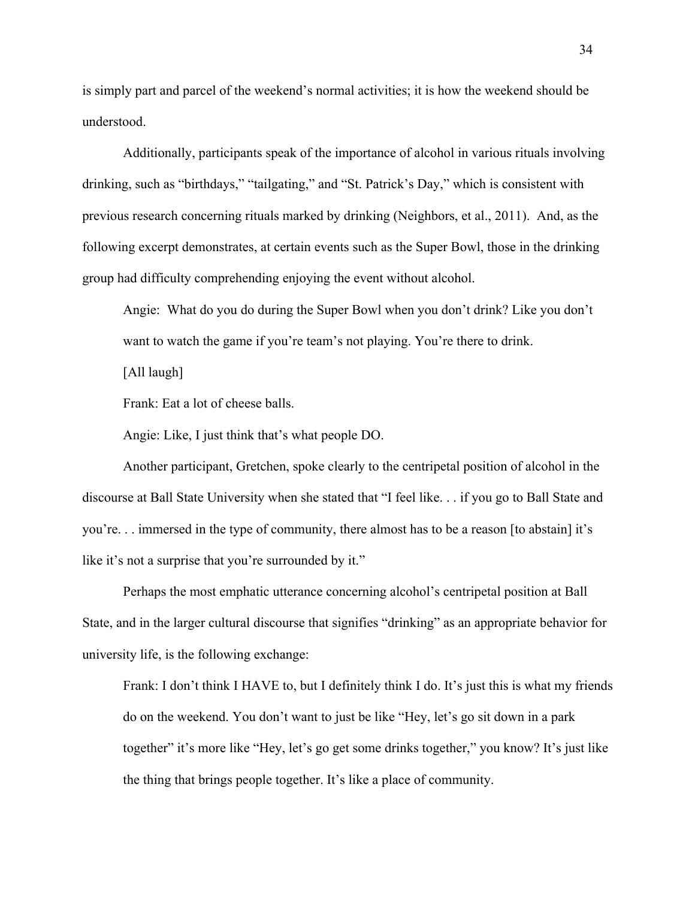is simply part and parcel of the weekend's normal activities; it is how the weekend should be understood.

Additionally, participants speak of the importance of alcohol in various rituals involving drinking, such as "birthdays," "tailgating," and "St. Patrick's Day," which is consistent with previous research concerning rituals marked by drinking (Neighbors, et al., 2011). And, as the following excerpt demonstrates, at certain events such as the Super Bowl, those in the drinking group had difficulty comprehending enjoying the event without alcohol.

Angie: What do you do during the Super Bowl when you don't drink? Like you don't want to watch the game if you're team's not playing. You're there to drink.

[All laugh]

Frank: Eat a lot of cheese balls.

Angie: Like, I just think that's what people DO.

Another participant, Gretchen, spoke clearly to the centripetal position of alcohol in the discourse at Ball State University when she stated that "I feel like. . . if you go to Ball State and you're. . . immersed in the type of community, there almost has to be a reason [to abstain] it's like it's not a surprise that you're surrounded by it."

Perhaps the most emphatic utterance concerning alcohol's centripetal position at Ball State, and in the larger cultural discourse that signifies "drinking" as an appropriate behavior for university life, is the following exchange:

Frank: I don't think I HAVE to, but I definitely think I do. It's just this is what my friends do on the weekend. You don't want to just be like "Hey, let's go sit down in a park together" it's more like "Hey, let's go get some drinks together," you know? It's just like the thing that brings people together. It's like a place of community.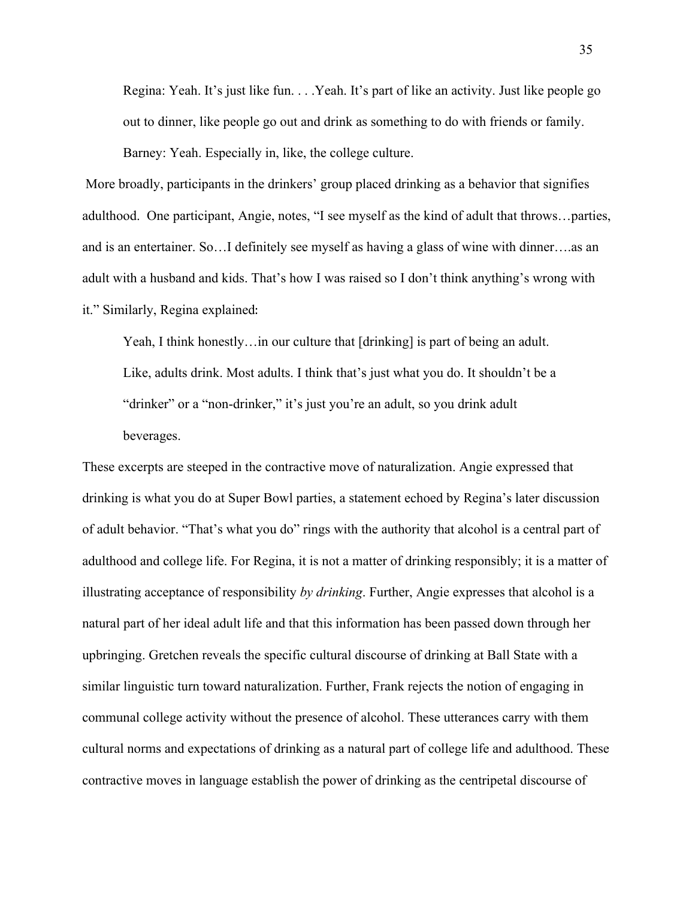Regina: Yeah. It's just like fun. . . .Yeah. It's part of like an activity. Just like people go out to dinner, like people go out and drink as something to do with friends or family. Barney: Yeah. Especially in, like, the college culture.

More broadly, participants in the drinkers' group placed drinking as a behavior that signifies adulthood. One participant, Angie, notes, "I see myself as the kind of adult that throws…parties, and is an entertainer. So…I definitely see myself as having a glass of wine with dinner….as an adult with a husband and kids. That's how I was raised so I don't think anything's wrong with it." Similarly, Regina explained: 

Yeah, I think honestly…in our culture that [drinking] is part of being an adult. Like, adults drink. Most adults. I think that's just what you do. It shouldn't be a "drinker" or a "non-drinker," it's just you're an adult, so you drink adult beverages.

These excerpts are steeped in the contractive move of naturalization. Angie expressed that drinking is what you do at Super Bowl parties, a statement echoed by Regina's later discussion of adult behavior. "That's what you do" rings with the authority that alcohol is a central part of adulthood and college life. For Regina, it is not a matter of drinking responsibly; it is a matter of illustrating acceptance of responsibility *by drinking*. Further, Angie expresses that alcohol is a natural part of her ideal adult life and that this information has been passed down through her upbringing. Gretchen reveals the specific cultural discourse of drinking at Ball State with a similar linguistic turn toward naturalization. Further, Frank rejects the notion of engaging in communal college activity without the presence of alcohol. These utterances carry with them cultural norms and expectations of drinking as a natural part of college life and adulthood. These contractive moves in language establish the power of drinking as the centripetal discourse of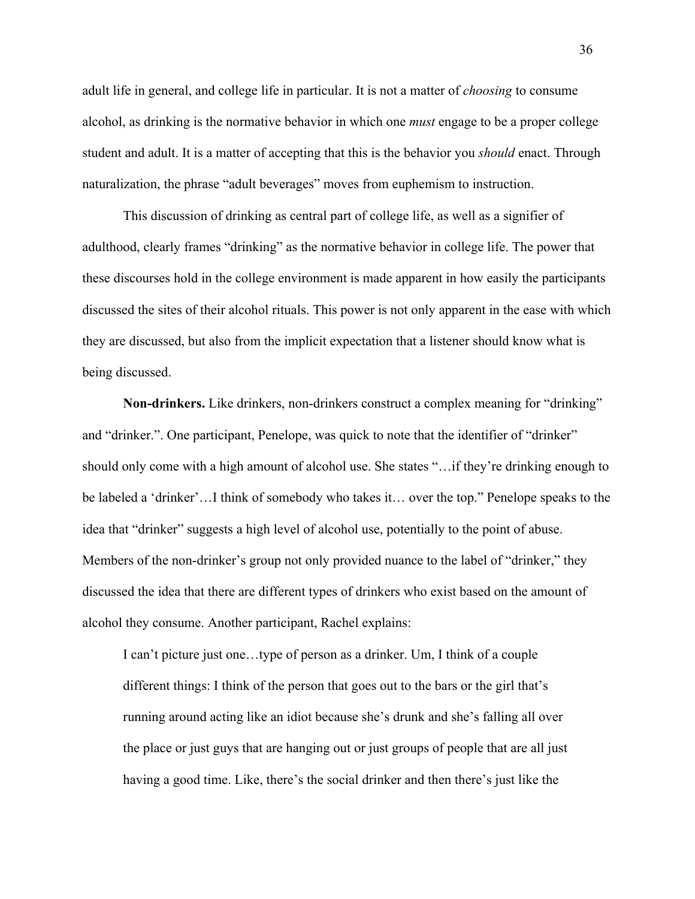adult life in general, and college life in particular. It is not a matter of *choosing* to consume alcohol, as drinking is the normative behavior in which one *must* engage to be a proper college student and adult. It is a matter of accepting that this is the behavior you *should* enact. Through naturalization, the phrase "adult beverages" moves from euphemism to instruction.

This discussion of drinking as central part of college life, as well as a signifier of adulthood, clearly frames "drinking" as the normative behavior in college life. The power that these discourses hold in the college environment is made apparent in how easily the participants discussed the sites of their alcohol rituals. This power is not only apparent in the ease with which they are discussed, but also from the implicit expectation that a listener should know what is being discussed.

**Non-drinkers.** Like drinkers, non-drinkers construct a complex meaning for "drinking" and "drinker.". One participant, Penelope, was quick to note that the identifier of "drinker" should only come with a high amount of alcohol use. She states "…if they're drinking enough to be labeled a 'drinker'…I think of somebody who takes it… over the top." Penelope speaks to the idea that "drinker" suggests a high level of alcohol use, potentially to the point of abuse. Members of the non-drinker's group not only provided nuance to the label of "drinker," they discussed the idea that there are different types of drinkers who exist based on the amount of alcohol they consume. Another participant, Rachel explains:

I can't picture just one…type of person as a drinker. Um, I think of a couple different things: I think of the person that goes out to the bars or the girl that's running around acting like an idiot because she's drunk and she's falling all over the place or just guys that are hanging out or just groups of people that are all just having a good time. Like, there's the social drinker and then there's just like the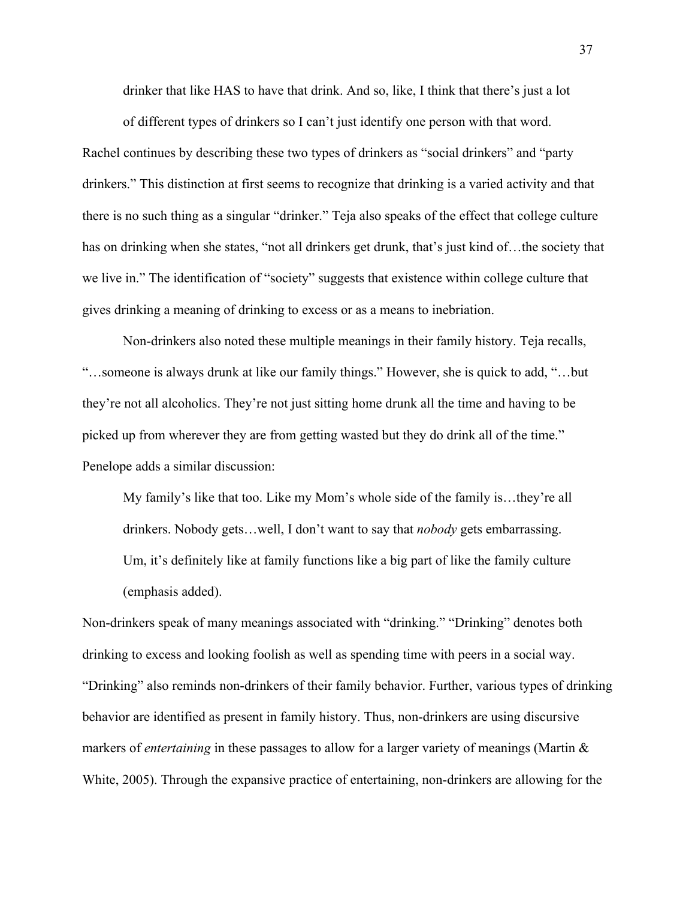drinker that like HAS to have that drink. And so, like, I think that there's just a lot

of different types of drinkers so I can't just identify one person with that word. Rachel continues by describing these two types of drinkers as "social drinkers" and "party drinkers." This distinction at first seems to recognize that drinking is a varied activity and that there is no such thing as a singular "drinker." Teja also speaks of the effect that college culture has on drinking when she states, "not all drinkers get drunk, that's just kind of... the society that we live in." The identification of "society" suggests that existence within college culture that gives drinking a meaning of drinking to excess or as a means to inebriation.

Non-drinkers also noted these multiple meanings in their family history. Teja recalls, "…someone is always drunk at like our family things." However, she is quick to add, "…but they're not all alcoholics. They're not just sitting home drunk all the time and having to be picked up from wherever they are from getting wasted but they do drink all of the time." Penelope adds a similar discussion:

My family's like that too. Like my Mom's whole side of the family is…they're all drinkers. Nobody gets…well, I don't want to say that *nobody* gets embarrassing. Um, it's definitely like at family functions like a big part of like the family culture (emphasis added).

Non-drinkers speak of many meanings associated with "drinking." "Drinking" denotes both drinking to excess and looking foolish as well as spending time with peers in a social way. "Drinking" also reminds non-drinkers of their family behavior. Further, various types of drinking behavior are identified as present in family history. Thus, non-drinkers are using discursive markers of *entertaining* in these passages to allow for a larger variety of meanings (Martin & White, 2005). Through the expansive practice of entertaining, non-drinkers are allowing for the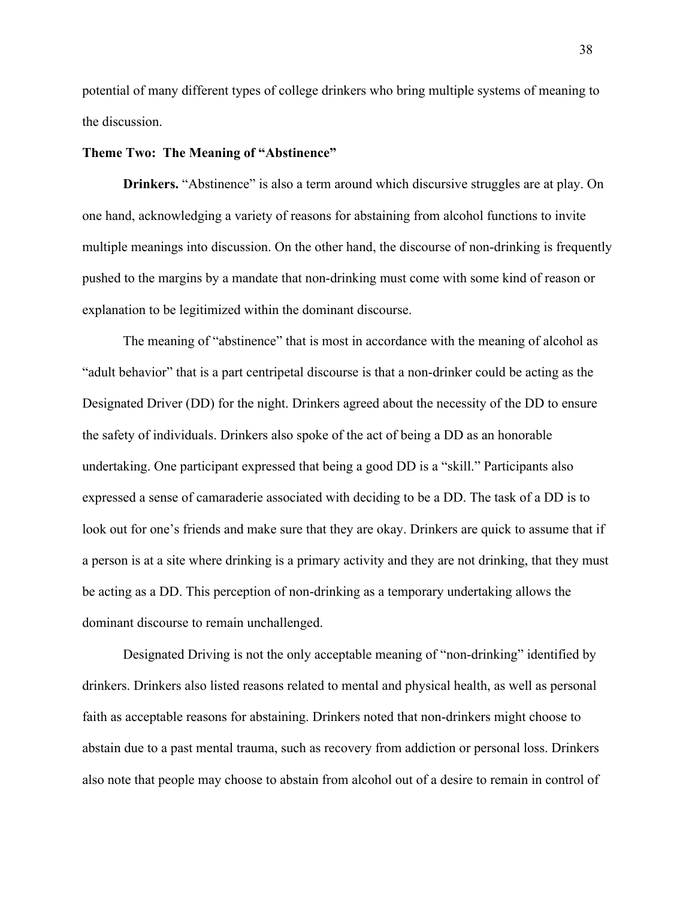potential of many different types of college drinkers who bring multiple systems of meaning to the discussion.

## **Theme Two: The Meaning of "Abstinence"**

**Drinkers.** "Abstinence" is also a term around which discursive struggles are at play. On one hand, acknowledging a variety of reasons for abstaining from alcohol functions to invite multiple meanings into discussion. On the other hand, the discourse of non-drinking is frequently pushed to the margins by a mandate that non-drinking must come with some kind of reason or explanation to be legitimized within the dominant discourse.

The meaning of "abstinence" that is most in accordance with the meaning of alcohol as "adult behavior" that is a part centripetal discourse is that a non-drinker could be acting as the Designated Driver (DD) for the night. Drinkers agreed about the necessity of the DD to ensure the safety of individuals. Drinkers also spoke of the act of being a DD as an honorable undertaking. One participant expressed that being a good DD is a "skill." Participants also expressed a sense of camaraderie associated with deciding to be a DD. The task of a DD is to look out for one's friends and make sure that they are okay. Drinkers are quick to assume that if a person is at a site where drinking is a primary activity and they are not drinking, that they must be acting as a DD. This perception of non-drinking as a temporary undertaking allows the dominant discourse to remain unchallenged.

Designated Driving is not the only acceptable meaning of "non-drinking" identified by drinkers. Drinkers also listed reasons related to mental and physical health, as well as personal faith as acceptable reasons for abstaining. Drinkers noted that non-drinkers might choose to abstain due to a past mental trauma, such as recovery from addiction or personal loss. Drinkers also note that people may choose to abstain from alcohol out of a desire to remain in control of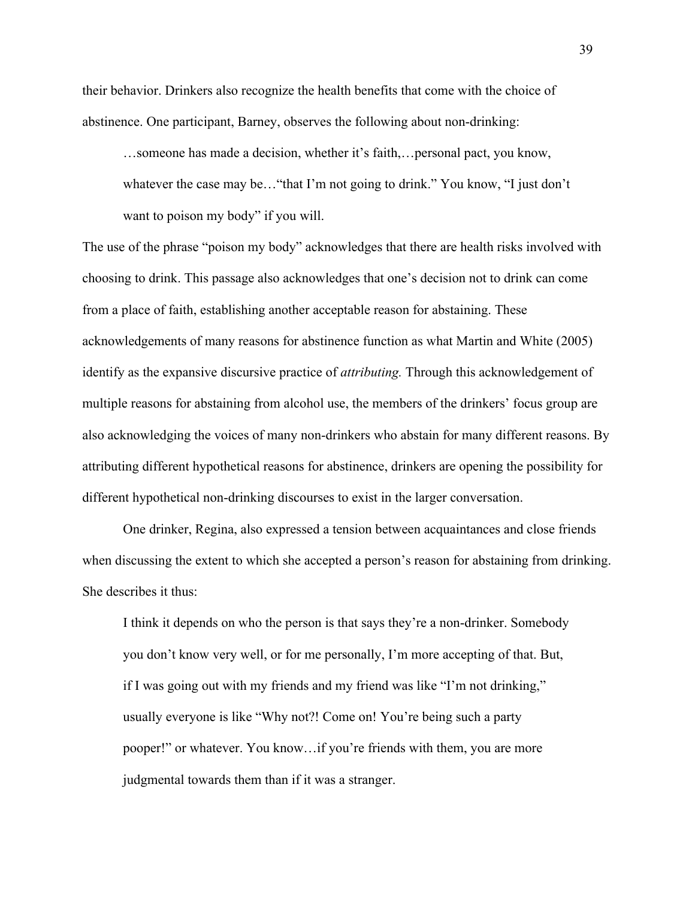their behavior. Drinkers also recognize the health benefits that come with the choice of abstinence. One participant, Barney, observes the following about non-drinking:

…someone has made a decision, whether it's faith,…personal pact, you know, whatever the case may be…"that I'm not going to drink." You know, "I just don't want to poison my body" if you will.

The use of the phrase "poison my body" acknowledges that there are health risks involved with choosing to drink. This passage also acknowledges that one's decision not to drink can come from a place of faith, establishing another acceptable reason for abstaining. These acknowledgements of many reasons for abstinence function as what Martin and White (2005) identify as the expansive discursive practice of *attributing.* Through this acknowledgement of multiple reasons for abstaining from alcohol use, the members of the drinkers' focus group are also acknowledging the voices of many non-drinkers who abstain for many different reasons. By attributing different hypothetical reasons for abstinence, drinkers are opening the possibility for different hypothetical non-drinking discourses to exist in the larger conversation.

One drinker, Regina, also expressed a tension between acquaintances and close friends when discussing the extent to which she accepted a person's reason for abstaining from drinking. She describes it thus:

I think it depends on who the person is that says they're a non-drinker. Somebody you don't know very well, or for me personally, I'm more accepting of that. But, if I was going out with my friends and my friend was like "I'm not drinking," usually everyone is like "Why not?! Come on! You're being such a party pooper!" or whatever. You know…if you're friends with them, you are more judgmental towards them than if it was a stranger.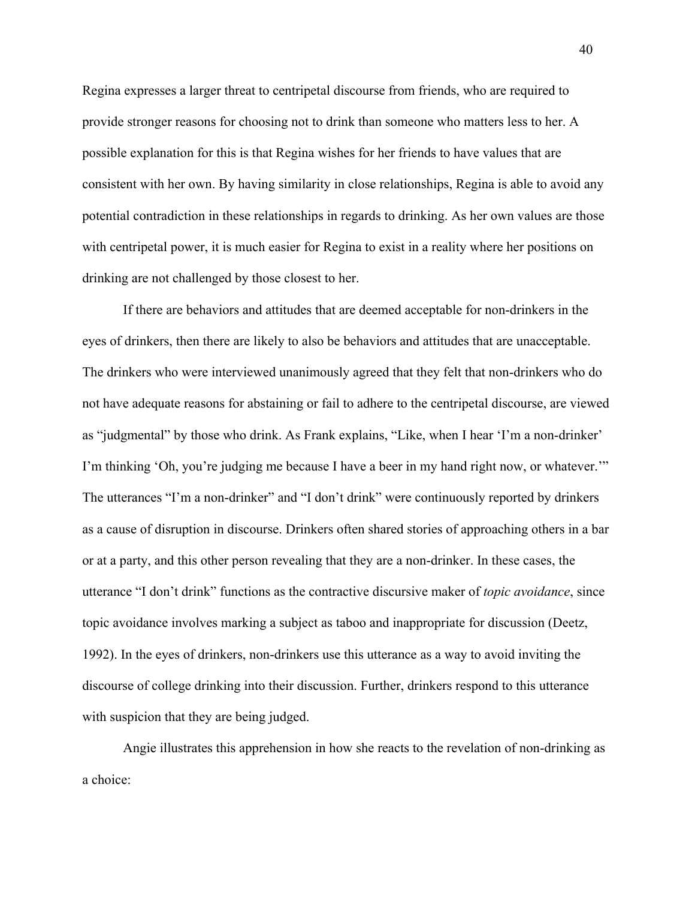Regina expresses a larger threat to centripetal discourse from friends, who are required to provide stronger reasons for choosing not to drink than someone who matters less to her. A possible explanation for this is that Regina wishes for her friends to have values that are consistent with her own. By having similarity in close relationships, Regina is able to avoid any potential contradiction in these relationships in regards to drinking. As her own values are those with centripetal power, it is much easier for Regina to exist in a reality where her positions on drinking are not challenged by those closest to her.

If there are behaviors and attitudes that are deemed acceptable for non-drinkers in the eyes of drinkers, then there are likely to also be behaviors and attitudes that are unacceptable. The drinkers who were interviewed unanimously agreed that they felt that non-drinkers who do not have adequate reasons for abstaining or fail to adhere to the centripetal discourse, are viewed as "judgmental" by those who drink. As Frank explains, "Like, when I hear 'I'm a non-drinker' I'm thinking 'Oh, you're judging me because I have a beer in my hand right now, or whatever.'" The utterances "I'm a non-drinker" and "I don't drink" were continuously reported by drinkers as a cause of disruption in discourse. Drinkers often shared stories of approaching others in a bar or at a party, and this other person revealing that they are a non-drinker. In these cases, the utterance "I don't drink" functions as the contractive discursive maker of *topic avoidance*, since topic avoidance involves marking a subject as taboo and inappropriate for discussion (Deetz, 1992). In the eyes of drinkers, non-drinkers use this utterance as a way to avoid inviting the discourse of college drinking into their discussion. Further, drinkers respond to this utterance with suspicion that they are being judged.

Angie illustrates this apprehension in how she reacts to the revelation of non-drinking as a choice: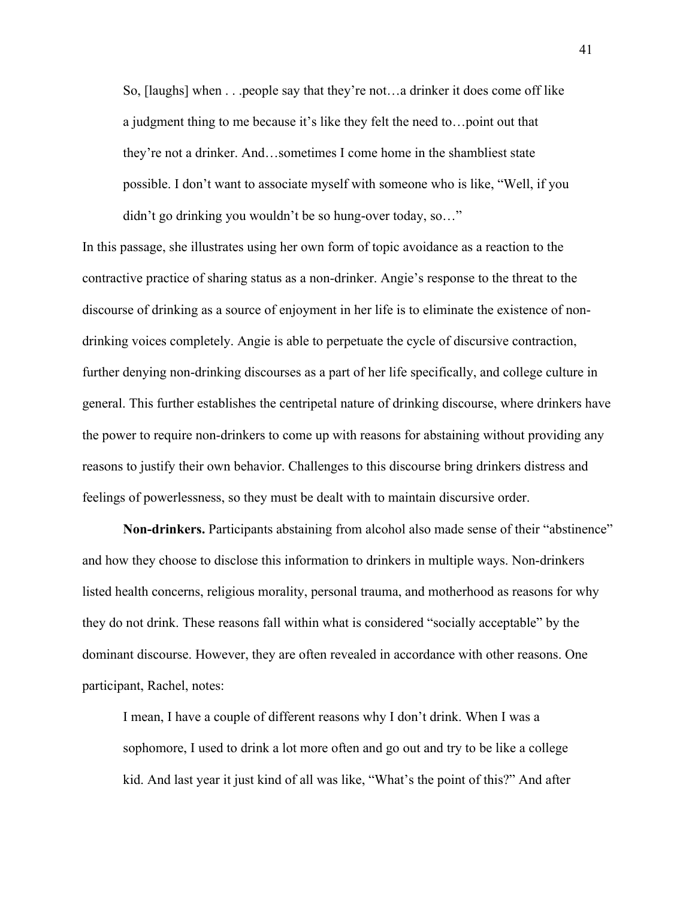So, [laughs] when . . .people say that they're not…a drinker it does come off like a judgment thing to me because it's like they felt the need to…point out that they're not a drinker. And…sometimes I come home in the shambliest state possible. I don't want to associate myself with someone who is like, "Well, if you didn't go drinking you wouldn't be so hung-over today, so…"

In this passage, she illustrates using her own form of topic avoidance as a reaction to the contractive practice of sharing status as a non-drinker. Angie's response to the threat to the discourse of drinking as a source of enjoyment in her life is to eliminate the existence of nondrinking voices completely. Angie is able to perpetuate the cycle of discursive contraction, further denying non-drinking discourses as a part of her life specifically, and college culture in general. This further establishes the centripetal nature of drinking discourse, where drinkers have the power to require non-drinkers to come up with reasons for abstaining without providing any reasons to justify their own behavior. Challenges to this discourse bring drinkers distress and feelings of powerlessness, so they must be dealt with to maintain discursive order.

**Non-drinkers.** Participants abstaining from alcohol also made sense of their "abstinence" and how they choose to disclose this information to drinkers in multiple ways. Non-drinkers listed health concerns, religious morality, personal trauma, and motherhood as reasons for why they do not drink. These reasons fall within what is considered "socially acceptable" by the dominant discourse. However, they are often revealed in accordance with other reasons. One participant, Rachel, notes:

I mean, I have a couple of different reasons why I don't drink. When I was a sophomore, I used to drink a lot more often and go out and try to be like a college kid. And last year it just kind of all was like, "What's the point of this?" And after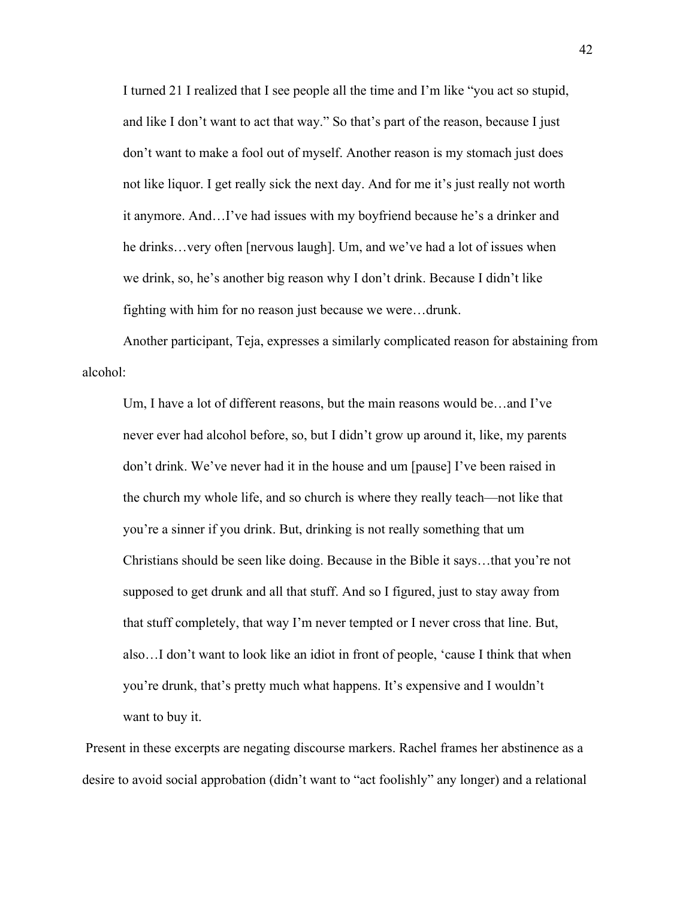I turned 21 I realized that I see people all the time and I'm like "you act so stupid, and like I don't want to act that way." So that's part of the reason, because I just don't want to make a fool out of myself. Another reason is my stomach just does not like liquor. I get really sick the next day. And for me it's just really not worth it anymore. And…I've had issues with my boyfriend because he's a drinker and he drinks…very often [nervous laugh]. Um, and we've had a lot of issues when we drink, so, he's another big reason why I don't drink. Because I didn't like fighting with him for no reason just because we were…drunk.

Another participant, Teja, expresses a similarly complicated reason for abstaining from alcohol:

Um, I have a lot of different reasons, but the main reasons would be…and I've never ever had alcohol before, so, but I didn't grow up around it, like, my parents don't drink. We've never had it in the house and um [pause] I've been raised in the church my whole life, and so church is where they really teach—not like that you're a sinner if you drink. But, drinking is not really something that um Christians should be seen like doing. Because in the Bible it says…that you're not supposed to get drunk and all that stuff. And so I figured, just to stay away from that stuff completely, that way I'm never tempted or I never cross that line. But, also…I don't want to look like an idiot in front of people, 'cause I think that when you're drunk, that's pretty much what happens. It's expensive and I wouldn't want to buy it.

Present in these excerpts are negating discourse markers. Rachel frames her abstinence as a desire to avoid social approbation (didn't want to "act foolishly" any longer) and a relational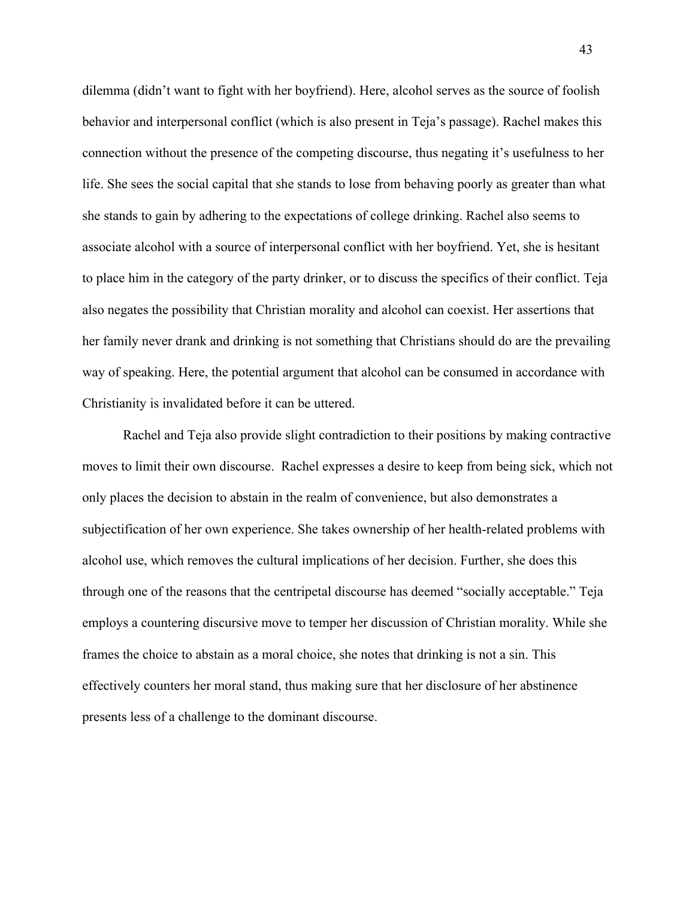dilemma (didn't want to fight with her boyfriend). Here, alcohol serves as the source of foolish behavior and interpersonal conflict (which is also present in Teja's passage). Rachel makes this connection without the presence of the competing discourse, thus negating it's usefulness to her life. She sees the social capital that she stands to lose from behaving poorly as greater than what she stands to gain by adhering to the expectations of college drinking. Rachel also seems to associate alcohol with a source of interpersonal conflict with her boyfriend. Yet, she is hesitant to place him in the category of the party drinker, or to discuss the specifics of their conflict. Teja also negates the possibility that Christian morality and alcohol can coexist. Her assertions that her family never drank and drinking is not something that Christians should do are the prevailing way of speaking. Here, the potential argument that alcohol can be consumed in accordance with Christianity is invalidated before it can be uttered.

Rachel and Teja also provide slight contradiction to their positions by making contractive moves to limit their own discourse. Rachel expresses a desire to keep from being sick, which not only places the decision to abstain in the realm of convenience, but also demonstrates a subjectification of her own experience. She takes ownership of her health-related problems with alcohol use, which removes the cultural implications of her decision. Further, she does this through one of the reasons that the centripetal discourse has deemed "socially acceptable." Teja employs a countering discursive move to temper her discussion of Christian morality. While she frames the choice to abstain as a moral choice, she notes that drinking is not a sin. This effectively counters her moral stand, thus making sure that her disclosure of her abstinence presents less of a challenge to the dominant discourse.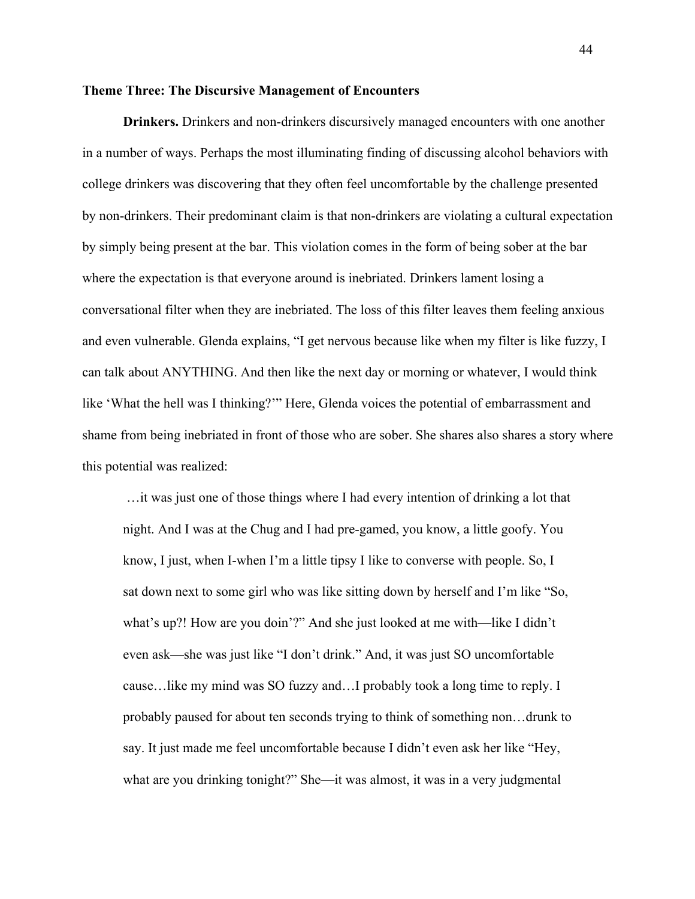### **Theme Three: The Discursive Management of Encounters**

**Drinkers.** Drinkers and non-drinkers discursively managed encounters with one another in a number of ways. Perhaps the most illuminating finding of discussing alcohol behaviors with college drinkers was discovering that they often feel uncomfortable by the challenge presented by non-drinkers. Their predominant claim is that non-drinkers are violating a cultural expectation by simply being present at the bar. This violation comes in the form of being sober at the bar where the expectation is that everyone around is inebriated. Drinkers lament losing a conversational filter when they are inebriated. The loss of this filter leaves them feeling anxious and even vulnerable. Glenda explains, "I get nervous because like when my filter is like fuzzy, I can talk about ANYTHING. And then like the next day or morning or whatever, I would think like 'What the hell was I thinking?'" Here, Glenda voices the potential of embarrassment and shame from being inebriated in front of those who are sober. She shares also shares a story where this potential was realized:

…it was just one of those things where I had every intention of drinking a lot that night. And I was at the Chug and I had pre-gamed, you know, a little goofy. You know, I just, when I-when I'm a little tipsy I like to converse with people. So, I sat down next to some girl who was like sitting down by herself and I'm like "So, what's up?! How are you doin'?" And she just looked at me with—like I didn't even ask—she was just like "I don't drink." And, it was just SO uncomfortable cause…like my mind was SO fuzzy and…I probably took a long time to reply. I probably paused for about ten seconds trying to think of something non…drunk to say. It just made me feel uncomfortable because I didn't even ask her like "Hey, what are you drinking tonight?" She—it was almost, it was in a very judgmental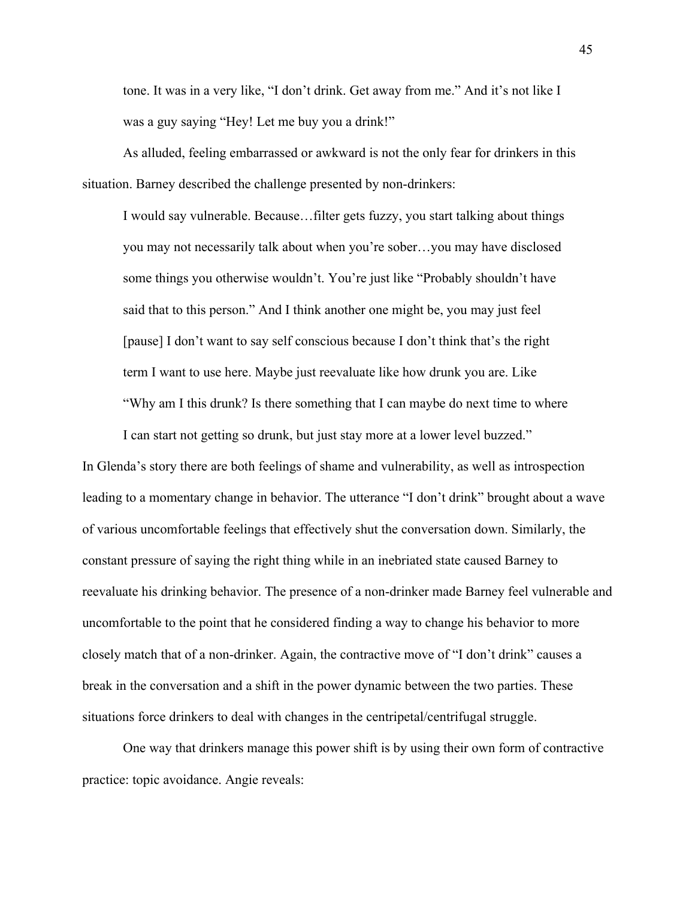tone. It was in a very like, "I don't drink. Get away from me." And it's not like I was a guy saying "Hey! Let me buy you a drink!"

As alluded, feeling embarrassed or awkward is not the only fear for drinkers in this situation. Barney described the challenge presented by non-drinkers:

I would say vulnerable. Because…filter gets fuzzy, you start talking about things you may not necessarily talk about when you're sober…you may have disclosed some things you otherwise wouldn't. You're just like "Probably shouldn't have said that to this person." And I think another one might be, you may just feel [pause] I don't want to say self conscious because I don't think that's the right term I want to use here. Maybe just reevaluate like how drunk you are. Like "Why am I this drunk? Is there something that I can maybe do next time to where

I can start not getting so drunk, but just stay more at a lower level buzzed." In Glenda's story there are both feelings of shame and vulnerability, as well as introspection leading to a momentary change in behavior. The utterance "I don't drink" brought about a wave of various uncomfortable feelings that effectively shut the conversation down. Similarly, the constant pressure of saying the right thing while in an inebriated state caused Barney to reevaluate his drinking behavior. The presence of a non-drinker made Barney feel vulnerable and uncomfortable to the point that he considered finding a way to change his behavior to more closely match that of a non-drinker. Again, the contractive move of "I don't drink" causes a break in the conversation and a shift in the power dynamic between the two parties. These situations force drinkers to deal with changes in the centripetal/centrifugal struggle.

One way that drinkers manage this power shift is by using their own form of contractive practice: topic avoidance. Angie reveals: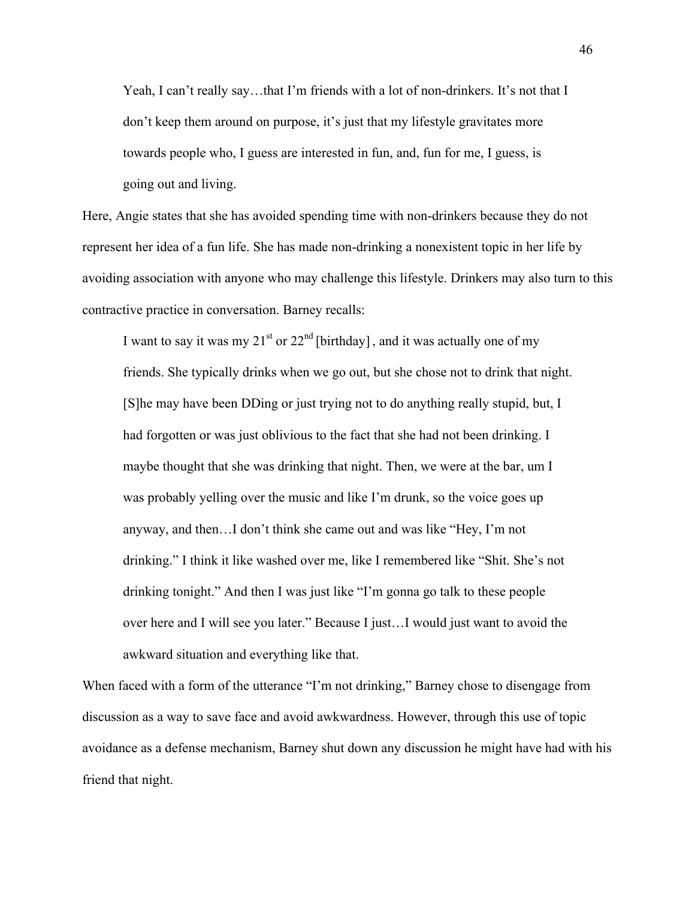Yeah, I can't really say...that I'm friends with a lot of non-drinkers. It's not that I don't keep them around on purpose, it's just that my lifestyle gravitates more towards people who, I guess are interested in fun, and, fun for me, I guess, is going out and living.

Here, Angie states that she has avoided spending time with non-drinkers because they do not represent her idea of a fun life. She has made non-drinking a nonexistent topic in her life by avoiding association with anyone who may challenge this lifestyle. Drinkers may also turn to this contractive practice in conversation. Barney recalls:

I want to say it was my  $21<sup>st</sup>$  or  $22<sup>nd</sup>$  [birthday], and it was actually one of my friends. She typically drinks when we go out, but she chose not to drink that night. [S]he may have been DDing or just trying not to do anything really stupid, but, I had forgotten or was just oblivious to the fact that she had not been drinking. I maybe thought that she was drinking that night. Then, we were at the bar, um I was probably yelling over the music and like I'm drunk, so the voice goes up anyway, and then…I don't think she came out and was like "Hey, I'm not drinking." I think it like washed over me, like I remembered like "Shit. She's not drinking tonight." And then I was just like "I'm gonna go talk to these people over here and I will see you later." Because I just…I would just want to avoid the awkward situation and everything like that.

When faced with a form of the utterance "I'm not drinking," Barney chose to disengage from discussion as a way to save face and avoid awkwardness. However, through this use of topic avoidance as a defense mechanism, Barney shut down any discussion he might have had with his friend that night.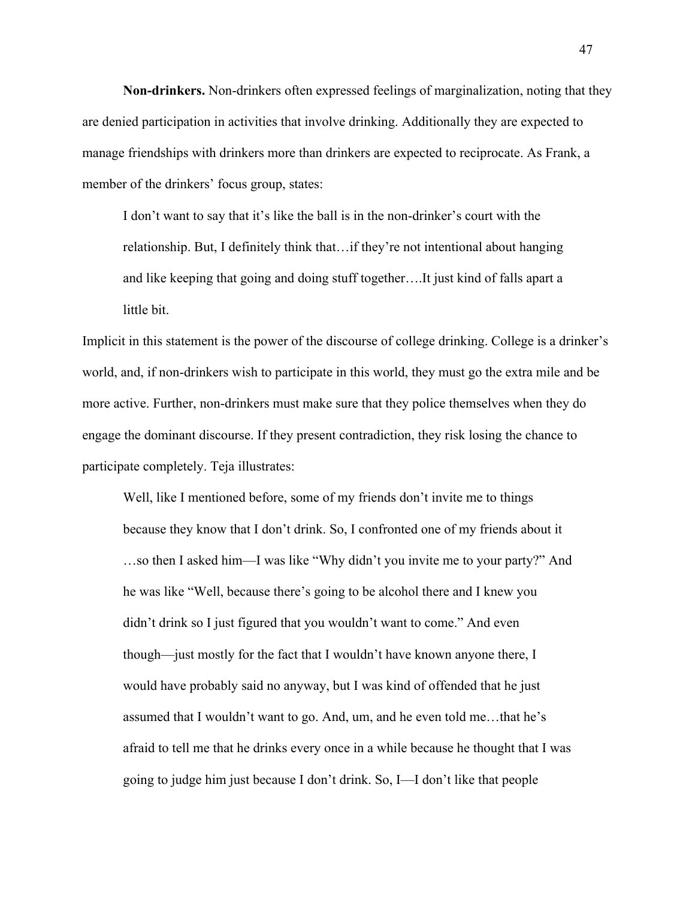**Non-drinkers.** Non-drinkers often expressed feelings of marginalization, noting that they are denied participation in activities that involve drinking. Additionally they are expected to manage friendships with drinkers more than drinkers are expected to reciprocate. As Frank, a member of the drinkers' focus group, states:

I don't want to say that it's like the ball is in the non-drinker's court with the relationship. But, I definitely think that…if they're not intentional about hanging and like keeping that going and doing stuff together….It just kind of falls apart a little bit.

Implicit in this statement is the power of the discourse of college drinking. College is a drinker's world, and, if non-drinkers wish to participate in this world, they must go the extra mile and be more active. Further, non-drinkers must make sure that they police themselves when they do engage the dominant discourse. If they present contradiction, they risk losing the chance to participate completely. Teja illustrates:

Well, like I mentioned before, some of my friends don't invite me to things because they know that I don't drink. So, I confronted one of my friends about it …so then I asked him—I was like "Why didn't you invite me to your party?" And he was like "Well, because there's going to be alcohol there and I knew you didn't drink so I just figured that you wouldn't want to come." And even though—just mostly for the fact that I wouldn't have known anyone there, I would have probably said no anyway, but I was kind of offended that he just assumed that I wouldn't want to go. And, um, and he even told me…that he's afraid to tell me that he drinks every once in a while because he thought that I was going to judge him just because I don't drink. So, I—I don't like that people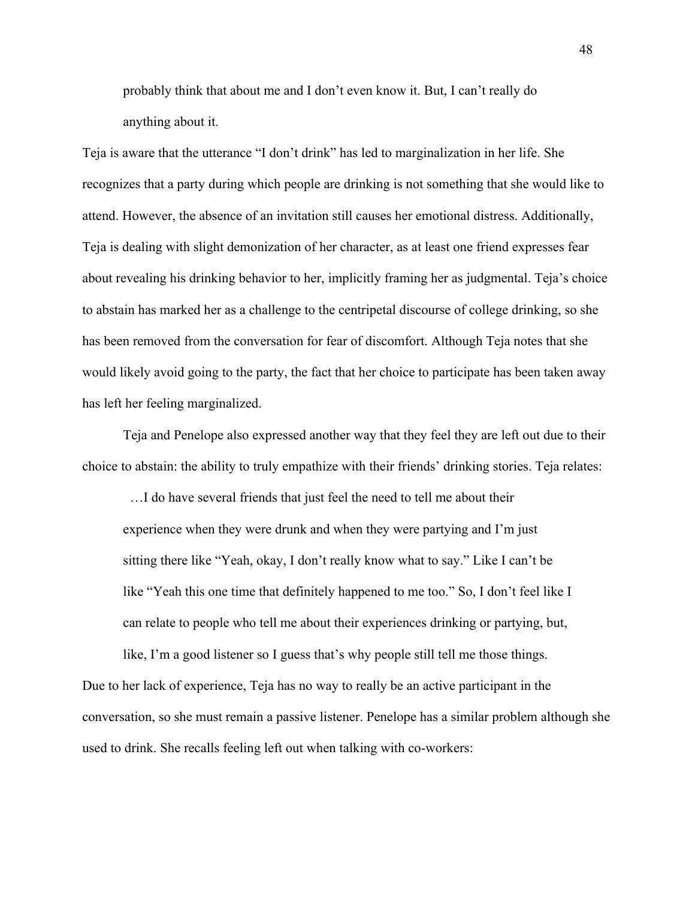probably think that about me and I don't even know it. But, I can't really do anything about it.

Teja is aware that the utterance "I don't drink" has led to marginalization in her life. She recognizes that a party during which people are drinking is not something that she would like to attend. However, the absence of an invitation still causes her emotional distress. Additionally, Teja is dealing with slight demonization of her character, as at least one friend expresses fear about revealing his drinking behavior to her, implicitly framing her as judgmental. Teja's choice to abstain has marked her as a challenge to the centripetal discourse of college drinking, so she has been removed from the conversation for fear of discomfort. Although Teja notes that she would likely avoid going to the party, the fact that her choice to participate has been taken away has left her feeling marginalized.

Teja and Penelope also expressed another way that they feel they are left out due to their choice to abstain: the ability to truly empathize with their friends' drinking stories. Teja relates:

 …I do have several friends that just feel the need to tell me about their experience when they were drunk and when they were partying and I'm just sitting there like "Yeah, okay, I don't really know what to say." Like I can't be like "Yeah this one time that definitely happened to me too." So, I don't feel like I can relate to people who tell me about their experiences drinking or partying, but,

like, I'm a good listener so I guess that's why people still tell me those things. Due to her lack of experience, Teja has no way to really be an active participant in the conversation, so she must remain a passive listener. Penelope has a similar problem although she used to drink. She recalls feeling left out when talking with co-workers:

48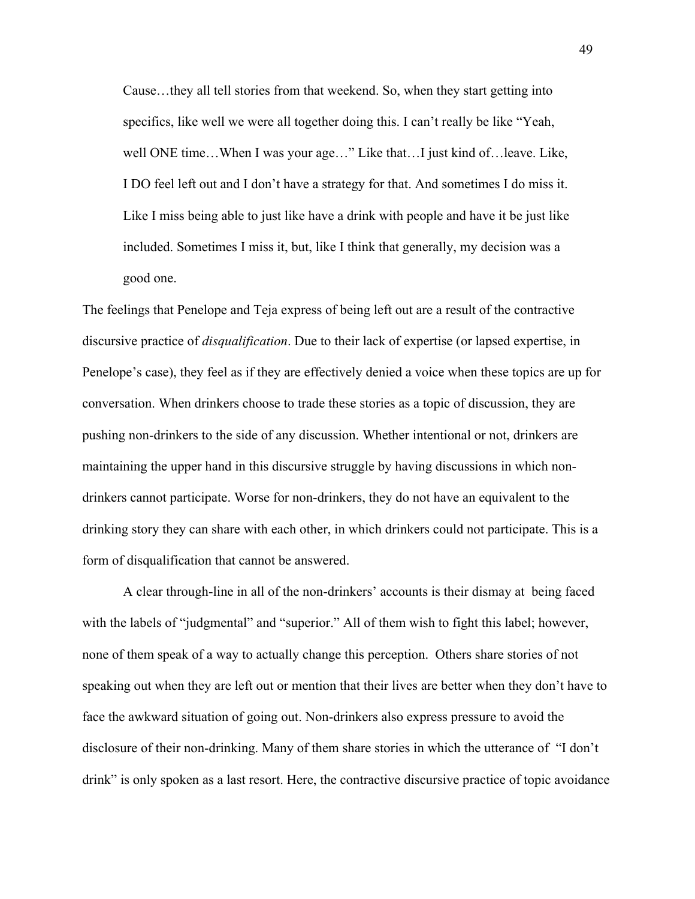Cause…they all tell stories from that weekend. So, when they start getting into specifics, like well we were all together doing this. I can't really be like "Yeah, well ONE time…When I was your age…" Like that…I just kind of…leave. Like, I DO feel left out and I don't have a strategy for that. And sometimes I do miss it. Like I miss being able to just like have a drink with people and have it be just like included. Sometimes I miss it, but, like I think that generally, my decision was a good one.

The feelings that Penelope and Teja express of being left out are a result of the contractive discursive practice of *disqualification*. Due to their lack of expertise (or lapsed expertise, in Penelope's case), they feel as if they are effectively denied a voice when these topics are up for conversation. When drinkers choose to trade these stories as a topic of discussion, they are pushing non-drinkers to the side of any discussion. Whether intentional or not, drinkers are maintaining the upper hand in this discursive struggle by having discussions in which nondrinkers cannot participate. Worse for non-drinkers, they do not have an equivalent to the drinking story they can share with each other, in which drinkers could not participate. This is a form of disqualification that cannot be answered.

A clear through-line in all of the non-drinkers' accounts is their dismay at being faced with the labels of "judgmental" and "superior." All of them wish to fight this label; however, none of them speak of a way to actually change this perception. Others share stories of not speaking out when they are left out or mention that their lives are better when they don't have to face the awkward situation of going out. Non-drinkers also express pressure to avoid the disclosure of their non-drinking. Many of them share stories in which the utterance of "I don't drink" is only spoken as a last resort. Here, the contractive discursive practice of topic avoidance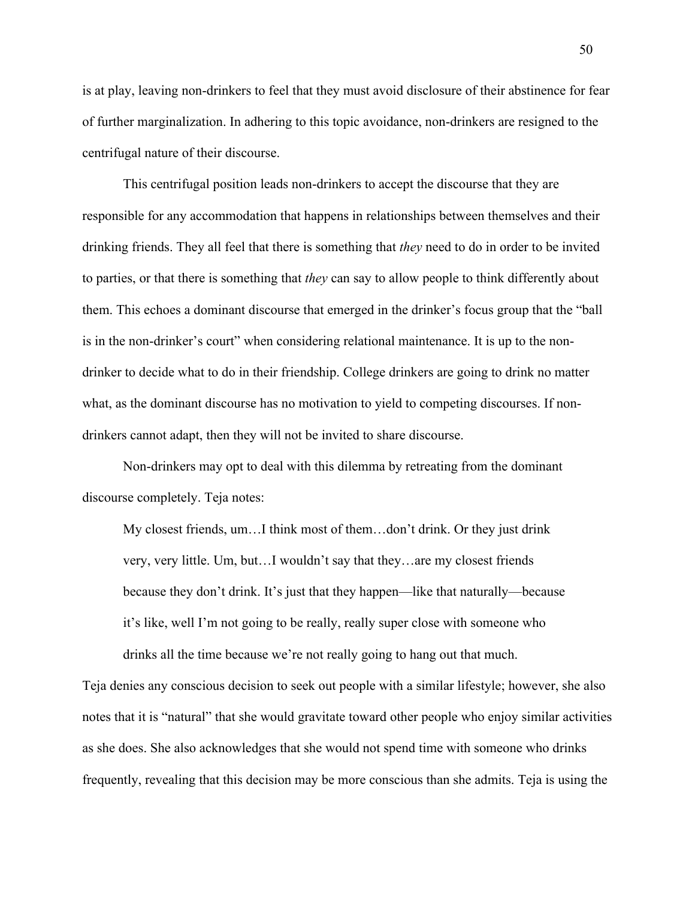is at play, leaving non-drinkers to feel that they must avoid disclosure of their abstinence for fear of further marginalization. In adhering to this topic avoidance, non-drinkers are resigned to the centrifugal nature of their discourse.

This centrifugal position leads non-drinkers to accept the discourse that they are responsible for any accommodation that happens in relationships between themselves and their drinking friends. They all feel that there is something that *they* need to do in order to be invited to parties, or that there is something that *they* can say to allow people to think differently about them. This echoes a dominant discourse that emerged in the drinker's focus group that the "ball is in the non-drinker's court" when considering relational maintenance. It is up to the nondrinker to decide what to do in their friendship. College drinkers are going to drink no matter what, as the dominant discourse has no motivation to yield to competing discourses. If nondrinkers cannot adapt, then they will not be invited to share discourse.

Non-drinkers may opt to deal with this dilemma by retreating from the dominant discourse completely. Teja notes:

My closest friends, um…I think most of them…don't drink. Or they just drink very, very little. Um, but…I wouldn't say that they…are my closest friends because they don't drink. It's just that they happen—like that naturally—because it's like, well I'm not going to be really, really super close with someone who drinks all the time because we're not really going to hang out that much.

Teja denies any conscious decision to seek out people with a similar lifestyle; however, she also notes that it is "natural" that she would gravitate toward other people who enjoy similar activities as she does. She also acknowledges that she would not spend time with someone who drinks frequently, revealing that this decision may be more conscious than she admits. Teja is using the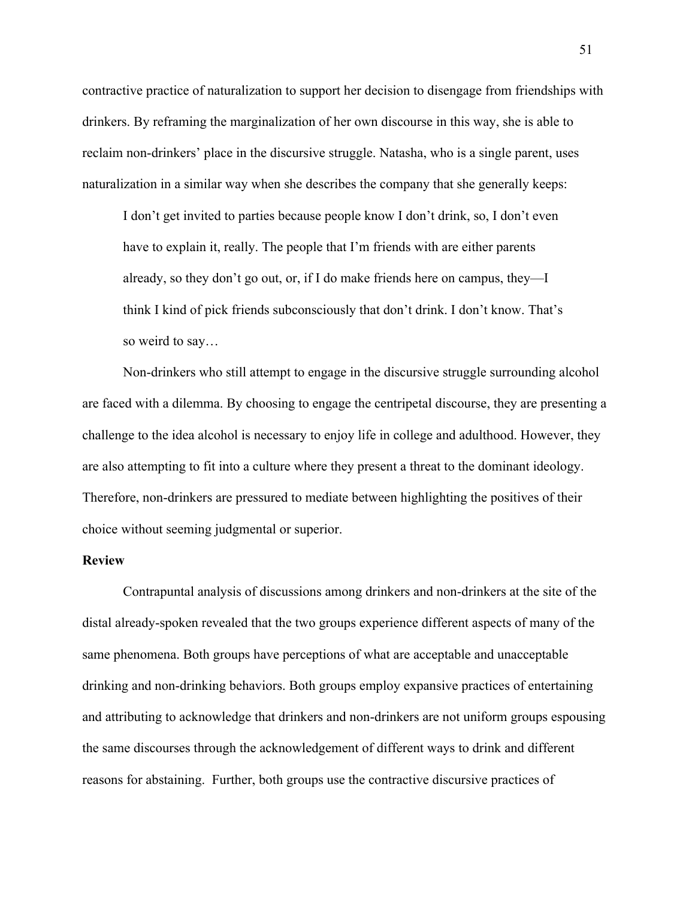contractive practice of naturalization to support her decision to disengage from friendships with drinkers. By reframing the marginalization of her own discourse in this way, she is able to reclaim non-drinkers' place in the discursive struggle. Natasha, who is a single parent, uses naturalization in a similar way when she describes the company that she generally keeps:

I don't get invited to parties because people know I don't drink, so, I don't even have to explain it, really. The people that I'm friends with are either parents already, so they don't go out, or, if I do make friends here on campus, they—I think I kind of pick friends subconsciously that don't drink. I don't know. That's so weird to say…

Non-drinkers who still attempt to engage in the discursive struggle surrounding alcohol are faced with a dilemma. By choosing to engage the centripetal discourse, they are presenting a challenge to the idea alcohol is necessary to enjoy life in college and adulthood. However, they are also attempting to fit into a culture where they present a threat to the dominant ideology. Therefore, non-drinkers are pressured to mediate between highlighting the positives of their choice without seeming judgmental or superior.

# **Review**

Contrapuntal analysis of discussions among drinkers and non-drinkers at the site of the distal already-spoken revealed that the two groups experience different aspects of many of the same phenomena. Both groups have perceptions of what are acceptable and unacceptable drinking and non-drinking behaviors. Both groups employ expansive practices of entertaining and attributing to acknowledge that drinkers and non-drinkers are not uniform groups espousing the same discourses through the acknowledgement of different ways to drink and different reasons for abstaining. Further, both groups use the contractive discursive practices of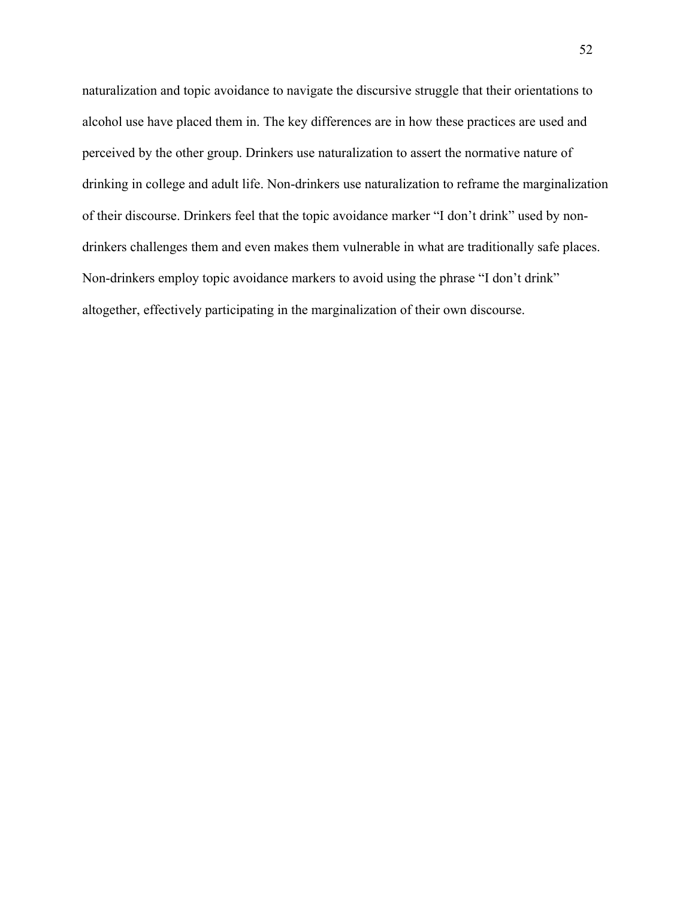naturalization and topic avoidance to navigate the discursive struggle that their orientations to alcohol use have placed them in. The key differences are in how these practices are used and perceived by the other group. Drinkers use naturalization to assert the normative nature of drinking in college and adult life. Non-drinkers use naturalization to reframe the marginalization of their discourse. Drinkers feel that the topic avoidance marker "I don't drink" used by nondrinkers challenges them and even makes them vulnerable in what are traditionally safe places. Non-drinkers employ topic avoidance markers to avoid using the phrase "I don't drink" altogether, effectively participating in the marginalization of their own discourse.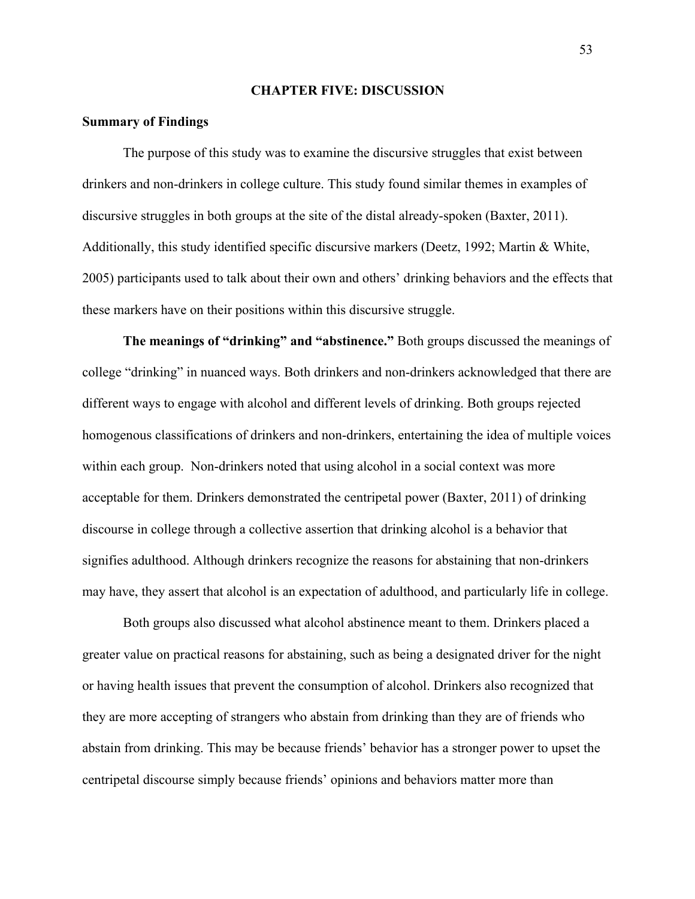### **CHAPTER FIVE: DISCUSSION**

## **Summary of Findings**

The purpose of this study was to examine the discursive struggles that exist between drinkers and non-drinkers in college culture. This study found similar themes in examples of discursive struggles in both groups at the site of the distal already-spoken (Baxter, 2011). Additionally, this study identified specific discursive markers (Deetz, 1992; Martin & White, 2005) participants used to talk about their own and others' drinking behaviors and the effects that these markers have on their positions within this discursive struggle.

**The meanings of "drinking" and "abstinence."** Both groups discussed the meanings of college "drinking" in nuanced ways. Both drinkers and non-drinkers acknowledged that there are different ways to engage with alcohol and different levels of drinking. Both groups rejected homogenous classifications of drinkers and non-drinkers, entertaining the idea of multiple voices within each group. Non-drinkers noted that using alcohol in a social context was more acceptable for them. Drinkers demonstrated the centripetal power (Baxter, 2011) of drinking discourse in college through a collective assertion that drinking alcohol is a behavior that signifies adulthood. Although drinkers recognize the reasons for abstaining that non-drinkers may have, they assert that alcohol is an expectation of adulthood, and particularly life in college.

Both groups also discussed what alcohol abstinence meant to them. Drinkers placed a greater value on practical reasons for abstaining, such as being a designated driver for the night or having health issues that prevent the consumption of alcohol. Drinkers also recognized that they are more accepting of strangers who abstain from drinking than they are of friends who abstain from drinking. This may be because friends' behavior has a stronger power to upset the centripetal discourse simply because friends' opinions and behaviors matter more than

53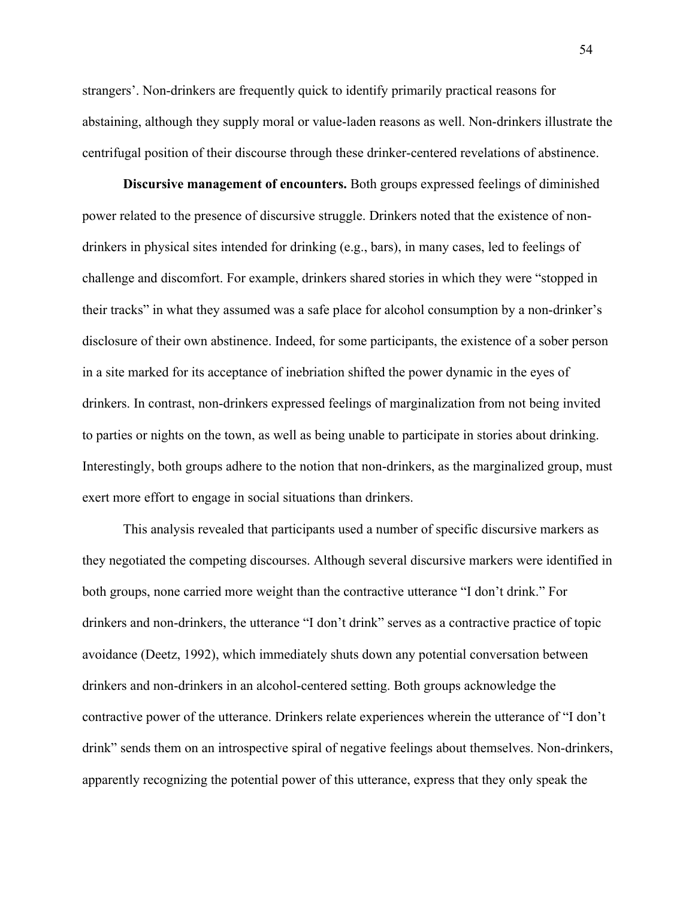strangers'. Non-drinkers are frequently quick to identify primarily practical reasons for abstaining, although they supply moral or value-laden reasons as well. Non-drinkers illustrate the centrifugal position of their discourse through these drinker-centered revelations of abstinence.

**Discursive management of encounters.** Both groups expressed feelings of diminished power related to the presence of discursive struggle. Drinkers noted that the existence of nondrinkers in physical sites intended for drinking (e.g., bars), in many cases, led to feelings of challenge and discomfort. For example, drinkers shared stories in which they were "stopped in their tracks" in what they assumed was a safe place for alcohol consumption by a non-drinker's disclosure of their own abstinence. Indeed, for some participants, the existence of a sober person in a site marked for its acceptance of inebriation shifted the power dynamic in the eyes of drinkers. In contrast, non-drinkers expressed feelings of marginalization from not being invited to parties or nights on the town, as well as being unable to participate in stories about drinking. Interestingly, both groups adhere to the notion that non-drinkers, as the marginalized group, must exert more effort to engage in social situations than drinkers.

This analysis revealed that participants used a number of specific discursive markers as they negotiated the competing discourses. Although several discursive markers were identified in both groups, none carried more weight than the contractive utterance "I don't drink." For drinkers and non-drinkers, the utterance "I don't drink" serves as a contractive practice of topic avoidance (Deetz, 1992), which immediately shuts down any potential conversation between drinkers and non-drinkers in an alcohol-centered setting. Both groups acknowledge the contractive power of the utterance. Drinkers relate experiences wherein the utterance of "I don't drink" sends them on an introspective spiral of negative feelings about themselves. Non-drinkers, apparently recognizing the potential power of this utterance, express that they only speak the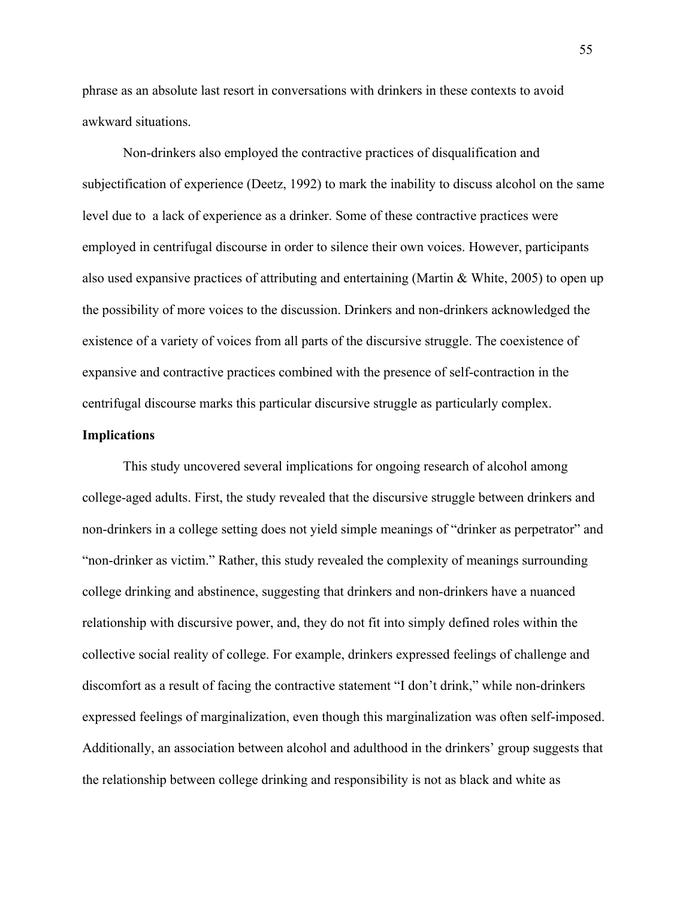phrase as an absolute last resort in conversations with drinkers in these contexts to avoid awkward situations.

Non-drinkers also employed the contractive practices of disqualification and subjectification of experience (Deetz, 1992) to mark the inability to discuss alcohol on the same level due to a lack of experience as a drinker. Some of these contractive practices were employed in centrifugal discourse in order to silence their own voices. However, participants also used expansive practices of attributing and entertaining (Martin & White, 2005) to open up the possibility of more voices to the discussion. Drinkers and non-drinkers acknowledged the existence of a variety of voices from all parts of the discursive struggle. The coexistence of expansive and contractive practices combined with the presence of self-contraction in the centrifugal discourse marks this particular discursive struggle as particularly complex.

### **Implications**

This study uncovered several implications for ongoing research of alcohol among college-aged adults. First, the study revealed that the discursive struggle between drinkers and non-drinkers in a college setting does not yield simple meanings of "drinker as perpetrator" and "non-drinker as victim." Rather, this study revealed the complexity of meanings surrounding college drinking and abstinence, suggesting that drinkers and non-drinkers have a nuanced relationship with discursive power, and, they do not fit into simply defined roles within the collective social reality of college. For example, drinkers expressed feelings of challenge and discomfort as a result of facing the contractive statement "I don't drink," while non-drinkers expressed feelings of marginalization, even though this marginalization was often self-imposed. Additionally, an association between alcohol and adulthood in the drinkers' group suggests that the relationship between college drinking and responsibility is not as black and white as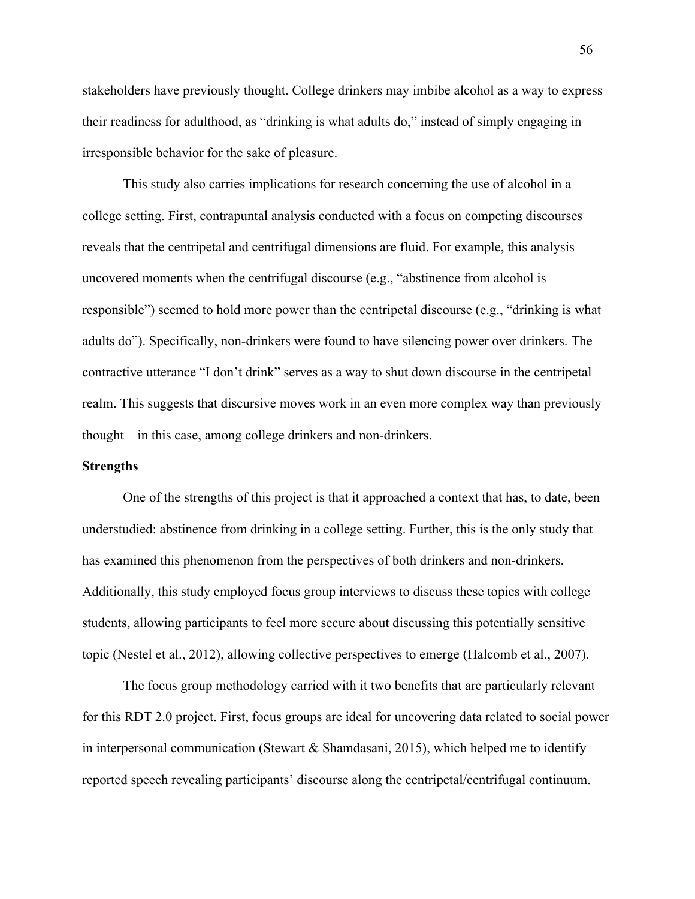stakeholders have previously thought. College drinkers may imbibe alcohol as a way to express their readiness for adulthood, as "drinking is what adults do," instead of simply engaging in irresponsible behavior for the sake of pleasure.

This study also carries implications for research concerning the use of alcohol in a college setting. First, contrapuntal analysis conducted with a focus on competing discourses reveals that the centripetal and centrifugal dimensions are fluid. For example, this analysis uncovered moments when the centrifugal discourse (e.g., "abstinence from alcohol is responsible") seemed to hold more power than the centripetal discourse (e.g., "drinking is what adults do"). Specifically, non-drinkers were found to have silencing power over drinkers. The contractive utterance "I don't drink" serves as a way to shut down discourse in the centripetal realm. This suggests that discursive moves work in an even more complex way than previously thought—in this case, among college drinkers and non-drinkers.

## **Strengths**

One of the strengths of this project is that it approached a context that has, to date, been understudied: abstinence from drinking in a college setting. Further, this is the only study that has examined this phenomenon from the perspectives of both drinkers and non-drinkers. Additionally, this study employed focus group interviews to discuss these topics with college students, allowing participants to feel more secure about discussing this potentially sensitive topic (Nestel et al., 2012), allowing collective perspectives to emerge (Halcomb et al., 2007).

The focus group methodology carried with it two benefits that are particularly relevant for this RDT 2.0 project. First, focus groups are ideal for uncovering data related to social power in interpersonal communication (Stewart & Shamdasani, 2015), which helped me to identify reported speech revealing participants' discourse along the centripetal/centrifugal continuum.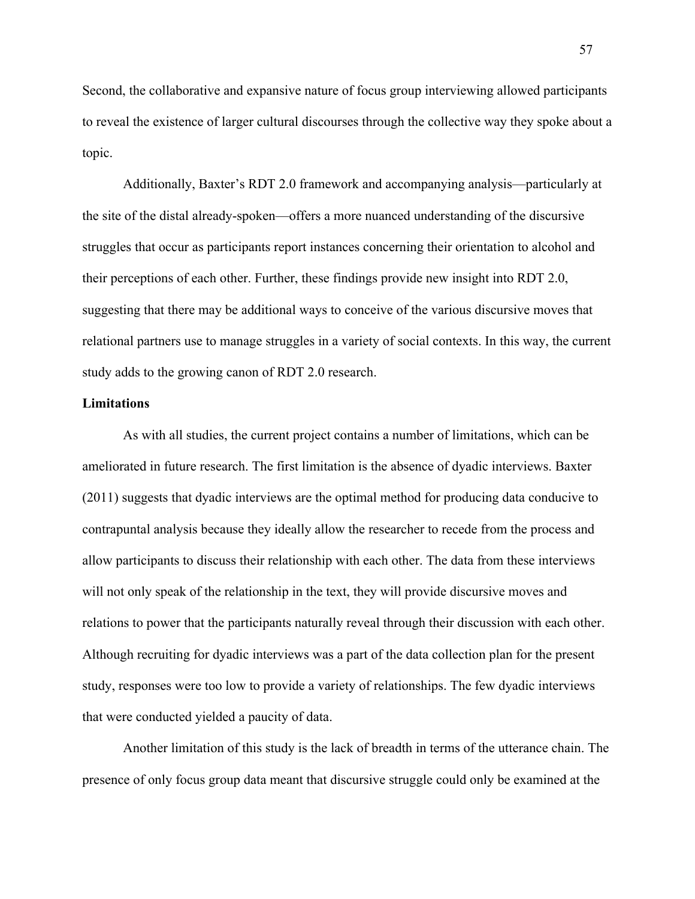Second, the collaborative and expansive nature of focus group interviewing allowed participants to reveal the existence of larger cultural discourses through the collective way they spoke about a topic.

Additionally, Baxter's RDT 2.0 framework and accompanying analysis—particularly at the site of the distal already-spoken—offers a more nuanced understanding of the discursive struggles that occur as participants report instances concerning their orientation to alcohol and their perceptions of each other. Further, these findings provide new insight into RDT 2.0, suggesting that there may be additional ways to conceive of the various discursive moves that relational partners use to manage struggles in a variety of social contexts. In this way, the current study adds to the growing canon of RDT 2.0 research.

## **Limitations**

As with all studies, the current project contains a number of limitations, which can be ameliorated in future research. The first limitation is the absence of dyadic interviews. Baxter (2011) suggests that dyadic interviews are the optimal method for producing data conducive to contrapuntal analysis because they ideally allow the researcher to recede from the process and allow participants to discuss their relationship with each other. The data from these interviews will not only speak of the relationship in the text, they will provide discursive moves and relations to power that the participants naturally reveal through their discussion with each other. Although recruiting for dyadic interviews was a part of the data collection plan for the present study, responses were too low to provide a variety of relationships. The few dyadic interviews that were conducted yielded a paucity of data.

Another limitation of this study is the lack of breadth in terms of the utterance chain. The presence of only focus group data meant that discursive struggle could only be examined at the

57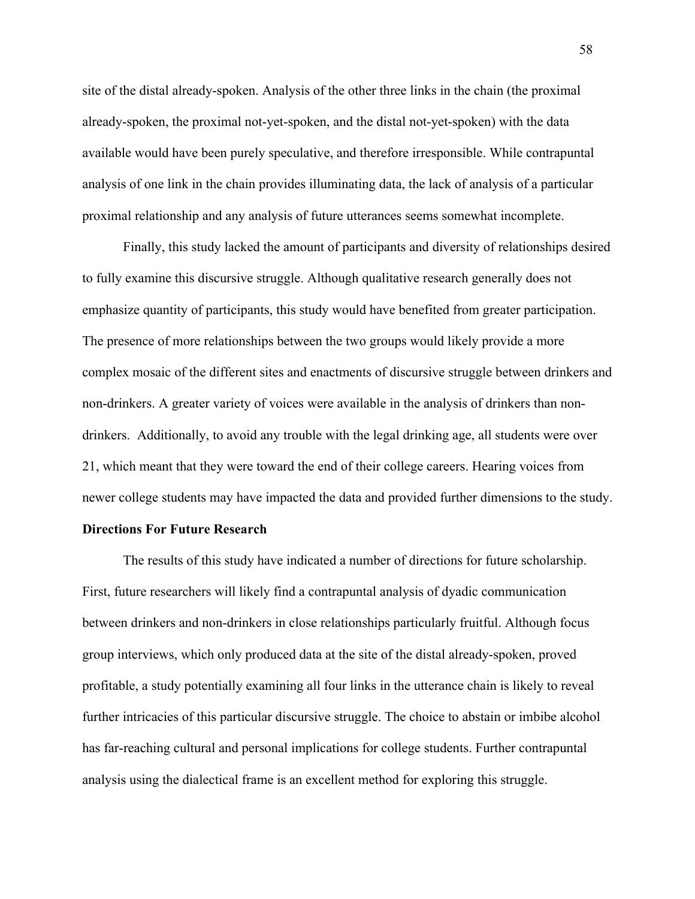site of the distal already-spoken. Analysis of the other three links in the chain (the proximal already-spoken, the proximal not-yet-spoken, and the distal not-yet-spoken) with the data available would have been purely speculative, and therefore irresponsible. While contrapuntal analysis of one link in the chain provides illuminating data, the lack of analysis of a particular proximal relationship and any analysis of future utterances seems somewhat incomplete.

Finally, this study lacked the amount of participants and diversity of relationships desired to fully examine this discursive struggle. Although qualitative research generally does not emphasize quantity of participants, this study would have benefited from greater participation. The presence of more relationships between the two groups would likely provide a more complex mosaic of the different sites and enactments of discursive struggle between drinkers and non-drinkers. A greater variety of voices were available in the analysis of drinkers than nondrinkers. Additionally, to avoid any trouble with the legal drinking age, all students were over 21, which meant that they were toward the end of their college careers. Hearing voices from newer college students may have impacted the data and provided further dimensions to the study.

## **Directions For Future Research**

The results of this study have indicated a number of directions for future scholarship. First, future researchers will likely find a contrapuntal analysis of dyadic communication between drinkers and non-drinkers in close relationships particularly fruitful. Although focus group interviews, which only produced data at the site of the distal already-spoken, proved profitable, a study potentially examining all four links in the utterance chain is likely to reveal further intricacies of this particular discursive struggle. The choice to abstain or imbibe alcohol has far-reaching cultural and personal implications for college students. Further contrapuntal analysis using the dialectical frame is an excellent method for exploring this struggle.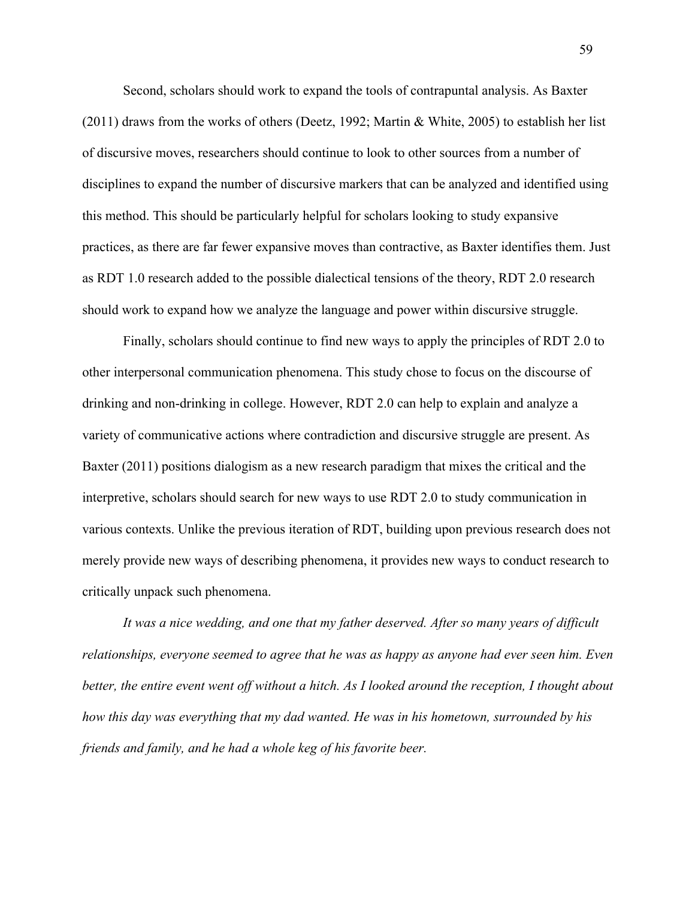Second, scholars should work to expand the tools of contrapuntal analysis. As Baxter (2011) draws from the works of others (Deetz, 1992; Martin & White, 2005) to establish her list of discursive moves, researchers should continue to look to other sources from a number of disciplines to expand the number of discursive markers that can be analyzed and identified using this method. This should be particularly helpful for scholars looking to study expansive practices, as there are far fewer expansive moves than contractive, as Baxter identifies them. Just as RDT 1.0 research added to the possible dialectical tensions of the theory, RDT 2.0 research should work to expand how we analyze the language and power within discursive struggle.

Finally, scholars should continue to find new ways to apply the principles of RDT 2.0 to other interpersonal communication phenomena. This study chose to focus on the discourse of drinking and non-drinking in college. However, RDT 2.0 can help to explain and analyze a variety of communicative actions where contradiction and discursive struggle are present. As Baxter (2011) positions dialogism as a new research paradigm that mixes the critical and the interpretive, scholars should search for new ways to use RDT 2.0 to study communication in various contexts. Unlike the previous iteration of RDT, building upon previous research does not merely provide new ways of describing phenomena, it provides new ways to conduct research to critically unpack such phenomena.

*It was a nice wedding, and one that my father deserved. After so many years of difficult relationships, everyone seemed to agree that he was as happy as anyone had ever seen him. Even better, the entire event went off without a hitch. As I looked around the reception, I thought about how this day was everything that my dad wanted. He was in his hometown, surrounded by his friends and family, and he had a whole keg of his favorite beer.* 

59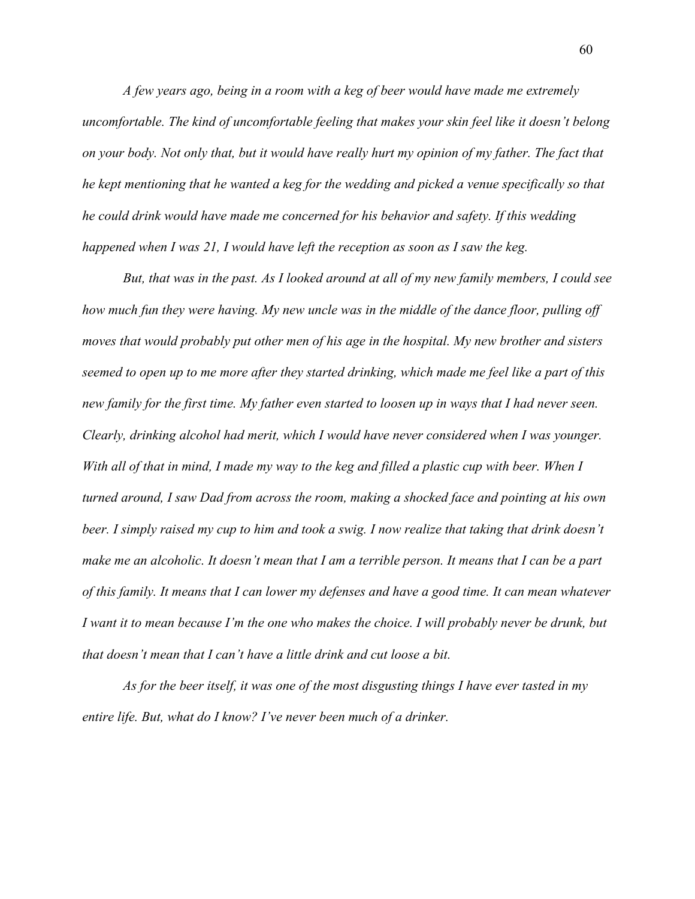*A few years ago, being in a room with a keg of beer would have made me extremely uncomfortable. The kind of uncomfortable feeling that makes your skin feel like it doesn't belong on your body. Not only that, but it would have really hurt my opinion of my father. The fact that he kept mentioning that he wanted a keg for the wedding and picked a venue specifically so that he could drink would have made me concerned for his behavior and safety. If this wedding happened when I was 21, I would have left the reception as soon as I saw the keg.* 

*But, that was in the past. As I looked around at all of my new family members, I could see how much fun they were having. My new uncle was in the middle of the dance floor, pulling off moves that would probably put other men of his age in the hospital. My new brother and sisters seemed to open up to me more after they started drinking, which made me feel like a part of this new family for the first time. My father even started to loosen up in ways that I had never seen. Clearly, drinking alcohol had merit, which I would have never considered when I was younger. With all of that in mind, I made my way to the keg and filled a plastic cup with beer. When I turned around, I saw Dad from across the room, making a shocked face and pointing at his own beer. I simply raised my cup to him and took a swig. I now realize that taking that drink doesn't make me an alcoholic. It doesn't mean that I am a terrible person. It means that I can be a part of this family. It means that I can lower my defenses and have a good time. It can mean whatever I want it to mean because I'm the one who makes the choice. I will probably never be drunk, but that doesn't mean that I can't have a little drink and cut loose a bit.* 

*As for the beer itself, it was one of the most disgusting things I have ever tasted in my entire life. But, what do I know? I've never been much of a drinker.*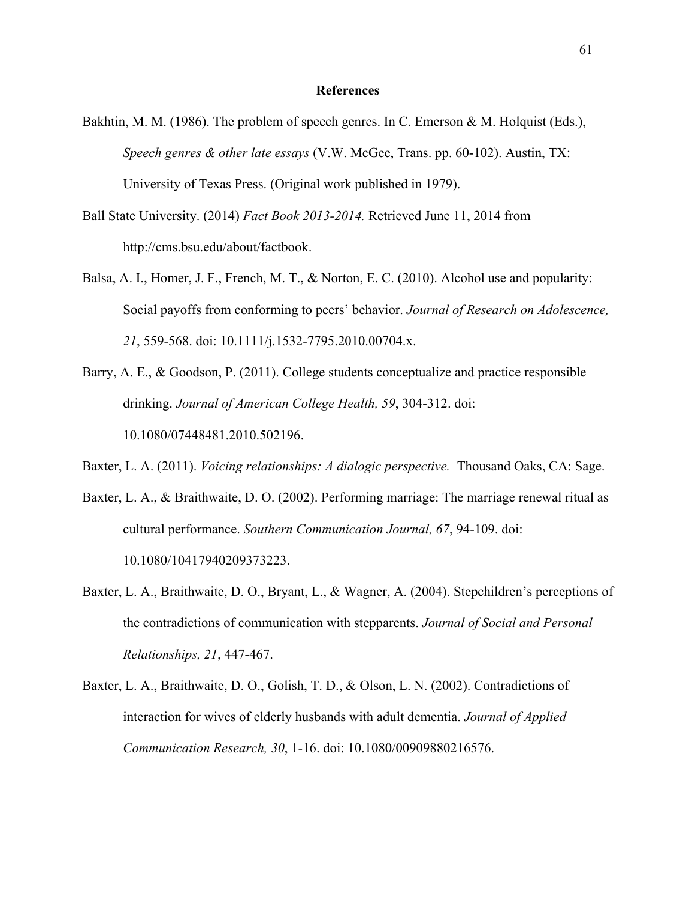## **References**

- Bakhtin, M. M. (1986). The problem of speech genres. In C. Emerson & M. Holquist (Eds.), *Speech genres & other late essays* (V.W. McGee, Trans. pp. 60-102). Austin, TX: University of Texas Press. (Original work published in 1979).
- Ball State University. (2014) *Fact Book 2013-2014.* Retrieved June 11, 2014 from http://cms.bsu.edu/about/factbook.
- Balsa, A. I., Homer, J. F., French, M. T., & Norton, E. C. (2010). Alcohol use and popularity: Social payoffs from conforming to peers' behavior. *Journal of Research on Adolescence, 21*, 559-568. doi: 10.1111/j.1532-7795.2010.00704.x.
- Barry, A. E., & Goodson, P. (2011). College students conceptualize and practice responsible drinking. *Journal of American College Health, 59*, 304-312. doi: 10.1080/07448481.2010.502196.
- Baxter, L. A. (2011). *Voicing relationships: A dialogic perspective.* Thousand Oaks, CA: Sage.
- Baxter, L. A., & Braithwaite, D. O. (2002). Performing marriage: The marriage renewal ritual as cultural performance. *Southern Communication Journal, 67*, 94-109. doi: 10.1080/10417940209373223.
- Baxter, L. A., Braithwaite, D. O., Bryant, L., & Wagner, A. (2004). Stepchildren's perceptions of the contradictions of communication with stepparents. *Journal of Social and Personal Relationships, 21*, 447-467.
- Baxter, L. A., Braithwaite, D. O., Golish, T. D., & Olson, L. N. (2002). Contradictions of interaction for wives of elderly husbands with adult dementia. *Journal of Applied Communication Research, 30*, 1-16. doi: 10.1080/00909880216576.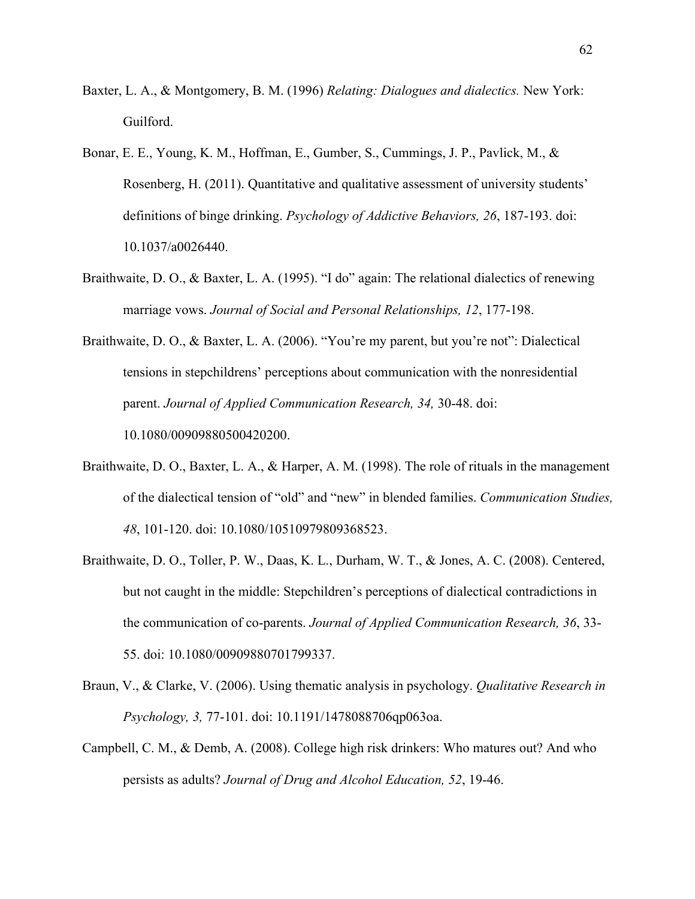- Baxter, L. A., & Montgomery, B. M. (1996) *Relating: Dialogues and dialectics.* New York: Guilford.
- Bonar, E. E., Young, K. M., Hoffman, E., Gumber, S., Cummings, J. P., Pavlick, M., & Rosenberg, H. (2011). Quantitative and qualitative assessment of university students' definitions of binge drinking. *Psychology of Addictive Behaviors, 26*, 187-193. doi: 10.1037/a0026440.
- Braithwaite, D. O., & Baxter, L. A. (1995). "I do" again: The relational dialectics of renewing marriage vows. *Journal of Social and Personal Relationships, 12*, 177-198.
- Braithwaite, D. O., & Baxter, L. A. (2006). "You're my parent, but you're not": Dialectical tensions in stepchildrens' perceptions about communication with the nonresidential parent. *Journal of Applied Communication Research, 34,* 30-48. doi: 10.1080/00909880500420200.
- Braithwaite, D. O., Baxter, L. A., & Harper, A. M. (1998). The role of rituals in the management of the dialectical tension of "old" and "new" in blended families. *Communication Studies, 48*, 101-120. doi: 10.1080/10510979809368523.
- Braithwaite, D. O., Toller, P. W., Daas, K. L., Durham, W. T., & Jones, A. C. (2008). Centered, but not caught in the middle: Stepchildren's perceptions of dialectical contradictions in the communication of co-parents. *Journal of Applied Communication Research, 36*, 33- 55. doi: 10.1080/00909880701799337.
- Braun, V., & Clarke, V. (2006). Using thematic analysis in psychology. *Qualitative Research in Psychology, 3,* 77-101. doi: 10.1191/1478088706qp063oa.
- Campbell, C. M., & Demb, A. (2008). College high risk drinkers: Who matures out? And who persists as adults? *Journal of Drug and Alcohol Education, 52*, 19-46.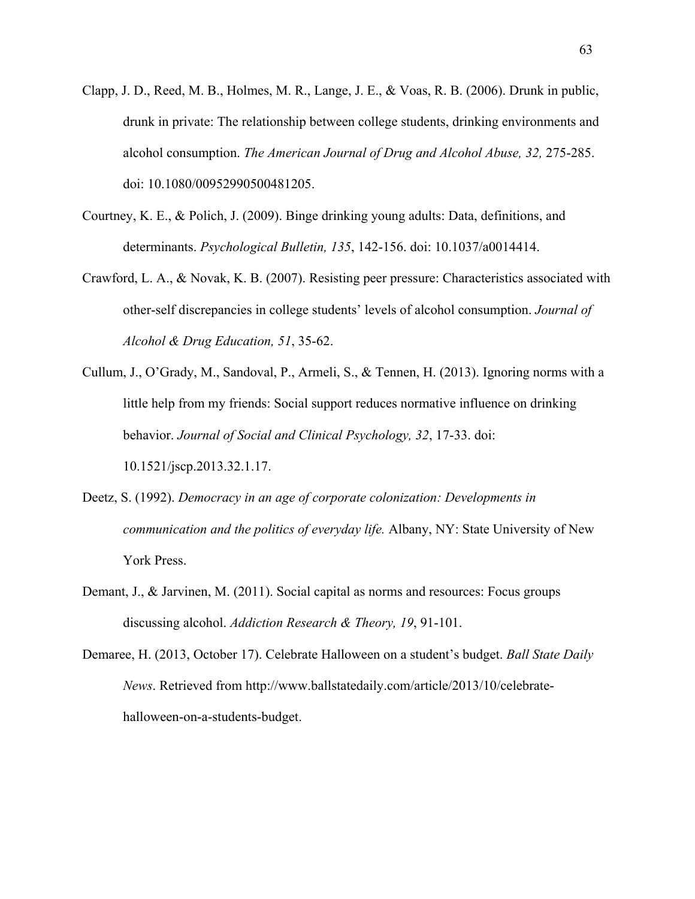- Clapp, J. D., Reed, M. B., Holmes, M. R., Lange, J. E., & Voas, R. B. (2006). Drunk in public, drunk in private: The relationship between college students, drinking environments and alcohol consumption. *The American Journal of Drug and Alcohol Abuse, 32,* 275-285. doi: 10.1080/00952990500481205.
- Courtney, K. E., & Polich, J. (2009). Binge drinking young adults: Data, definitions, and determinants. *Psychological Bulletin, 135*, 142-156. doi: 10.1037/a0014414.
- Crawford, L. A., & Novak, K. B. (2007). Resisting peer pressure: Characteristics associated with other-self discrepancies in college students' levels of alcohol consumption. *Journal of Alcohol & Drug Education, 51*, 35-62.
- Cullum, J., O'Grady, M., Sandoval, P., Armeli, S., & Tennen, H. (2013). Ignoring norms with a little help from my friends: Social support reduces normative influence on drinking behavior. *Journal of Social and Clinical Psychology, 32*, 17-33. doi: 10.1521/jscp.2013.32.1.17.
- Deetz, S. (1992). *Democracy in an age of corporate colonization: Developments in communication and the politics of everyday life.* Albany, NY: State University of New York Press.
- Demant, J., & Jarvinen, M. (2011). Social capital as norms and resources: Focus groups discussing alcohol. *Addiction Research & Theory, 19*, 91-101.
- Demaree, H. (2013, October 17). Celebrate Halloween on a student's budget. *Ball State Daily News*. Retrieved from http://www.ballstatedaily.com/article/2013/10/celebratehalloween-on-a-students-budget.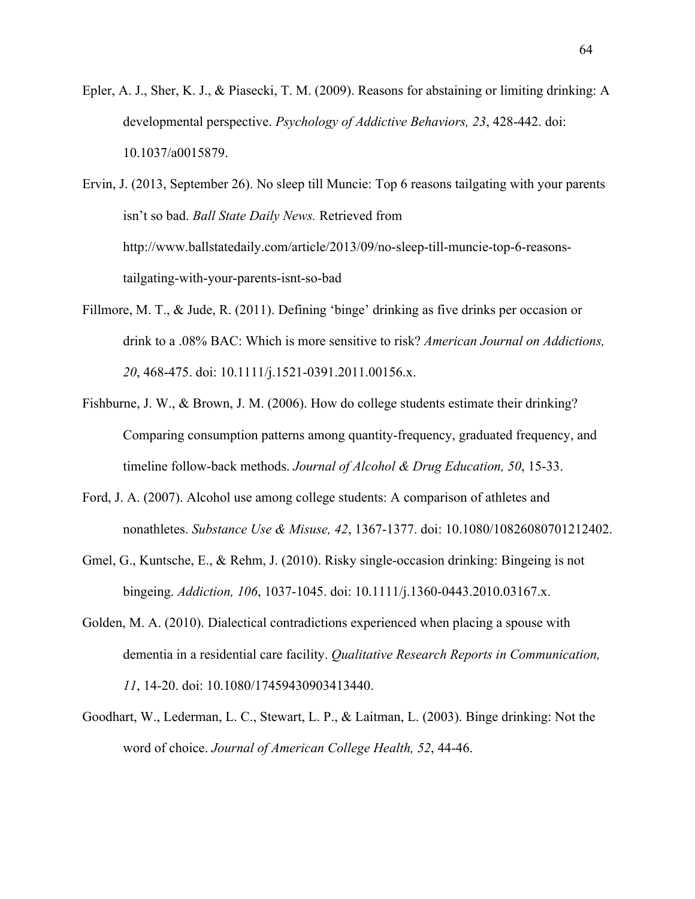Epler, A. J., Sher, K. J., & Piasecki, T. M. (2009). Reasons for abstaining or limiting drinking: A developmental perspective. *Psychology of Addictive Behaviors, 23*, 428-442. doi: 10.1037/a0015879.

Ervin, J. (2013, September 26). No sleep till Muncie: Top 6 reasons tailgating with your parents isn't so bad. *Ball State Daily News.* Retrieved from http://www.ballstatedaily.com/article/2013/09/no-sleep-till-muncie-top-6-reasonstailgating-with-your-parents-isnt-so-bad

- Fillmore, M. T., & Jude, R. (2011). Defining 'binge' drinking as five drinks per occasion or drink to a .08% BAC: Which is more sensitive to risk? *American Journal on Addictions, 20*, 468-475. doi: 10.1111/j.1521-0391.2011.00156.x.
- Fishburne, J. W., & Brown, J. M. (2006). How do college students estimate their drinking? Comparing consumption patterns among quantity-frequency, graduated frequency, and timeline follow-back methods. *Journal of Alcohol & Drug Education, 50*, 15-33.
- Ford, J. A. (2007). Alcohol use among college students: A comparison of athletes and nonathletes. *Substance Use & Misuse, 42*, 1367-1377. doi: 10.1080/10826080701212402.
- Gmel, G., Kuntsche, E., & Rehm, J. (2010). Risky single-occasion drinking: Bingeing is not bingeing. *Addiction, 106*, 1037-1045. doi: 10.1111/j.1360-0443.2010.03167.x.
- Golden, M. A. (2010). Dialectical contradictions experienced when placing a spouse with dementia in a residential care facility. *Qualitative Research Reports in Communication, 11*, 14-20. doi: 10.1080/17459430903413440.
- Goodhart, W., Lederman, L. C., Stewart, L. P., & Laitman, L. (2003). Binge drinking: Not the word of choice. *Journal of American College Health, 52*, 44-46.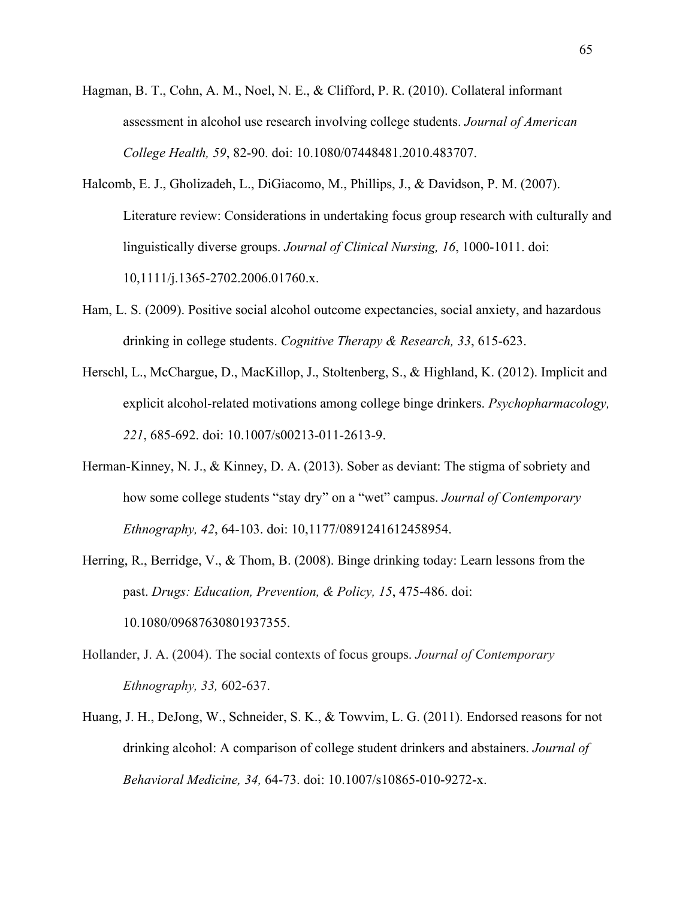- Hagman, B. T., Cohn, A. M., Noel, N. E., & Clifford, P. R. (2010). Collateral informant assessment in alcohol use research involving college students. *Journal of American College Health, 59*, 82-90. doi: 10.1080/07448481.2010.483707.
- Halcomb, E. J., Gholizadeh, L., DiGiacomo, M., Phillips, J., & Davidson, P. M. (2007). Literature review: Considerations in undertaking focus group research with culturally and linguistically diverse groups. *Journal of Clinical Nursing, 16*, 1000-1011. doi: 10,1111/j.1365-2702.2006.01760.x.
- Ham, L. S. (2009). Positive social alcohol outcome expectancies, social anxiety, and hazardous drinking in college students. *Cognitive Therapy & Research, 33*, 615-623.
- Herschl, L., McChargue, D., MacKillop, J., Stoltenberg, S., & Highland, K. (2012). Implicit and explicit alcohol-related motivations among college binge drinkers. *Psychopharmacology, 221*, 685-692. doi: 10.1007/s00213-011-2613-9.
- Herman-Kinney, N. J., & Kinney, D. A. (2013). Sober as deviant: The stigma of sobriety and how some college students "stay dry" on a "wet" campus. *Journal of Contemporary Ethnography, 42*, 64-103. doi: 10,1177/0891241612458954.
- Herring, R., Berridge, V., & Thom, B. (2008). Binge drinking today: Learn lessons from the past. *Drugs: Education, Prevention, & Policy, 15*, 475-486. doi: 10.1080/09687630801937355.
- Hollander, J. A. (2004). The social contexts of focus groups. *Journal of Contemporary Ethnography, 33,* 602-637.
- Huang, J. H., DeJong, W., Schneider, S. K., & Towvim, L. G. (2011). Endorsed reasons for not drinking alcohol: A comparison of college student drinkers and abstainers. *Journal of Behavioral Medicine, 34,* 64-73. doi: 10.1007/s10865-010-9272-x.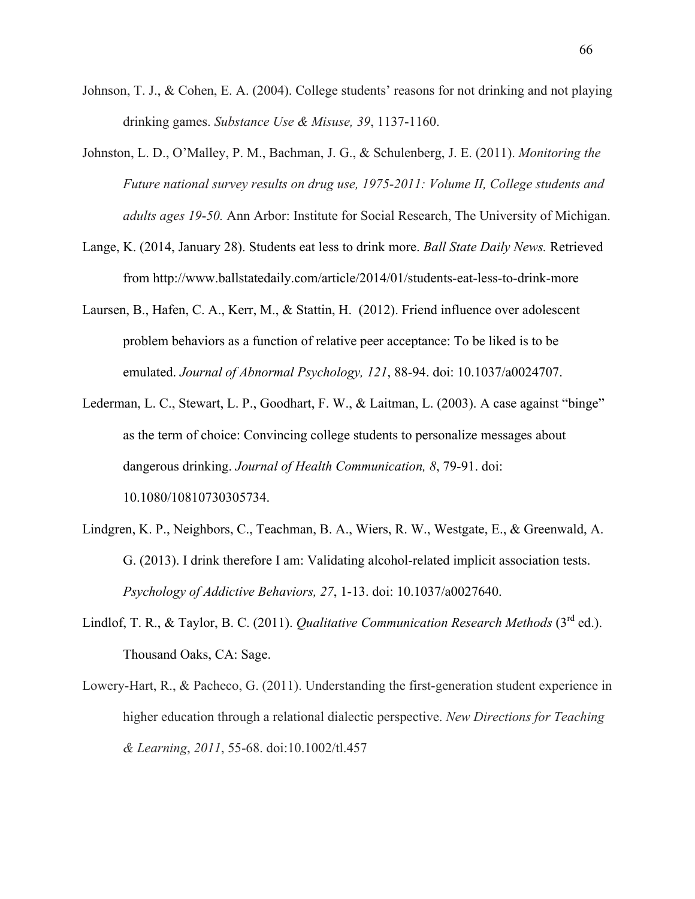- Johnson, T. J., & Cohen, E. A. (2004). College students' reasons for not drinking and not playing drinking games. *Substance Use & Misuse, 39*, 1137-1160.
- Johnston, L. D., O'Malley, P. M., Bachman, J. G., & Schulenberg, J. E. (2011). *Monitoring the Future national survey results on drug use, 1975*-*2011: Volume II, College students and adults ages 19*-*50.* Ann Arbor: Institute for Social Research, The University of Michigan.
- Lange, K. (2014, January 28). Students eat less to drink more. *Ball State Daily News.* Retrieved from http://www.ballstatedaily.com/article/2014/01/students-eat-less-to-drink-more
- Laursen, B., Hafen, C. A., Kerr, M., & Stattin, H. (2012). Friend influence over adolescent problem behaviors as a function of relative peer acceptance: To be liked is to be emulated. *Journal of Abnormal Psychology, 121*, 88-94. doi: 10.1037/a0024707.
- Lederman, L. C., Stewart, L. P., Goodhart, F. W., & Laitman, L. (2003). A case against "binge" as the term of choice: Convincing college students to personalize messages about dangerous drinking. *Journal of Health Communication, 8*, 79-91. doi: 10.1080/10810730305734.
- Lindgren, K. P., Neighbors, C., Teachman, B. A., Wiers, R. W., Westgate, E., & Greenwald, A. G. (2013). I drink therefore I am: Validating alcohol-related implicit association tests. *Psychology of Addictive Behaviors, 27*, 1-13. doi: 10.1037/a0027640.
- Lindlof, T. R., & Taylor, B. C. (2011). *Qualitative Communication Research Methods* (3<sup>rd</sup> ed.). Thousand Oaks, CA: Sage.
- Lowery-Hart, R., & Pacheco, G. (2011). Understanding the first-generation student experience in higher education through a relational dialectic perspective. *New Directions for Teaching & Learning*, *2011*, 55-68. doi:10.1002/tl.457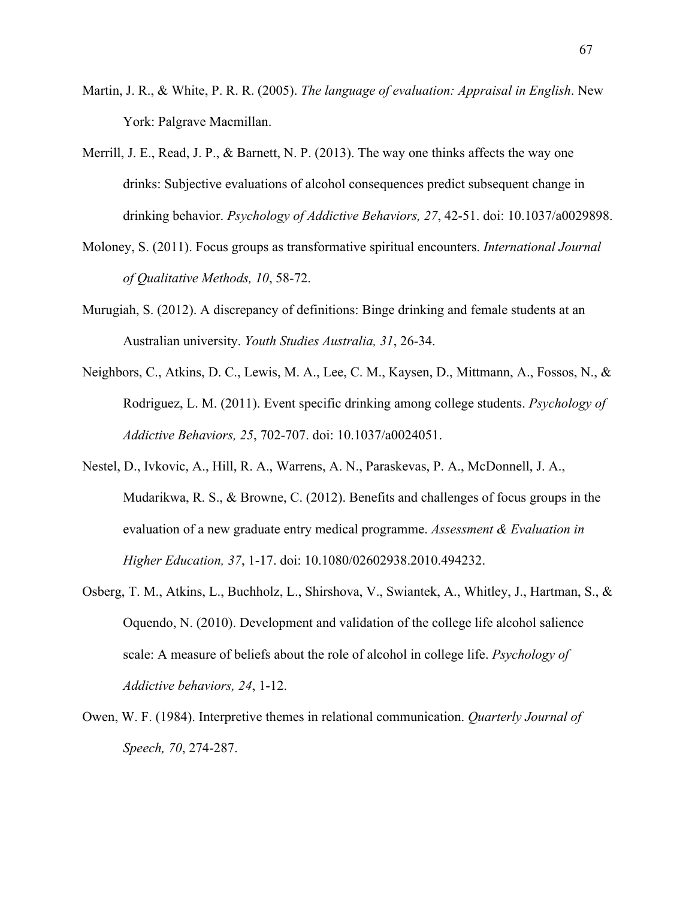- Martin, J. R., & White, P. R. R. (2005). *The language of evaluation: Appraisal in English*. New York: Palgrave Macmillan.
- Merrill, J. E., Read, J. P., & Barnett, N. P. (2013). The way one thinks affects the way one drinks: Subjective evaluations of alcohol consequences predict subsequent change in drinking behavior. *Psychology of Addictive Behaviors, 27*, 42-51. doi: 10.1037/a0029898.
- Moloney, S. (2011). Focus groups as transformative spiritual encounters. *International Journal of Qualitative Methods, 10*, 58-72.
- Murugiah, S. (2012). A discrepancy of definitions: Binge drinking and female students at an Australian university. *Youth Studies Australia, 31*, 26-34.
- Neighbors, C., Atkins, D. C., Lewis, M. A., Lee, C. M., Kaysen, D., Mittmann, A., Fossos, N., & Rodriguez, L. M. (2011). Event specific drinking among college students. *Psychology of Addictive Behaviors, 25*, 702-707. doi: 10.1037/a0024051.
- Nestel, D., Ivkovic, A., Hill, R. A., Warrens, A. N., Paraskevas, P. A., McDonnell, J. A., Mudarikwa, R. S., & Browne, C. (2012). Benefits and challenges of focus groups in the evaluation of a new graduate entry medical programme. *Assessment & Evaluation in Higher Education, 37*, 1-17. doi: 10.1080/02602938.2010.494232.
- Osberg, T. M., Atkins, L., Buchholz, L., Shirshova, V., Swiantek, A., Whitley, J., Hartman, S., & Oquendo, N. (2010). Development and validation of the college life alcohol salience scale: A measure of beliefs about the role of alcohol in college life. *Psychology of Addictive behaviors, 24*, 1-12.
- Owen, W. F. (1984). Interpretive themes in relational communication. *Quarterly Journal of Speech, 70*, 274-287.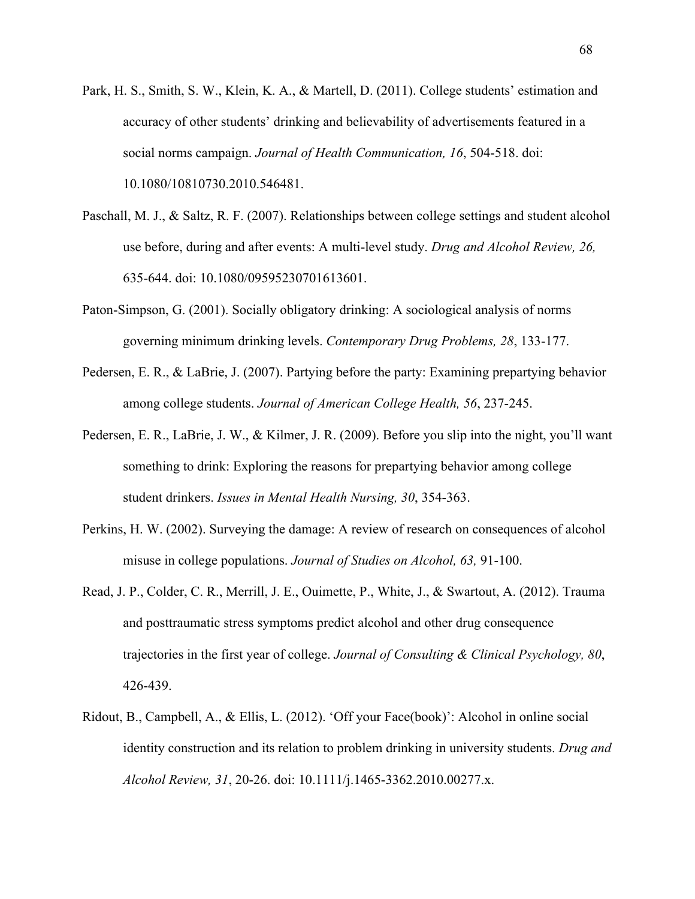- Park, H. S., Smith, S. W., Klein, K. A., & Martell, D. (2011). College students' estimation and accuracy of other students' drinking and believability of advertisements featured in a social norms campaign. *Journal of Health Communication, 16*, 504-518. doi: 10.1080/10810730.2010.546481.
- Paschall, M. J., & Saltz, R. F. (2007). Relationships between college settings and student alcohol use before, during and after events: A multi-level study. *Drug and Alcohol Review, 26,*  635-644. doi: 10.1080/09595230701613601.
- Paton-Simpson, G. (2001). Socially obligatory drinking: A sociological analysis of norms governing minimum drinking levels. *Contemporary Drug Problems, 28*, 133-177.
- Pedersen, E. R., & LaBrie, J. (2007). Partying before the party: Examining prepartying behavior among college students. *Journal of American College Health, 56*, 237-245.
- Pedersen, E. R., LaBrie, J. W., & Kilmer, J. R. (2009). Before you slip into the night, you'll want something to drink: Exploring the reasons for prepartying behavior among college student drinkers. *Issues in Mental Health Nursing, 30*, 354-363.
- Perkins, H. W. (2002). Surveying the damage: A review of research on consequences of alcohol misuse in college populations. *Journal of Studies on Alcohol, 63,* 91-100.
- Read, J. P., Colder, C. R., Merrill, J. E., Ouimette, P., White, J., & Swartout, A. (2012). Trauma and posttraumatic stress symptoms predict alcohol and other drug consequence trajectories in the first year of college. *Journal of Consulting & Clinical Psychology, 80*, 426-439.
- Ridout, B., Campbell, A., & Ellis, L. (2012). 'Off your Face(book)': Alcohol in online social identity construction and its relation to problem drinking in university students. *Drug and Alcohol Review, 31*, 20-26. doi: 10.1111/j.1465-3362.2010.00277.x.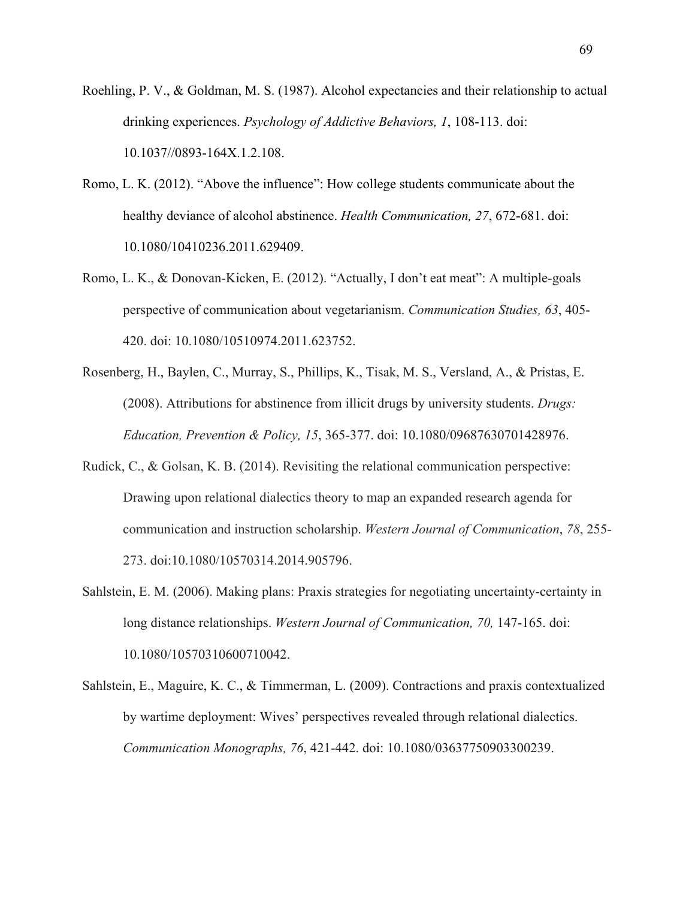- Roehling, P. V., & Goldman, M. S. (1987). Alcohol expectancies and their relationship to actual drinking experiences. *Psychology of Addictive Behaviors, 1*, 108-113. doi: 10.1037//0893-164X.1.2.108.
- Romo, L. K. (2012). "Above the influence": How college students communicate about the healthy deviance of alcohol abstinence. *Health Communication, 27*, 672-681. doi: 10.1080/10410236.2011.629409.
- Romo, L. K., & Donovan-Kicken, E. (2012). "Actually, I don't eat meat": A multiple-goals perspective of communication about vegetarianism. *Communication Studies, 63*, 405- 420. doi: 10.1080/10510974.2011.623752.
- Rosenberg, H., Baylen, C., Murray, S., Phillips, K., Tisak, M. S., Versland, A., & Pristas, E. (2008). Attributions for abstinence from illicit drugs by university students. *Drugs: Education, Prevention & Policy, 15*, 365-377. doi: 10.1080/09687630701428976.
- Rudick, C., & Golsan, K. B. (2014). Revisiting the relational communication perspective: Drawing upon relational dialectics theory to map an expanded research agenda for communication and instruction scholarship. *Western Journal of Communication*, *78*, 255- 273. doi:10.1080/10570314.2014.905796.
- Sahlstein, E. M. (2006). Making plans: Praxis strategies for negotiating uncertainty-certainty in long distance relationships. *Western Journal of Communication, 70,* 147-165. doi: 10.1080/10570310600710042.
- Sahlstein, E., Maguire, K. C., & Timmerman, L. (2009). Contractions and praxis contextualized by wartime deployment: Wives' perspectives revealed through relational dialectics. *Communication Monographs, 76*, 421-442. doi: 10.1080/03637750903300239.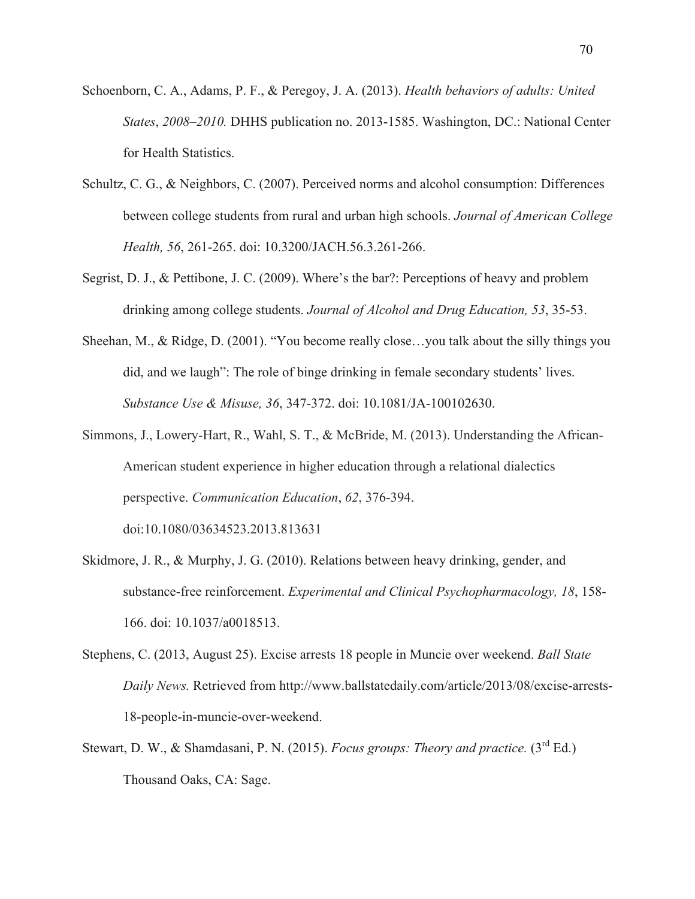- Schoenborn, C. A., Adams, P. F., & Peregoy, J. A. (2013). *Health behaviors of adults: United States*, *2008–2010.* DHHS publication no. 2013-1585. Washington, DC.: National Center for Health Statistics.
- Schultz, C. G., & Neighbors, C. (2007). Perceived norms and alcohol consumption: Differences between college students from rural and urban high schools. *Journal of American College Health, 56*, 261-265. doi: 10.3200/JACH.56.3.261-266.
- Segrist, D. J., & Pettibone, J. C. (2009). Where's the bar?: Perceptions of heavy and problem drinking among college students. *Journal of Alcohol and Drug Education, 53*, 35-53.
- Sheehan, M., & Ridge, D. (2001). "You become really close…you talk about the silly things you did, and we laugh": The role of binge drinking in female secondary students' lives. *Substance Use & Misuse, 36*, 347-372. doi: 10.1081/JA-100102630.
- Simmons, J., Lowery-Hart, R., Wahl, S. T., & McBride, M. (2013). Understanding the African-American student experience in higher education through a relational dialectics perspective. *Communication Education*, *62*, 376-394. doi:10.1080/03634523.2013.813631
- Skidmore, J. R., & Murphy, J. G. (2010). Relations between heavy drinking, gender, and substance-free reinforcement. *Experimental and Clinical Psychopharmacology, 18*, 158- 166. doi: 10.1037/a0018513.
- Stephens, C. (2013, August 25). Excise arrests 18 people in Muncie over weekend. *Ball State Daily News.* Retrieved from http://www.ballstatedaily.com/article/2013/08/excise-arrests-18-people-in-muncie-over-weekend.
- Stewart, D. W., & Shamdasani, P. N. (2015). *Focus groups: Theory and practice.* (3<sup>rd</sup> Ed.) Thousand Oaks, CA: Sage.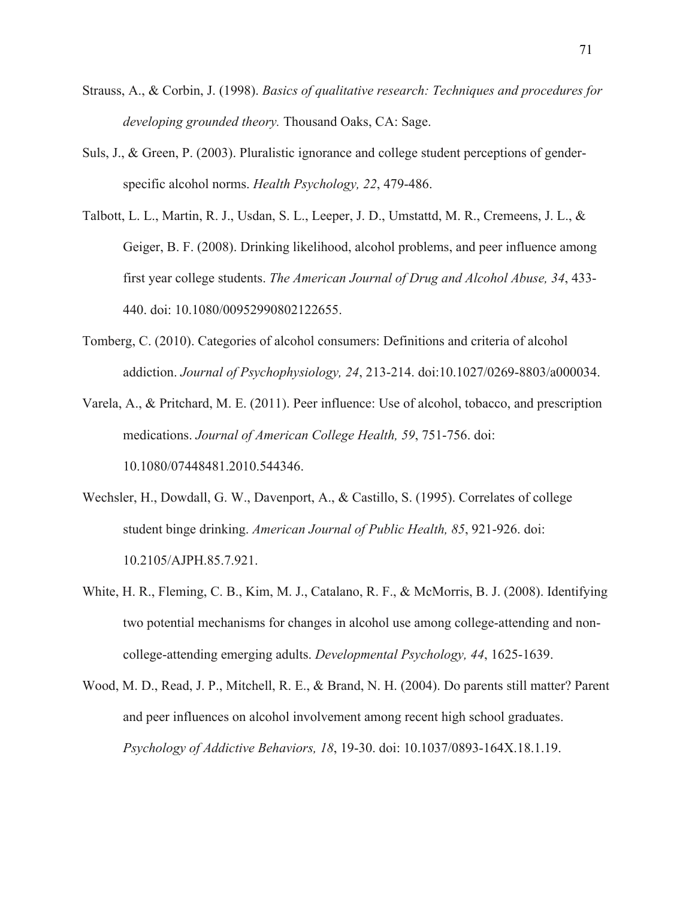- Strauss, A., & Corbin, J. (1998). *Basics of qualitative research: Techniques and procedures for developing grounded theory.* Thousand Oaks, CA: Sage.
- Suls, J., & Green, P. (2003). Pluralistic ignorance and college student perceptions of genderspecific alcohol norms. *Health Psychology, 22*, 479-486.
- Talbott, L. L., Martin, R. J., Usdan, S. L., Leeper, J. D., Umstattd, M. R., Cremeens, J. L., & Geiger, B. F. (2008). Drinking likelihood, alcohol problems, and peer influence among first year college students. *The American Journal of Drug and Alcohol Abuse, 34*, 433- 440. doi: 10.1080/00952990802122655.
- Tomberg, C. (2010). Categories of alcohol consumers: Definitions and criteria of alcohol addiction. *Journal of Psychophysiology, 24*, 213-214. doi:10.1027/0269-8803/a000034.
- Varela, A., & Pritchard, M. E. (2011). Peer influence: Use of alcohol, tobacco, and prescription medications. *Journal of American College Health, 59*, 751-756. doi: 10.1080/07448481.2010.544346.
- Wechsler, H., Dowdall, G. W., Davenport, A., & Castillo, S. (1995). Correlates of college student binge drinking. *American Journal of Public Health, 85*, 921-926. doi: 10.2105/AJPH.85.7.921.
- White, H. R., Fleming, C. B., Kim, M. J., Catalano, R. F., & McMorris, B. J. (2008). Identifying two potential mechanisms for changes in alcohol use among college-attending and noncollege-attending emerging adults. *Developmental Psychology, 44*, 1625-1639.
- Wood, M. D., Read, J. P., Mitchell, R. E., & Brand, N. H. (2004). Do parents still matter? Parent and peer influences on alcohol involvement among recent high school graduates. *Psychology of Addictive Behaviors, 18*, 19-30. doi: 10.1037/0893-164X.18.1.19.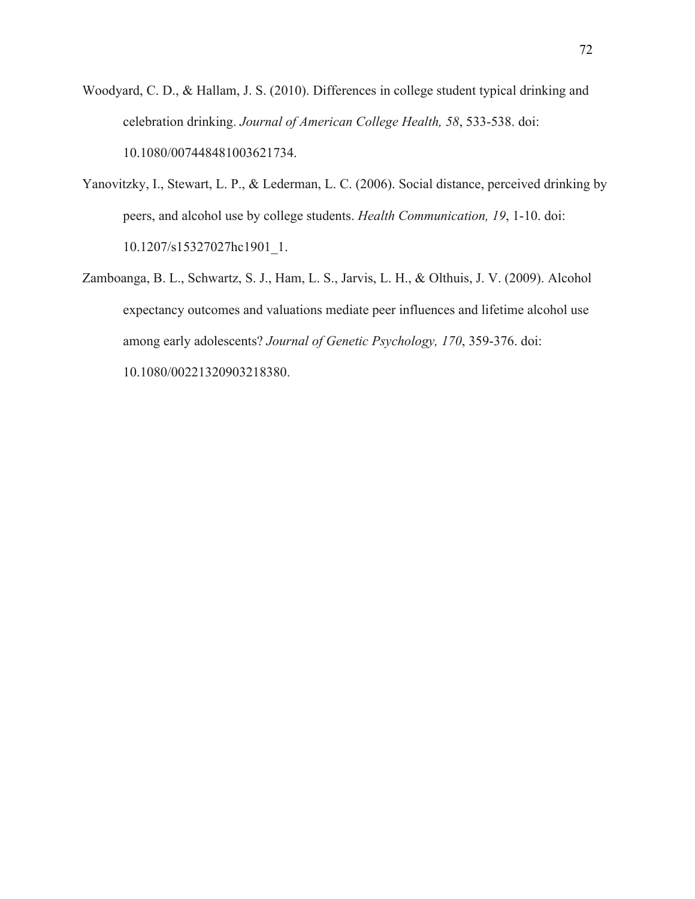- Woodyard, C. D., & Hallam, J. S. (2010). Differences in college student typical drinking and celebration drinking. *Journal of American College Health, 58*, 533-538. doi: 10.1080/007448481003621734.
- Yanovitzky, I., Stewart, L. P., & Lederman, L. C. (2006). Social distance, perceived drinking by peers, and alcohol use by college students. *Health Communication, 19*, 1-10. doi: 10.1207/s15327027hc1901\_1.
- Zamboanga, B. L., Schwartz, S. J., Ham, L. S., Jarvis, L. H., & Olthuis, J. V. (2009). Alcohol expectancy outcomes and valuations mediate peer influences and lifetime alcohol use among early adolescents? *Journal of Genetic Psychology, 170*, 359-376. doi: 10.1080/00221320903218380.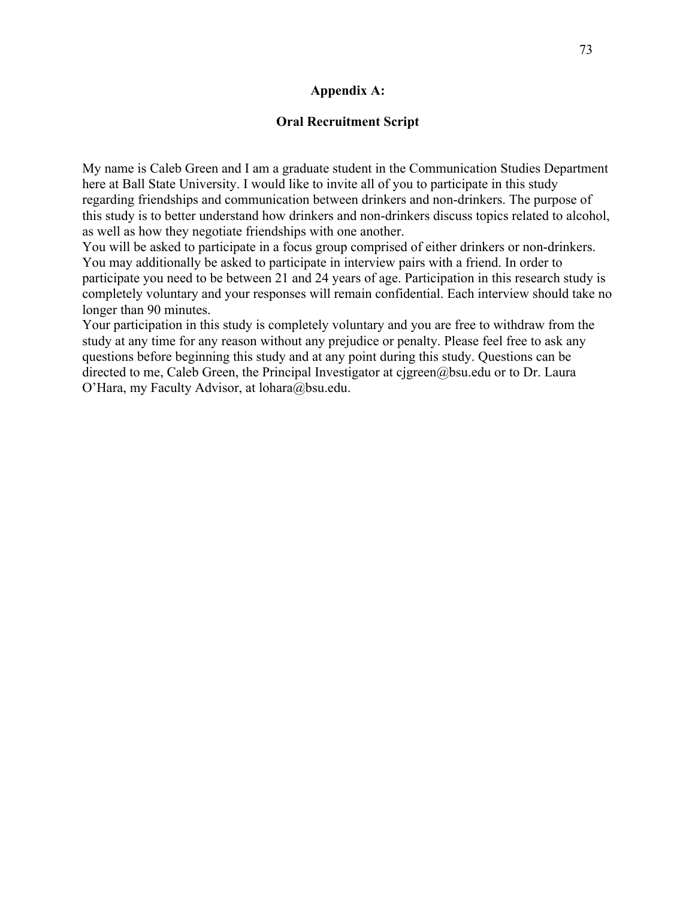#### **Appendix A:**

#### **Oral Recruitment Script**

My name is Caleb Green and I am a graduate student in the Communication Studies Department here at Ball State University. I would like to invite all of you to participate in this study regarding friendships and communication between drinkers and non-drinkers. The purpose of this study is to better understand how drinkers and non-drinkers discuss topics related to alcohol, as well as how they negotiate friendships with one another.

You will be asked to participate in a focus group comprised of either drinkers or non-drinkers. You may additionally be asked to participate in interview pairs with a friend. In order to participate you need to be between 21 and 24 years of age. Participation in this research study is completely voluntary and your responses will remain confidential. Each interview should take no longer than 90 minutes.

Your participation in this study is completely voluntary and you are free to withdraw from the study at any time for any reason without any prejudice or penalty. Please feel free to ask any questions before beginning this study and at any point during this study. Questions can be directed to me, Caleb Green, the Principal Investigator at cjgreen@bsu.edu or to Dr. Laura O'Hara, my Faculty Advisor, at lohara@bsu.edu.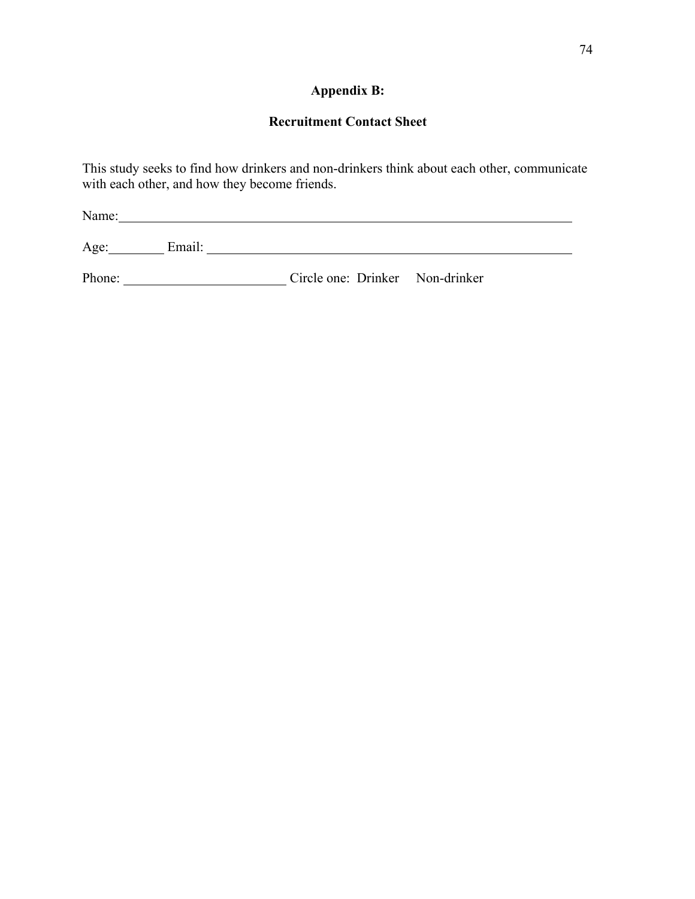# **Appendix B:**

# **Recruitment Contact Sheet**

This study seeks to find how drinkers and non-drinkers think about each other, communicate with each other, and how they become friends.

| Name:  |        |                                 |  |  |  |
|--------|--------|---------------------------------|--|--|--|
| Age:   | Email: |                                 |  |  |  |
| Phone: |        | Circle one: Drinker Non-drinker |  |  |  |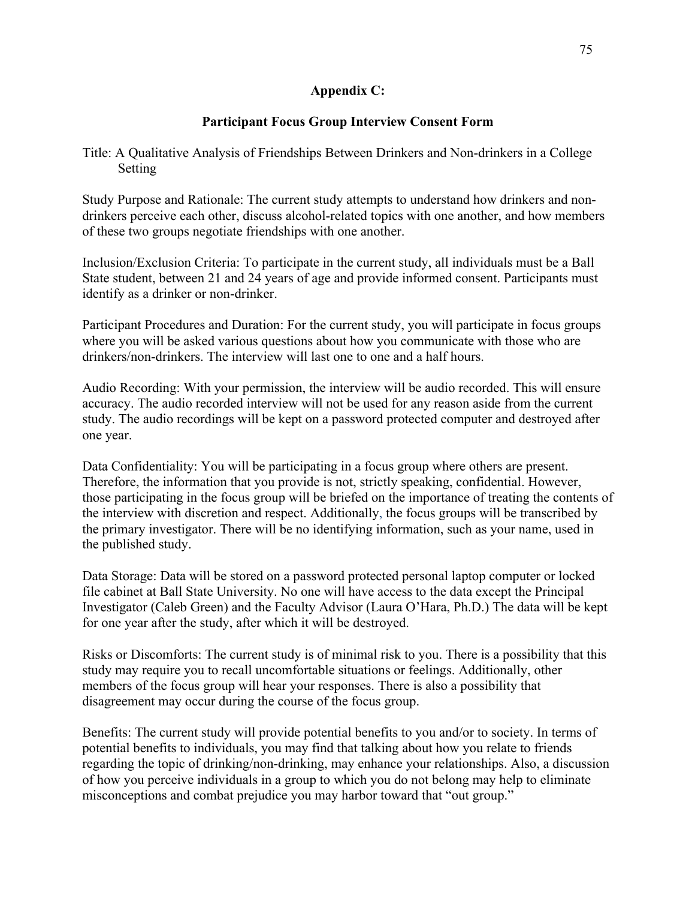#### **Appendix C:**

#### **Participant Focus Group Interview Consent Form**

Title: A Qualitative Analysis of Friendships Between Drinkers and Non-drinkers in a College Setting

Study Purpose and Rationale: The current study attempts to understand how drinkers and nondrinkers perceive each other, discuss alcohol-related topics with one another, and how members of these two groups negotiate friendships with one another.

Inclusion/Exclusion Criteria: To participate in the current study, all individuals must be a Ball State student, between 21 and 24 years of age and provide informed consent. Participants must identify as a drinker or non-drinker.

Participant Procedures and Duration: For the current study, you will participate in focus groups where you will be asked various questions about how you communicate with those who are drinkers/non-drinkers. The interview will last one to one and a half hours.

Audio Recording: With your permission, the interview will be audio recorded. This will ensure accuracy. The audio recorded interview will not be used for any reason aside from the current study. The audio recordings will be kept on a password protected computer and destroyed after one year.

Data Confidentiality: You will be participating in a focus group where others are present. Therefore, the information that you provide is not, strictly speaking, confidential. However, those participating in the focus group will be briefed on the importance of treating the contents of the interview with discretion and respect. Additionally, the focus groups will be transcribed by the primary investigator. There will be no identifying information, such as your name, used in the published study.

Data Storage: Data will be stored on a password protected personal laptop computer or locked file cabinet at Ball State University. No one will have access to the data except the Principal Investigator (Caleb Green) and the Faculty Advisor (Laura O'Hara, Ph.D.) The data will be kept for one year after the study, after which it will be destroyed.

Risks or Discomforts: The current study is of minimal risk to you. There is a possibility that this study may require you to recall uncomfortable situations or feelings. Additionally, other members of the focus group will hear your responses. There is also a possibility that disagreement may occur during the course of the focus group.

Benefits: The current study will provide potential benefits to you and/or to society. In terms of potential benefits to individuals, you may find that talking about how you relate to friends regarding the topic of drinking/non-drinking, may enhance your relationships. Also, a discussion of how you perceive individuals in a group to which you do not belong may help to eliminate misconceptions and combat prejudice you may harbor toward that "out group."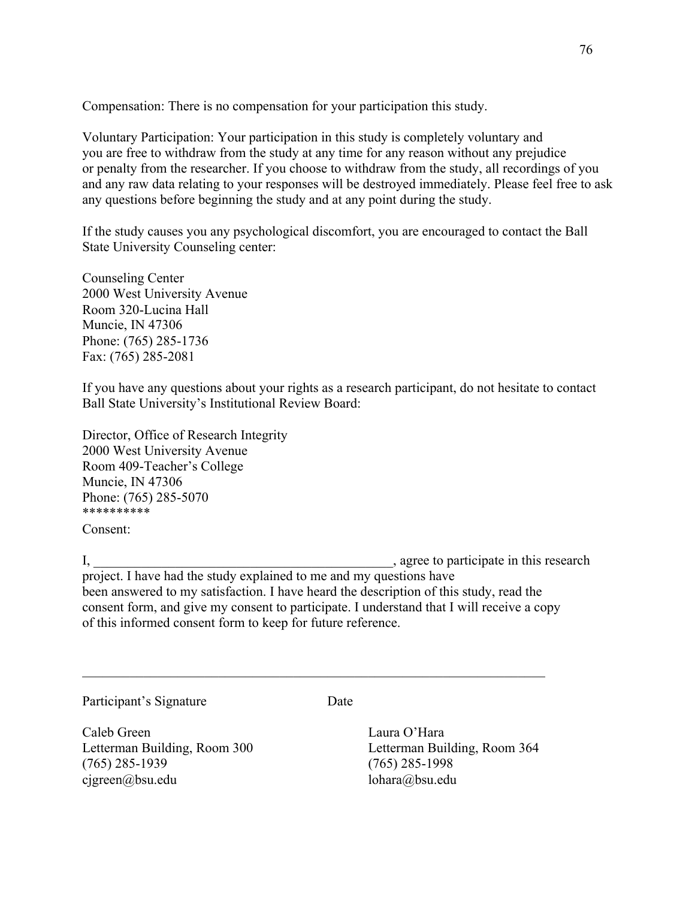Compensation: There is no compensation for your participation this study.

Voluntary Participation: Your participation in this study is completely voluntary and you are free to withdraw from the study at any time for any reason without any prejudice or penalty from the researcher. If you choose to withdraw from the study, all recordings of you and any raw data relating to your responses will be destroyed immediately. Please feel free to ask any questions before beginning the study and at any point during the study.

If the study causes you any psychological discomfort, you are encouraged to contact the Ball State University Counseling center:

Counseling Center 2000 West University Avenue Room 320-Lucina Hall Muncie, IN 47306 Phone: (765) 285-1736 Fax: (765) 285-2081

If you have any questions about your rights as a research participant, do not hesitate to contact Ball State University's Institutional Review Board:

Director, Office of Research Integrity 2000 West University Avenue Room 409-Teacher's College Muncie, IN 47306 Phone: (765) 285-5070 \*\*\*\*\*\*\*\*\*\*

Consent:

I, the same of the same of the same of the same of the same of the same of the same of the same of the same of the same of the same of the same of the same of the same of the same of the same of the same of the same of the

project. I have had the study explained to me and my questions have been answered to my satisfaction. I have heard the description of this study, read the consent form, and give my consent to participate. I understand that I will receive a copy of this informed consent form to keep for future reference.

 $\mathcal{L}_\mathcal{L} = \mathcal{L}_\mathcal{L} = \mathcal{L}_\mathcal{L} = \mathcal{L}_\mathcal{L} = \mathcal{L}_\mathcal{L} = \mathcal{L}_\mathcal{L} = \mathcal{L}_\mathcal{L} = \mathcal{L}_\mathcal{L} = \mathcal{L}_\mathcal{L} = \mathcal{L}_\mathcal{L} = \mathcal{L}_\mathcal{L} = \mathcal{L}_\mathcal{L} = \mathcal{L}_\mathcal{L} = \mathcal{L}_\mathcal{L} = \mathcal{L}_\mathcal{L} = \mathcal{L}_\mathcal{L} = \mathcal{L}_\mathcal{L}$ 

Participant's Signature Date

Caleb Green Laura O'Hara Letterman Building, Room 300 Letterman Building, Room 364 (765) 285-1939 (765) 285-1998 cjgreen@bsu.edu lohara@bsu.edu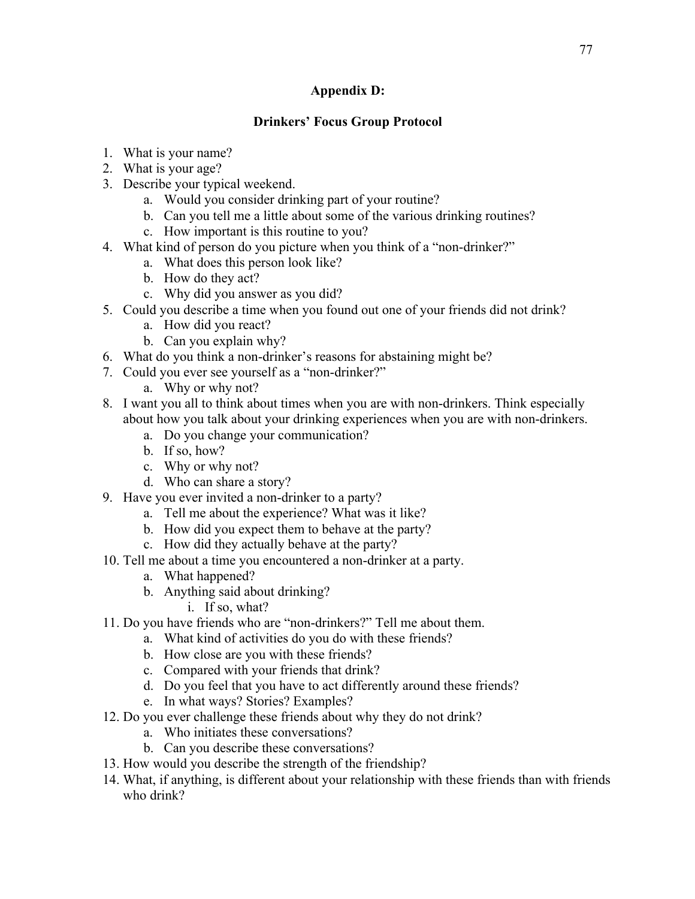### **Appendix D:**

## **Drinkers' Focus Group Protocol**

- 1. What is your name?
- 2. What is your age?
- 3. Describe your typical weekend.
	- a. Would you consider drinking part of your routine?
	- b. Can you tell me a little about some of the various drinking routines?
	- c. How important is this routine to you?
- 4. What kind of person do you picture when you think of a "non-drinker?"
	- a. What does this person look like?
	- b. How do they act?
	- c. Why did you answer as you did?
- 5. Could you describe a time when you found out one of your friends did not drink?
	- a. How did you react?
	- b. Can you explain why?
- 6. What do you think a non-drinker's reasons for abstaining might be?
- 7. Could you ever see yourself as a "non-drinker?"
	- a. Why or why not?
- 8. I want you all to think about times when you are with non-drinkers. Think especially about how you talk about your drinking experiences when you are with non-drinkers.
	- a. Do you change your communication?
	- b. If so, how?
	- c. Why or why not?
	- d. Who can share a story?
- 9. Have you ever invited a non-drinker to a party?
	- a. Tell me about the experience? What was it like?
	- b. How did you expect them to behave at the party?
	- c. How did they actually behave at the party?
- 10. Tell me about a time you encountered a non-drinker at a party.
	- a. What happened?
	- b. Anything said about drinking?
		- i. If so, what?
- 11. Do you have friends who are "non-drinkers?" Tell me about them.
	- a. What kind of activities do you do with these friends?
	- b. How close are you with these friends?
	- c. Compared with your friends that drink?
	- d. Do you feel that you have to act differently around these friends?
	- e. In what ways? Stories? Examples?
- 12. Do you ever challenge these friends about why they do not drink?
	- a. Who initiates these conversations?
	- b. Can you describe these conversations?
- 13. How would you describe the strength of the friendship?
- 14. What, if anything, is different about your relationship with these friends than with friends who drink?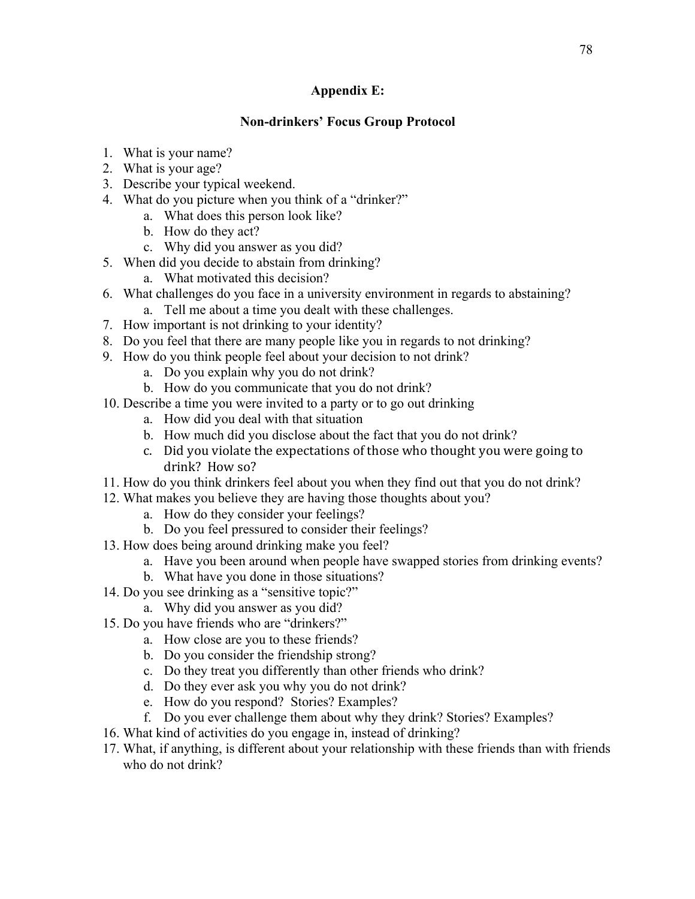#### **Appendix E:**

#### **Non-drinkers' Focus Group Protocol**

- 1. What is your name?
- 2. What is your age?
- 3. Describe your typical weekend.
- 4. What do you picture when you think of a "drinker?"
	- a. What does this person look like?
	- b. How do they act?
	- c. Why did you answer as you did?
- 5. When did you decide to abstain from drinking?
	- a. What motivated this decision?
- 6. What challenges do you face in a university environment in regards to abstaining?
	- a. Tell me about a time you dealt with these challenges.
- 7. How important is not drinking to your identity?
- 8. Do you feel that there are many people like you in regards to not drinking?
- 9. How do you think people feel about your decision to not drink?
	- a. Do you explain why you do not drink?
	- b. How do you communicate that you do not drink?
- 10. Describe a time you were invited to a party or to go out drinking
	- a. How did you deal with that situation
	- b. How much did you disclose about the fact that you do not drink?
	- c. Did you violate the expectations of those who thought you were going to drink? How so?
- 11. How do you think drinkers feel about you when they find out that you do not drink?
- 12. What makes you believe they are having those thoughts about you?
	- a. How do they consider your feelings?
	- b. Do you feel pressured to consider their feelings?
- 13. How does being around drinking make you feel?
	- a. Have you been around when people have swapped stories from drinking events?
	- b. What have you done in those situations?
- 14. Do you see drinking as a "sensitive topic?"
	- a. Why did you answer as you did?
- 15. Do you have friends who are "drinkers?"
	- a. How close are you to these friends?
	- b. Do you consider the friendship strong?
	- c. Do they treat you differently than other friends who drink?
	- d. Do they ever ask you why you do not drink?
	- e. How do you respond? Stories? Examples?
	- f. Do you ever challenge them about why they drink? Stories? Examples?
- 16. What kind of activities do you engage in, instead of drinking?
- 17. What, if anything, is different about your relationship with these friends than with friends who do not drink?